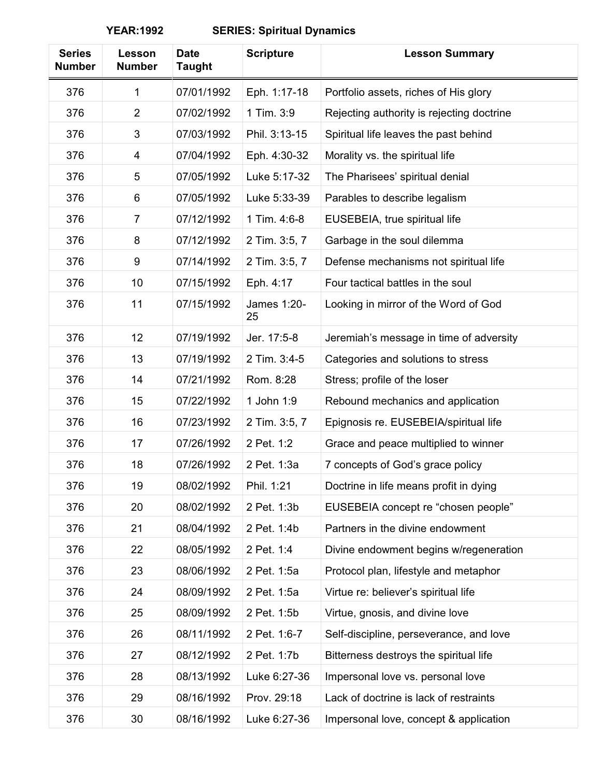| <b>Series</b><br><b>Number</b> | Lesson<br><b>Number</b> | <b>Date</b><br><b>Taught</b> | <b>Scripture</b>  | <b>Lesson Summary</b>                     |
|--------------------------------|-------------------------|------------------------------|-------------------|-------------------------------------------|
| 376                            | 1                       | 07/01/1992                   | Eph. 1:17-18      | Portfolio assets, riches of His glory     |
| 376                            | $\overline{2}$          | 07/02/1992                   | 1 Tim. 3:9        | Rejecting authority is rejecting doctrine |
| 376                            | 3                       | 07/03/1992                   | Phil. 3:13-15     | Spiritual life leaves the past behind     |
| 376                            | 4                       | 07/04/1992                   | Eph. 4:30-32      | Morality vs. the spiritual life           |
| 376                            | 5                       | 07/05/1992                   | Luke 5:17-32      | The Pharisees' spiritual denial           |
| 376                            | 6                       | 07/05/1992                   | Luke 5:33-39      | Parables to describe legalism             |
| 376                            | $\overline{7}$          | 07/12/1992                   | 1 Tim. 4:6-8      | EUSEBEIA, true spiritual life             |
| 376                            | 8                       | 07/12/1992                   | 2 Tim. 3:5, 7     | Garbage in the soul dilemma               |
| 376                            | 9                       | 07/14/1992                   | 2 Tim. 3:5, 7     | Defense mechanisms not spiritual life     |
| 376                            | 10                      | 07/15/1992                   | Eph. 4:17         | Four tactical battles in the soul         |
| 376                            | 11                      | 07/15/1992                   | James 1:20-<br>25 | Looking in mirror of the Word of God      |
| 376                            | 12                      | 07/19/1992                   | Jer. 17:5-8       | Jeremiah's message in time of adversity   |
| 376                            | 13                      | 07/19/1992                   | 2 Tim. 3:4-5      | Categories and solutions to stress        |
| 376                            | 14                      | 07/21/1992                   | Rom. 8:28         | Stress; profile of the loser              |
| 376                            | 15                      | 07/22/1992                   | 1 John 1:9        | Rebound mechanics and application         |
| 376                            | 16                      | 07/23/1992                   | 2 Tim. 3:5, 7     | Epignosis re. EUSEBEIA/spiritual life     |
| 376                            | 17                      | 07/26/1992                   | 2 Pet. 1:2        | Grace and peace multiplied to winner      |
| 376                            | 18                      | 07/26/1992                   | 2 Pet. 1:3a       | 7 concepts of God's grace policy          |
| 376                            | 19                      | 08/02/1992                   | Phil. 1:21        | Doctrine in life means profit in dying    |
| 376                            | 20                      | 08/02/1992                   | 2 Pet. 1:3b       | EUSEBEIA concept re "chosen people"       |
| 376                            | 21                      | 08/04/1992                   | 2 Pet. 1:4b       | Partners in the divine endowment          |
| 376                            | 22                      | 08/05/1992                   | 2 Pet. 1:4        | Divine endowment begins w/regeneration    |
| 376                            | 23                      | 08/06/1992                   | 2 Pet. 1:5a       | Protocol plan, lifestyle and metaphor     |
| 376                            | 24                      | 08/09/1992                   | 2 Pet. 1:5a       | Virtue re: believer's spiritual life      |
| 376                            | 25                      | 08/09/1992                   | 2 Pet. 1:5b       | Virtue, gnosis, and divine love           |
| 376                            | 26                      | 08/11/1992                   | 2 Pet. 1:6-7      | Self-discipline, perseverance, and love   |
| 376                            | 27                      | 08/12/1992                   | 2 Pet. 1:7b       | Bitterness destroys the spiritual life    |
| 376                            | 28                      | 08/13/1992                   | Luke 6:27-36      | Impersonal love vs. personal love         |
| 376                            | 29                      | 08/16/1992                   | Prov. 29:18       | Lack of doctrine is lack of restraints    |
| 376                            | 30                      | 08/16/1992                   | Luke 6:27-36      | Impersonal love, concept & application    |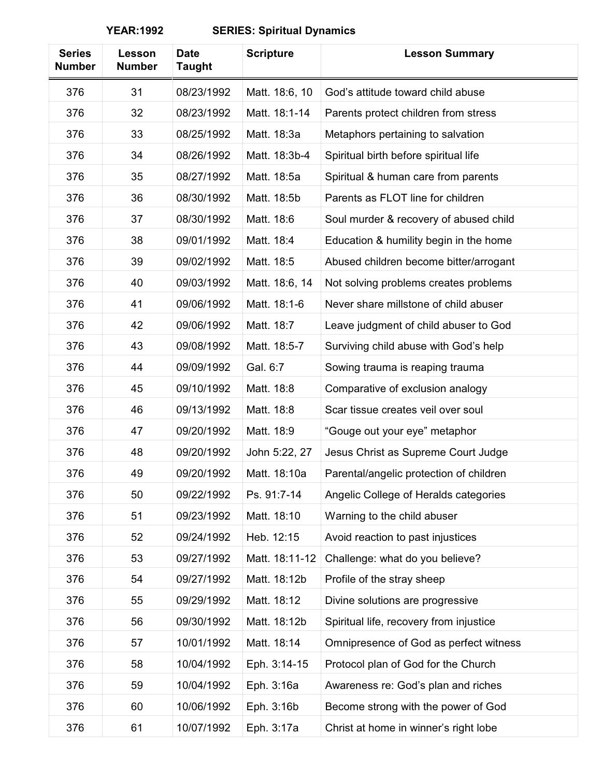| <b>Series</b><br><b>Number</b> | Lesson<br><b>Number</b> | <b>Date</b><br><b>Taught</b> | <b>Scripture</b> | <b>Lesson Summary</b>                   |
|--------------------------------|-------------------------|------------------------------|------------------|-----------------------------------------|
| 376                            | 31                      | 08/23/1992                   | Matt. 18:6, 10   | God's attitude toward child abuse       |
| 376                            | 32                      | 08/23/1992                   | Matt. 18:1-14    | Parents protect children from stress    |
| 376                            | 33                      | 08/25/1992                   | Matt. 18:3a      | Metaphors pertaining to salvation       |
| 376                            | 34                      | 08/26/1992                   | Matt. 18:3b-4    | Spiritual birth before spiritual life   |
| 376                            | 35                      | 08/27/1992                   | Matt. 18:5a      | Spiritual & human care from parents     |
| 376                            | 36                      | 08/30/1992                   | Matt. 18:5b      | Parents as FLOT line for children       |
| 376                            | 37                      | 08/30/1992                   | Matt. 18:6       | Soul murder & recovery of abused child  |
| 376                            | 38                      | 09/01/1992                   | Matt. 18:4       | Education & humility begin in the home  |
| 376                            | 39                      | 09/02/1992                   | Matt. 18:5       | Abused children become bitter/arrogant  |
| 376                            | 40                      | 09/03/1992                   | Matt. 18:6, 14   | Not solving problems creates problems   |
| 376                            | 41                      | 09/06/1992                   | Matt. 18:1-6     | Never share millstone of child abuser   |
| 376                            | 42                      | 09/06/1992                   | Matt. 18:7       | Leave judgment of child abuser to God   |
| 376                            | 43                      | 09/08/1992                   | Matt. 18:5-7     | Surviving child abuse with God's help   |
| 376                            | 44                      | 09/09/1992                   | Gal. 6:7         | Sowing trauma is reaping trauma         |
| 376                            | 45                      | 09/10/1992                   | Matt. 18:8       | Comparative of exclusion analogy        |
| 376                            | 46                      | 09/13/1992                   | Matt. 18:8       | Scar tissue creates veil over soul      |
| 376                            | 47                      | 09/20/1992                   | Matt. 18:9       | "Gouge out your eye" metaphor           |
| 376                            | 48                      | 09/20/1992                   | John 5:22, 27    | Jesus Christ as Supreme Court Judge     |
| 376                            | 49                      | 09/20/1992                   | Matt. 18:10a     | Parental/angelic protection of children |
| 376                            | 50                      | 09/22/1992                   | Ps. 91:7-14      | Angelic College of Heralds categories   |
| 376                            | 51                      | 09/23/1992                   | Matt. 18:10      | Warning to the child abuser             |
| 376                            | 52                      | 09/24/1992                   | Heb. 12:15       | Avoid reaction to past injustices       |
| 376                            | 53                      | 09/27/1992                   | Matt. 18:11-12   | Challenge: what do you believe?         |
| 376                            | 54                      | 09/27/1992                   | Matt. 18:12b     | Profile of the stray sheep              |
| 376                            | 55                      | 09/29/1992                   | Matt. 18:12      | Divine solutions are progressive        |
| 376                            | 56                      | 09/30/1992                   | Matt. 18:12b     | Spiritual life, recovery from injustice |
| 376                            | 57                      | 10/01/1992                   | Matt. 18:14      | Omnipresence of God as perfect witness  |
| 376                            | 58                      | 10/04/1992                   | Eph. 3:14-15     | Protocol plan of God for the Church     |
| 376                            | 59                      | 10/04/1992                   | Eph. 3:16a       | Awareness re: God's plan and riches     |
| 376                            | 60                      | 10/06/1992                   | Eph. 3:16b       | Become strong with the power of God     |
| 376                            | 61                      | 10/07/1992                   | Eph. 3:17a       | Christ at home in winner's right lobe   |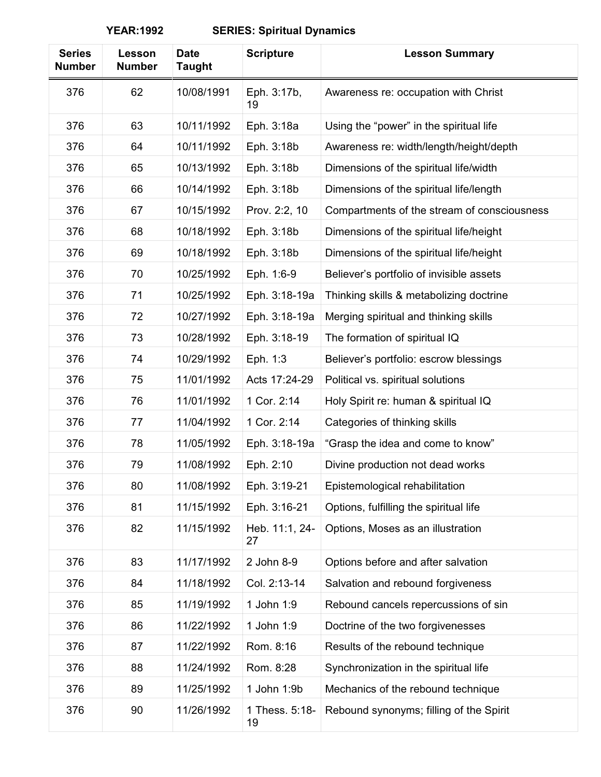| <b>Series</b><br><b>Number</b> | Lesson<br><b>Number</b> | <b>Date</b><br><b>Taught</b> | <b>Scripture</b>     | <b>Lesson Summary</b>                       |
|--------------------------------|-------------------------|------------------------------|----------------------|---------------------------------------------|
| 376                            | 62                      | 10/08/1991                   | Eph. 3:17b,<br>19    | Awareness re: occupation with Christ        |
| 376                            | 63                      | 10/11/1992                   | Eph. 3:18a           | Using the "power" in the spiritual life     |
| 376                            | 64                      | 10/11/1992                   | Eph. 3:18b           | Awareness re: width/length/height/depth     |
| 376                            | 65                      | 10/13/1992                   | Eph. 3:18b           | Dimensions of the spiritual life/width      |
| 376                            | 66                      | 10/14/1992                   | Eph. 3:18b           | Dimensions of the spiritual life/length     |
| 376                            | 67                      | 10/15/1992                   | Prov. 2:2, 10        | Compartments of the stream of consciousness |
| 376                            | 68                      | 10/18/1992                   | Eph. 3:18b           | Dimensions of the spiritual life/height     |
| 376                            | 69                      | 10/18/1992                   | Eph. 3:18b           | Dimensions of the spiritual life/height     |
| 376                            | 70                      | 10/25/1992                   | Eph. 1:6-9           | Believer's portfolio of invisible assets    |
| 376                            | 71                      | 10/25/1992                   | Eph. 3:18-19a        | Thinking skills & metabolizing doctrine     |
| 376                            | 72                      | 10/27/1992                   | Eph. 3:18-19a        | Merging spiritual and thinking skills       |
| 376                            | 73                      | 10/28/1992                   | Eph. 3:18-19         | The formation of spiritual IQ               |
| 376                            | 74                      | 10/29/1992                   | Eph. 1:3             | Believer's portfolio: escrow blessings      |
| 376                            | 75                      | 11/01/1992                   | Acts 17:24-29        | Political vs. spiritual solutions           |
| 376                            | 76                      | 11/01/1992                   | 1 Cor. 2:14          | Holy Spirit re: human & spiritual IQ        |
| 376                            | 77                      | 11/04/1992                   | 1 Cor. 2:14          | Categories of thinking skills               |
| 376                            | 78                      | 11/05/1992                   | Eph. 3:18-19a        | "Grasp the idea and come to know"           |
| 376                            | 79                      | 11/08/1992                   | Eph. 2:10            | Divine production not dead works            |
| 376                            | 80                      | 11/08/1992                   | Eph. 3:19-21         | Epistemological rehabilitation              |
| 376                            | 81                      | 11/15/1992                   | Eph. 3:16-21         | Options, fulfilling the spiritual life      |
| 376                            | 82                      | 11/15/1992                   | Heb. 11:1, 24-<br>27 | Options, Moses as an illustration           |
| 376                            | 83                      | 11/17/1992                   | 2 John 8-9           | Options before and after salvation          |
| 376                            | 84                      | 11/18/1992                   | Col. 2:13-14         | Salvation and rebound forgiveness           |
| 376                            | 85                      | 11/19/1992                   | 1 John 1:9           | Rebound cancels repercussions of sin        |
| 376                            | 86                      | 11/22/1992                   | 1 John 1:9           | Doctrine of the two forgivenesses           |
| 376                            | 87                      | 11/22/1992                   | Rom. 8:16            | Results of the rebound technique            |
| 376                            | 88                      | 11/24/1992                   | Rom. 8:28            | Synchronization in the spiritual life       |
| 376                            | 89                      | 11/25/1992                   | 1 John 1:9b          | Mechanics of the rebound technique          |
| 376                            | 90                      | 11/26/1992                   | 1 Thess. 5:18-<br>19 | Rebound synonyms; filling of the Spirit     |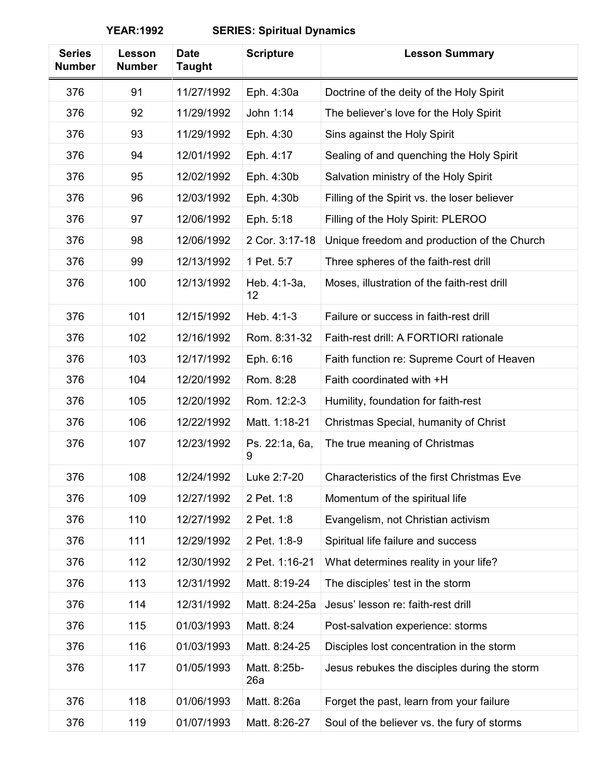| <b>Series</b><br><b>Number</b> | Lesson<br><b>Number</b> | <b>Date</b><br><b>Taught</b> | <b>Scripture</b>    | <b>Lesson Summary</b>                        |
|--------------------------------|-------------------------|------------------------------|---------------------|----------------------------------------------|
| 376                            | 91                      | 11/27/1992                   | Eph. 4:30a          | Doctrine of the deity of the Holy Spirit     |
| 376                            | 92                      | 11/29/1992                   | John 1:14           | The believer's love for the Holy Spirit      |
| 376                            | 93                      | 11/29/1992                   | Eph. 4:30           | Sins against the Holy Spirit                 |
| 376                            | 94                      | 12/01/1992                   | Eph. 4:17           | Sealing of and quenching the Holy Spirit     |
| 376                            | 95                      | 12/02/1992                   | Eph. 4:30b          | Salvation ministry of the Holy Spirit        |
| 376                            | 96                      | 12/03/1992                   | Eph. 4:30b          | Filling of the Spirit vs. the loser believer |
| 376                            | 97                      | 12/06/1992                   | Eph. 5:18           | Filling of the Holy Spirit: PLEROO           |
| 376                            | 98                      | 12/06/1992                   | 2 Cor. 3:17-18      | Unique freedom and production of the Church  |
| 376                            | 99                      | 12/13/1992                   | 1 Pet. 5:7          | Three spheres of the faith-rest drill        |
| 376                            | 100                     | 12/13/1992                   | Heb. 4:1-3a,<br>12  | Moses, illustration of the faith-rest drill  |
| 376                            | 101                     | 12/15/1992                   | Heb. 4:1-3          | Failure or success in faith-rest drill       |
| 376                            | 102                     | 12/16/1992                   | Rom. 8:31-32        | Faith-rest drill: A FORTIORI rationale       |
| 376                            | 103                     | 12/17/1992                   | Eph. 6:16           | Faith function re: Supreme Court of Heaven   |
| 376                            | 104                     | 12/20/1992                   | Rom. 8:28           | Faith coordinated with +H                    |
| 376                            | 105                     | 12/20/1992                   | Rom. 12:2-3         | Humility, foundation for faith-rest          |
| 376                            | 106                     | 12/22/1992                   | Matt. 1:18-21       | Christmas Special, humanity of Christ        |
| 376                            | 107                     | 12/23/1992                   | Ps. 22:1a, 6a,<br>9 | The true meaning of Christmas                |
| 376                            | 108                     | 12/24/1992                   | Luke 2:7-20         | Characteristics of the first Christmas Eve   |
| 376                            | 109                     | 12/27/1992                   | 2 Pet. 1:8          | Momentum of the spiritual life               |
| 376                            | 110                     | 12/27/1992                   | 2 Pet. 1:8          | Evangelism, not Christian activism           |
| 376                            | 111                     | 12/29/1992                   | 2 Pet. 1:8-9        | Spiritual life failure and success           |
| 376                            | 112                     | 12/30/1992                   | 2 Pet. 1:16-21      | What determines reality in your life?        |
| 376                            | 113                     | 12/31/1992                   | Matt. 8:19-24       | The disciples' test in the storm             |
| 376                            | 114                     | 12/31/1992                   | Matt. 8:24-25a      | Jesus' lesson re: faith-rest drill           |
| 376                            | 115                     | 01/03/1993                   | Matt. 8:24          | Post-salvation experience: storms            |
| 376                            | 116                     | 01/03/1993                   | Matt. 8:24-25       | Disciples lost concentration in the storm    |
| 376                            | 117                     | 01/05/1993                   | Matt. 8:25b-<br>26a | Jesus rebukes the disciples during the storm |
| 376                            | 118                     | 01/06/1993                   | Matt. 8:26a         | Forget the past, learn from your failure     |
| 376                            | 119                     | 01/07/1993                   | Matt. 8:26-27       | Soul of the believer vs. the fury of storms  |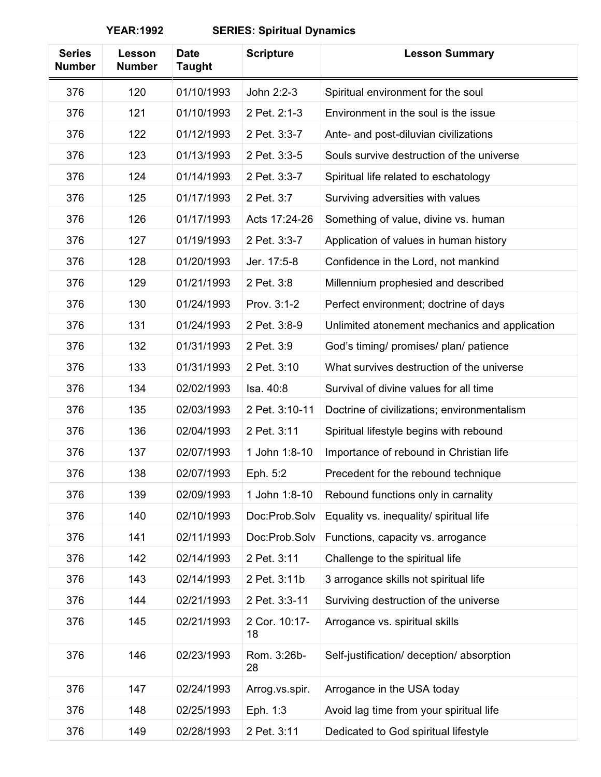| <b>Series</b><br><b>Number</b> | Lesson<br><b>Number</b> | <b>Date</b><br><b>Taught</b> | <b>Scripture</b>    | <b>Lesson Summary</b>                         |
|--------------------------------|-------------------------|------------------------------|---------------------|-----------------------------------------------|
| 376                            | 120                     | 01/10/1993                   | John 2:2-3          | Spiritual environment for the soul            |
| 376                            | 121                     | 01/10/1993                   | 2 Pet. 2:1-3        | Environment in the soul is the issue          |
| 376                            | 122                     | 01/12/1993                   | 2 Pet. 3:3-7        | Ante- and post-diluvian civilizations         |
| 376                            | 123                     | 01/13/1993                   | 2 Pet. 3:3-5        | Souls survive destruction of the universe     |
| 376                            | 124                     | 01/14/1993                   | 2 Pet. 3:3-7        | Spiritual life related to eschatology         |
| 376                            | 125                     | 01/17/1993                   | 2 Pet. 3:7          | Surviving adversities with values             |
| 376                            | 126                     | 01/17/1993                   | Acts 17:24-26       | Something of value, divine vs. human          |
| 376                            | 127                     | 01/19/1993                   | 2 Pet. 3:3-7        | Application of values in human history        |
| 376                            | 128                     | 01/20/1993                   | Jer. 17:5-8         | Confidence in the Lord, not mankind           |
| 376                            | 129                     | 01/21/1993                   | 2 Pet. 3:8          | Millennium prophesied and described           |
| 376                            | 130                     | 01/24/1993                   | Prov. 3:1-2         | Perfect environment; doctrine of days         |
| 376                            | 131                     | 01/24/1993                   | 2 Pet. 3:8-9        | Unlimited atonement mechanics and application |
| 376                            | 132                     | 01/31/1993                   | 2 Pet. 3:9          | God's timing/ promises/ plan/ patience        |
| 376                            | 133                     | 01/31/1993                   | 2 Pet. 3:10         | What survives destruction of the universe     |
| 376                            | 134                     | 02/02/1993                   | Isa. 40:8           | Survival of divine values for all time        |
| 376                            | 135                     | 02/03/1993                   | 2 Pet. 3:10-11      | Doctrine of civilizations; environmentalism   |
| 376                            | 136                     | 02/04/1993                   | 2 Pet. 3:11         | Spiritual lifestyle begins with rebound       |
| 376                            | 137                     | 02/07/1993                   | 1 John 1:8-10       | Importance of rebound in Christian life       |
| 376                            | 138                     | 02/07/1993                   | Eph. 5:2            | Precedent for the rebound technique           |
| 376                            | 139                     | 02/09/1993                   | 1 John 1:8-10       | Rebound functions only in carnality           |
| 376                            | 140                     | 02/10/1993                   | Doc:Prob.Solv       | Equality vs. inequality/ spiritual life       |
| 376                            | 141                     | 02/11/1993                   | Doc:Prob.Solv       | Functions, capacity vs. arrogance             |
| 376                            | 142                     | 02/14/1993                   | 2 Pet. 3:11         | Challenge to the spiritual life               |
| 376                            | 143                     | 02/14/1993                   | 2 Pet. 3:11b        | 3 arrogance skills not spiritual life         |
| 376                            | 144                     | 02/21/1993                   | 2 Pet. 3:3-11       | Surviving destruction of the universe         |
| 376                            | 145                     | 02/21/1993                   | 2 Cor. 10:17-<br>18 | Arrogance vs. spiritual skills                |
| 376                            | 146                     | 02/23/1993                   | Rom. 3:26b-<br>28   | Self-justification/ deception/ absorption     |
| 376                            | 147                     | 02/24/1993                   | Arrog.vs.spir.      | Arrogance in the USA today                    |
| 376                            | 148                     | 02/25/1993                   | Eph. 1:3            | Avoid lag time from your spiritual life       |
| 376                            | 149                     | 02/28/1993                   | 2 Pet. 3:11         | Dedicated to God spiritual lifestyle          |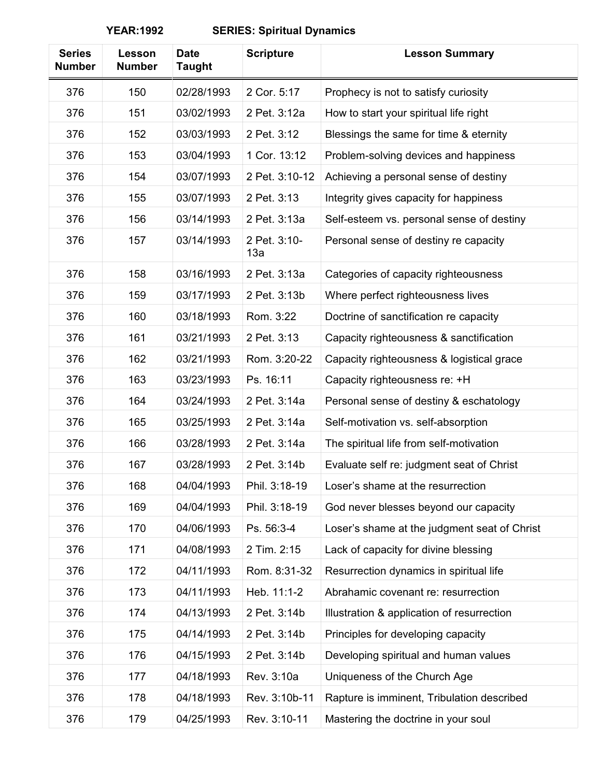| <b>Series</b><br><b>Number</b> | Lesson<br><b>Number</b> | <b>Date</b><br><b>Taught</b> | <b>Scripture</b>    | <b>Lesson Summary</b>                        |
|--------------------------------|-------------------------|------------------------------|---------------------|----------------------------------------------|
| 376                            | 150                     | 02/28/1993                   | 2 Cor. 5:17         | Prophecy is not to satisfy curiosity         |
| 376                            | 151                     | 03/02/1993                   | 2 Pet. 3:12a        | How to start your spiritual life right       |
| 376                            | 152                     | 03/03/1993                   | 2 Pet. 3:12         | Blessings the same for time & eternity       |
| 376                            | 153                     | 03/04/1993                   | 1 Cor. 13:12        | Problem-solving devices and happiness        |
| 376                            | 154                     | 03/07/1993                   | 2 Pet. 3:10-12      | Achieving a personal sense of destiny        |
| 376                            | 155                     | 03/07/1993                   | 2 Pet. 3:13         | Integrity gives capacity for happiness       |
| 376                            | 156                     | 03/14/1993                   | 2 Pet. 3:13a        | Self-esteem vs. personal sense of destiny    |
| 376                            | 157                     | 03/14/1993                   | 2 Pet. 3:10-<br>13a | Personal sense of destiny re capacity        |
| 376                            | 158                     | 03/16/1993                   | 2 Pet. 3:13a        | Categories of capacity righteousness         |
| 376                            | 159                     | 03/17/1993                   | 2 Pet. 3:13b        | Where perfect righteousness lives            |
| 376                            | 160                     | 03/18/1993                   | Rom. 3:22           | Doctrine of sanctification re capacity       |
| 376                            | 161                     | 03/21/1993                   | 2 Pet. 3:13         | Capacity righteousness & sanctification      |
| 376                            | 162                     | 03/21/1993                   | Rom. 3:20-22        | Capacity righteousness & logistical grace    |
| 376                            | 163                     | 03/23/1993                   | Ps. 16:11           | Capacity righteousness re: +H                |
| 376                            | 164                     | 03/24/1993                   | 2 Pet. 3:14a        | Personal sense of destiny & eschatology      |
| 376                            | 165                     | 03/25/1993                   | 2 Pet. 3:14a        | Self-motivation vs. self-absorption          |
| 376                            | 166                     | 03/28/1993                   | 2 Pet. 3:14a        | The spiritual life from self-motivation      |
| 376                            | 167                     | 03/28/1993                   | 2 Pet. 3:14b        | Evaluate self re: judgment seat of Christ    |
| 376                            | 168                     | 04/04/1993                   | Phil. 3:18-19       | Loser's shame at the resurrection            |
| 376                            | 169                     | 04/04/1993                   | Phil. 3:18-19       | God never blesses beyond our capacity        |
| 376                            | 170                     | 04/06/1993                   | Ps. 56:3-4          | Loser's shame at the judgment seat of Christ |
| 376                            | 171                     | 04/08/1993                   | 2 Tim. 2:15         | Lack of capacity for divine blessing         |
| 376                            | 172                     | 04/11/1993                   | Rom. 8:31-32        | Resurrection dynamics in spiritual life      |
| 376                            | 173                     | 04/11/1993                   | Heb. 11:1-2         | Abrahamic covenant re: resurrection          |
| 376                            | 174                     | 04/13/1993                   | 2 Pet. 3:14b        | Illustration & application of resurrection   |
| 376                            | 175                     | 04/14/1993                   | 2 Pet. 3:14b        | Principles for developing capacity           |
| 376                            | 176                     | 04/15/1993                   | 2 Pet. 3:14b        | Developing spiritual and human values        |
| 376                            | 177                     | 04/18/1993                   | Rev. 3:10a          | Uniqueness of the Church Age                 |
| 376                            | 178                     | 04/18/1993                   | Rev. 3:10b-11       | Rapture is imminent, Tribulation described   |
| 376                            | 179                     | 04/25/1993                   | Rev. 3:10-11        | Mastering the doctrine in your soul          |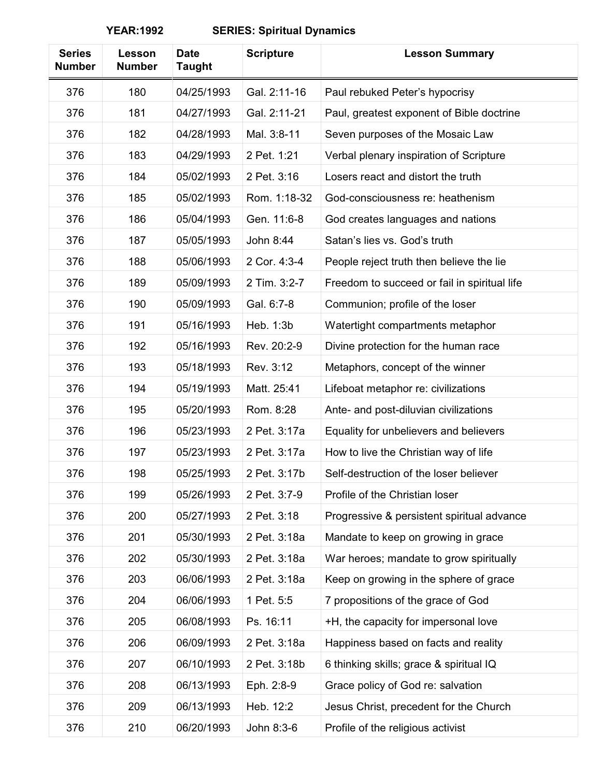| <b>Series</b><br><b>Number</b> | Lesson<br><b>Number</b> | <b>Date</b><br><b>Taught</b> | <b>Scripture</b> | <b>Lesson Summary</b>                        |
|--------------------------------|-------------------------|------------------------------|------------------|----------------------------------------------|
| 376                            | 180                     | 04/25/1993                   | Gal. 2:11-16     | Paul rebuked Peter's hypocrisy               |
| 376                            | 181                     | 04/27/1993                   | Gal. 2:11-21     | Paul, greatest exponent of Bible doctrine    |
| 376                            | 182                     | 04/28/1993                   | Mal. 3:8-11      | Seven purposes of the Mosaic Law             |
| 376                            | 183                     | 04/29/1993                   | 2 Pet. 1:21      | Verbal plenary inspiration of Scripture      |
| 376                            | 184                     | 05/02/1993                   | 2 Pet. 3:16      | Losers react and distort the truth           |
| 376                            | 185                     | 05/02/1993                   | Rom. 1:18-32     | God-consciousness re: heathenism             |
| 376                            | 186                     | 05/04/1993                   | Gen. 11:6-8      | God creates languages and nations            |
| 376                            | 187                     | 05/05/1993                   | John 8:44        | Satan's lies vs. God's truth                 |
| 376                            | 188                     | 05/06/1993                   | 2 Cor. 4:3-4     | People reject truth then believe the lie     |
| 376                            | 189                     | 05/09/1993                   | 2 Tim. 3:2-7     | Freedom to succeed or fail in spiritual life |
| 376                            | 190                     | 05/09/1993                   | Gal. 6:7-8       | Communion; profile of the loser              |
| 376                            | 191                     | 05/16/1993                   | Heb. 1:3b        | Watertight compartments metaphor             |
| 376                            | 192                     | 05/16/1993                   | Rev. 20:2-9      | Divine protection for the human race         |
| 376                            | 193                     | 05/18/1993                   | Rev. 3:12        | Metaphors, concept of the winner             |
| 376                            | 194                     | 05/19/1993                   | Matt. 25:41      | Lifeboat metaphor re: civilizations          |
| 376                            | 195                     | 05/20/1993                   | Rom. 8:28        | Ante- and post-diluvian civilizations        |
| 376                            | 196                     | 05/23/1993                   | 2 Pet. 3:17a     | Equality for unbelievers and believers       |
| 376                            | 197                     | 05/23/1993                   | 2 Pet. 3:17a     | How to live the Christian way of life        |
| 376                            | 198                     | 05/25/1993                   | 2 Pet. 3:17b     | Self-destruction of the loser believer       |
| 376                            | 199                     | 05/26/1993                   | 2 Pet. 3:7-9     | Profile of the Christian loser               |
| 376                            | 200                     | 05/27/1993                   | 2 Pet. 3:18      | Progressive & persistent spiritual advance   |
| 376                            | 201                     | 05/30/1993                   | 2 Pet. 3:18a     | Mandate to keep on growing in grace          |
| 376                            | 202                     | 05/30/1993                   | 2 Pet. 3:18a     | War heroes; mandate to grow spiritually      |
| 376                            | 203                     | 06/06/1993                   | 2 Pet. 3:18a     | Keep on growing in the sphere of grace       |
| 376                            | 204                     | 06/06/1993                   | 1 Pet. 5:5       | 7 propositions of the grace of God           |
| 376                            | 205                     | 06/08/1993                   | Ps. 16:11        | +H, the capacity for impersonal love         |
| 376                            | 206                     | 06/09/1993                   | 2 Pet. 3:18a     | Happiness based on facts and reality         |
| 376                            | 207                     | 06/10/1993                   | 2 Pet. 3:18b     | 6 thinking skills; grace & spiritual IQ      |
| 376                            | 208                     | 06/13/1993                   | Eph. 2:8-9       | Grace policy of God re: salvation            |
| 376                            | 209                     | 06/13/1993                   | Heb. 12:2        | Jesus Christ, precedent for the Church       |
| 376                            | 210                     | 06/20/1993                   | John 8:3-6       | Profile of the religious activist            |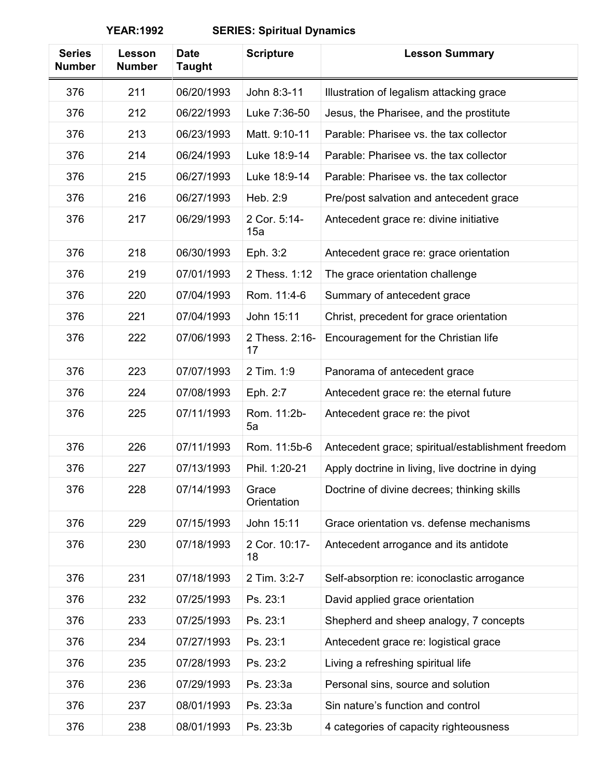| <b>Series</b><br><b>Number</b> | Lesson<br><b>Number</b> | <b>Date</b><br><b>Taught</b> | <b>Scripture</b>     | <b>Lesson Summary</b>                             |
|--------------------------------|-------------------------|------------------------------|----------------------|---------------------------------------------------|
| 376                            | 211                     | 06/20/1993                   | John 8:3-11          | Illustration of legalism attacking grace          |
| 376                            | 212                     | 06/22/1993                   | Luke 7:36-50         | Jesus, the Pharisee, and the prostitute           |
| 376                            | 213                     | 06/23/1993                   | Matt. 9:10-11        | Parable: Pharisee vs. the tax collector           |
| 376                            | 214                     | 06/24/1993                   | Luke 18:9-14         | Parable: Pharisee vs. the tax collector           |
| 376                            | 215                     | 06/27/1993                   | Luke 18:9-14         | Parable: Pharisee vs. the tax collector           |
| 376                            | 216                     | 06/27/1993                   | Heb. 2:9             | Pre/post salvation and antecedent grace           |
| 376                            | 217                     | 06/29/1993                   | 2 Cor. 5:14-<br>15a  | Antecedent grace re: divine initiative            |
| 376                            | 218                     | 06/30/1993                   | Eph. 3:2             | Antecedent grace re: grace orientation            |
| 376                            | 219                     | 07/01/1993                   | 2 Thess. 1:12        | The grace orientation challenge                   |
| 376                            | 220                     | 07/04/1993                   | Rom. 11:4-6          | Summary of antecedent grace                       |
| 376                            | 221                     | 07/04/1993                   | John 15:11           | Christ, precedent for grace orientation           |
| 376                            | 222                     | 07/06/1993                   | 2 Thess. 2:16-<br>17 | Encouragement for the Christian life              |
| 376                            | 223                     | 07/07/1993                   | 2 Tim. 1:9           | Panorama of antecedent grace                      |
| 376                            | 224                     | 07/08/1993                   | Eph. 2:7             | Antecedent grace re: the eternal future           |
| 376                            | 225                     | 07/11/1993                   | Rom. 11:2b-<br>5a    | Antecedent grace re: the pivot                    |
| 376                            | 226                     | 07/11/1993                   | Rom. 11:5b-6         | Antecedent grace; spiritual/establishment freedom |
| 376                            | 227                     | 07/13/1993                   | Phil. 1:20-21        | Apply doctrine in living, live doctrine in dying  |
| 376                            | 228                     | 07/14/1993                   | Grace<br>Orientation | Doctrine of divine decrees; thinking skills       |
| 376                            | 229                     | 07/15/1993                   | John 15:11           | Grace orientation vs. defense mechanisms          |
| 376                            | 230                     | 07/18/1993                   | 2 Cor. 10:17-<br>18  | Antecedent arrogance and its antidote             |
| 376                            | 231                     | 07/18/1993                   | 2 Tim. 3:2-7         | Self-absorption re: iconoclastic arrogance        |
| 376                            | 232                     | 07/25/1993                   | Ps. 23:1             | David applied grace orientation                   |
| 376                            | 233                     | 07/25/1993                   | Ps. 23:1             | Shepherd and sheep analogy, 7 concepts            |
| 376                            | 234                     | 07/27/1993                   | Ps. 23:1             | Antecedent grace re: logistical grace             |
| 376                            | 235                     | 07/28/1993                   | Ps. 23:2             | Living a refreshing spiritual life                |
| 376                            | 236                     | 07/29/1993                   | Ps. 23:3a            | Personal sins, source and solution                |
| 376                            | 237                     | 08/01/1993                   | Ps. 23:3a            | Sin nature's function and control                 |
| 376                            | 238                     | 08/01/1993                   | Ps. 23:3b            | 4 categories of capacity righteousness            |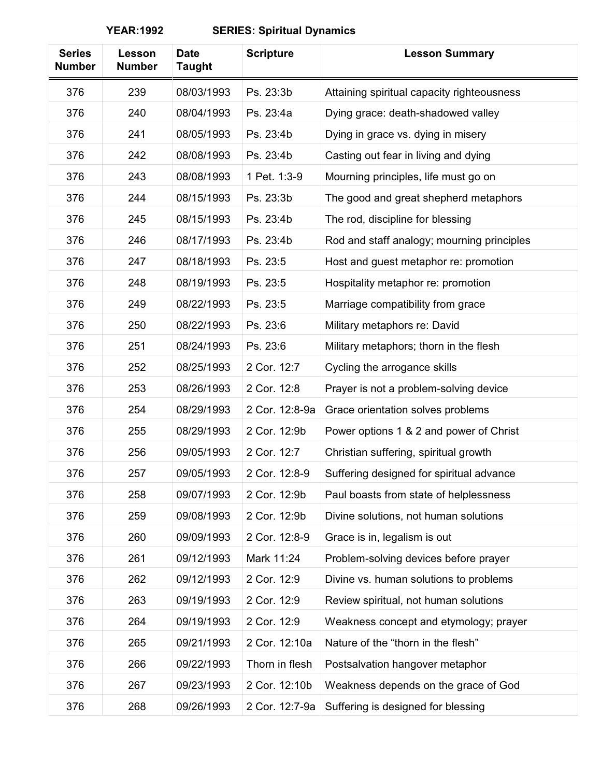| <b>Series</b><br><b>Number</b> | Lesson<br><b>Number</b> | <b>Date</b><br>Taught | <b>Scripture</b> | <b>Lesson Summary</b>                      |
|--------------------------------|-------------------------|-----------------------|------------------|--------------------------------------------|
| 376                            | 239                     | 08/03/1993            | Ps. 23:3b        | Attaining spiritual capacity righteousness |
| 376                            | 240                     | 08/04/1993            | Ps. 23:4a        | Dying grace: death-shadowed valley         |
| 376                            | 241                     | 08/05/1993            | Ps. 23:4b        | Dying in grace vs. dying in misery         |
| 376                            | 242                     | 08/08/1993            | Ps. 23:4b        | Casting out fear in living and dying       |
| 376                            | 243                     | 08/08/1993            | 1 Pet. 1:3-9     | Mourning principles, life must go on       |
| 376                            | 244                     | 08/15/1993            | Ps. 23:3b        | The good and great shepherd metaphors      |
| 376                            | 245                     | 08/15/1993            | Ps. 23:4b        | The rod, discipline for blessing           |
| 376                            | 246                     | 08/17/1993            | Ps. 23:4b        | Rod and staff analogy; mourning principles |
| 376                            | 247                     | 08/18/1993            | Ps. 23:5         | Host and guest metaphor re: promotion      |
| 376                            | 248                     | 08/19/1993            | Ps. 23:5         | Hospitality metaphor re: promotion         |
| 376                            | 249                     | 08/22/1993            | Ps. 23:5         | Marriage compatibility from grace          |
| 376                            | 250                     | 08/22/1993            | Ps. 23:6         | Military metaphors re: David               |
| 376                            | 251                     | 08/24/1993            | Ps. 23:6         | Military metaphors; thorn in the flesh     |
| 376                            | 252                     | 08/25/1993            | 2 Cor. 12:7      | Cycling the arrogance skills               |
| 376                            | 253                     | 08/26/1993            | 2 Cor. 12:8      | Prayer is not a problem-solving device     |
| 376                            | 254                     | 08/29/1993            | 2 Cor. 12:8-9a   | Grace orientation solves problems          |
| 376                            | 255                     | 08/29/1993            | 2 Cor. 12:9b     | Power options 1 & 2 and power of Christ    |
| 376                            | 256                     | 09/05/1993            | 2 Cor. 12:7      | Christian suffering, spiritual growth      |
| 376                            | 257                     | 09/05/1993            | 2 Cor. 12:8-9    | Suffering designed for spiritual advance   |
| 376                            | 258                     | 09/07/1993            | 2 Cor. 12:9b     | Paul boasts from state of helplessness     |
| 376                            | 259                     | 09/08/1993            | 2 Cor. 12:9b     | Divine solutions, not human solutions      |
| 376                            | 260                     | 09/09/1993            | 2 Cor. 12:8-9    | Grace is in, legalism is out               |
| 376                            | 261                     | 09/12/1993            | Mark 11:24       | Problem-solving devices before prayer      |
| 376                            | 262                     | 09/12/1993            | 2 Cor. 12:9      | Divine vs. human solutions to problems     |
| 376                            | 263                     | 09/19/1993            | 2 Cor. 12:9      | Review spiritual, not human solutions      |
| 376                            | 264                     | 09/19/1993            | 2 Cor. 12:9      | Weakness concept and etymology; prayer     |
| 376                            | 265                     | 09/21/1993            | 2 Cor. 12:10a    | Nature of the "thorn in the flesh"         |
| 376                            | 266                     | 09/22/1993            | Thorn in flesh   | Postsalvation hangover metaphor            |
| 376                            | 267                     | 09/23/1993            | 2 Cor. 12:10b    | Weakness depends on the grace of God       |
| 376                            | 268                     | 09/26/1993            | 2 Cor. 12:7-9a   | Suffering is designed for blessing         |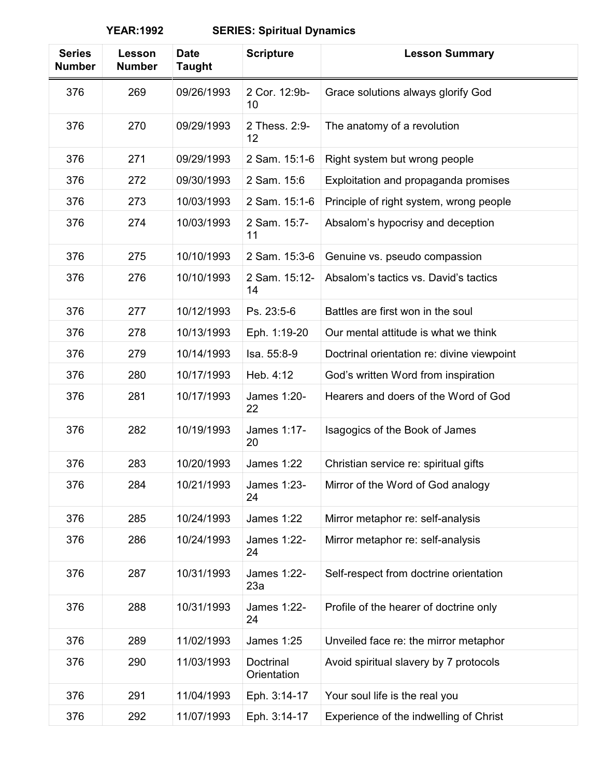| <b>Series</b><br><b>Number</b> | Lesson<br><b>Number</b> | <b>Date</b><br><b>Taught</b> | <b>Scripture</b>         | <b>Lesson Summary</b>                      |
|--------------------------------|-------------------------|------------------------------|--------------------------|--------------------------------------------|
| 376                            | 269                     | 09/26/1993                   | 2 Cor. 12:9b-<br>10      | Grace solutions always glorify God         |
| 376                            | 270                     | 09/29/1993                   | 2 Thess, 2:9-<br>12      | The anatomy of a revolution                |
| 376                            | 271                     | 09/29/1993                   | 2 Sam. 15:1-6            | Right system but wrong people              |
| 376                            | 272                     | 09/30/1993                   | 2 Sam. 15:6              | Exploitation and propaganda promises       |
| 376                            | 273                     | 10/03/1993                   | 2 Sam. 15:1-6            | Principle of right system, wrong people    |
| 376                            | 274                     | 10/03/1993                   | 2 Sam. 15:7-<br>11       | Absalom's hypocrisy and deception          |
| 376                            | 275                     | 10/10/1993                   | 2 Sam. 15:3-6            | Genuine vs. pseudo compassion              |
| 376                            | 276                     | 10/10/1993                   | 2 Sam. 15:12-<br>14      | Absalom's tactics vs. David's tactics      |
| 376                            | 277                     | 10/12/1993                   | Ps. 23:5-6               | Battles are first won in the soul          |
| 376                            | 278                     | 10/13/1993                   | Eph. 1:19-20             | Our mental attitude is what we think       |
| 376                            | 279                     | 10/14/1993                   | Isa. 55:8-9              | Doctrinal orientation re: divine viewpoint |
| 376                            | 280                     | 10/17/1993                   | Heb. 4:12                | God's written Word from inspiration        |
| 376                            | 281                     | 10/17/1993                   | James 1:20-<br>22        | Hearers and doers of the Word of God       |
| 376                            | 282                     | 10/19/1993                   | James 1:17-<br>20        | Isagogics of the Book of James             |
| 376                            | 283                     | 10/20/1993                   | <b>James 1:22</b>        | Christian service re: spiritual gifts      |
| 376                            | 284                     | 10/21/1993                   | James 1:23-<br>24        | Mirror of the Word of God analogy          |
| 376                            | 285                     | 10/24/1993                   | James 1:22               | Mirror metaphor re: self-analysis          |
| 376                            | 286                     | 10/24/1993                   | James 1:22-<br>24        | Mirror metaphor re: self-analysis          |
| 376                            | 287                     | 10/31/1993                   | James 1:22-<br>23a       | Self-respect from doctrine orientation     |
| 376                            | 288                     | 10/31/1993                   | James 1:22-<br>24        | Profile of the hearer of doctrine only     |
| 376                            | 289                     | 11/02/1993                   | <b>James 1:25</b>        | Unveiled face re: the mirror metaphor      |
| 376                            | 290                     | 11/03/1993                   | Doctrinal<br>Orientation | Avoid spiritual slavery by 7 protocols     |
| 376                            | 291                     | 11/04/1993                   | Eph. 3:14-17             | Your soul life is the real you             |
| 376                            | 292                     | 11/07/1993                   | Eph. 3:14-17             | Experience of the indwelling of Christ     |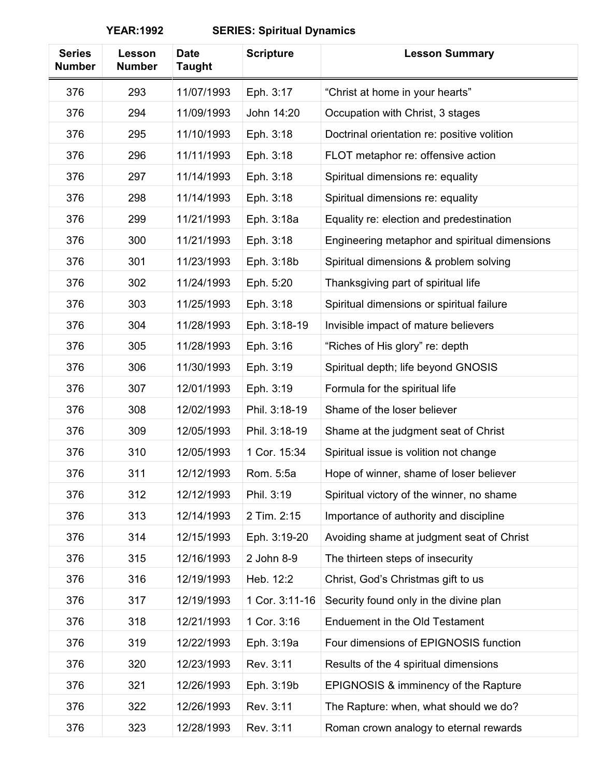| <b>Series</b><br><b>Number</b> | Lesson<br><b>Number</b> | <b>Date</b><br><b>Taught</b> | <b>Scripture</b> | <b>Lesson Summary</b>                         |
|--------------------------------|-------------------------|------------------------------|------------------|-----------------------------------------------|
| 376                            | 293                     | 11/07/1993                   | Eph. 3:17        | "Christ at home in your hearts"               |
| 376                            | 294                     | 11/09/1993                   | John 14:20       | Occupation with Christ, 3 stages              |
| 376                            | 295                     | 11/10/1993                   | Eph. 3:18        | Doctrinal orientation re: positive volition   |
| 376                            | 296                     | 11/11/1993                   | Eph. 3:18        | FLOT metaphor re: offensive action            |
| 376                            | 297                     | 11/14/1993                   | Eph. 3:18        | Spiritual dimensions re: equality             |
| 376                            | 298                     | 11/14/1993                   | Eph. 3:18        | Spiritual dimensions re: equality             |
| 376                            | 299                     | 11/21/1993                   | Eph. 3:18a       | Equality re: election and predestination      |
| 376                            | 300                     | 11/21/1993                   | Eph. 3:18        | Engineering metaphor and spiritual dimensions |
| 376                            | 301                     | 11/23/1993                   | Eph. 3:18b       | Spiritual dimensions & problem solving        |
| 376                            | 302                     | 11/24/1993                   | Eph. 5:20        | Thanksgiving part of spiritual life           |
| 376                            | 303                     | 11/25/1993                   | Eph. 3:18        | Spiritual dimensions or spiritual failure     |
| 376                            | 304                     | 11/28/1993                   | Eph. 3:18-19     | Invisible impact of mature believers          |
| 376                            | 305                     | 11/28/1993                   | Eph. 3:16        | "Riches of His glory" re: depth               |
| 376                            | 306                     | 11/30/1993                   | Eph. 3:19        | Spiritual depth; life beyond GNOSIS           |
| 376                            | 307                     | 12/01/1993                   | Eph. 3:19        | Formula for the spiritual life                |
| 376                            | 308                     | 12/02/1993                   | Phil. 3:18-19    | Shame of the loser believer                   |
| 376                            | 309                     | 12/05/1993                   | Phil. 3:18-19    | Shame at the judgment seat of Christ          |
| 376                            | 310                     | 12/05/1993                   | 1 Cor. 15:34     | Spiritual issue is volition not change        |
| 376                            | 311                     | 12/12/1993                   | Rom. 5:5a        | Hope of winner, shame of loser believer       |
| 376                            | 312                     | 12/12/1993                   | Phil. 3:19       | Spiritual victory of the winner, no shame     |
| 376                            | 313                     | 12/14/1993                   | 2 Tim. 2:15      | Importance of authority and discipline        |
| 376                            | 314                     | 12/15/1993                   | Eph. 3:19-20     | Avoiding shame at judgment seat of Christ     |
| 376                            | 315                     | 12/16/1993                   | 2 John 8-9       | The thirteen steps of insecurity              |
| 376                            | 316                     | 12/19/1993                   | Heb. 12:2        | Christ, God's Christmas gift to us            |
| 376                            | 317                     | 12/19/1993                   | 1 Cor. 3:11-16   | Security found only in the divine plan        |
| 376                            | 318                     | 12/21/1993                   | 1 Cor. 3:16      | Enduement in the Old Testament                |
| 376                            | 319                     | 12/22/1993                   | Eph. 3:19a       | Four dimensions of EPIGNOSIS function         |
| 376                            | 320                     | 12/23/1993                   | Rev. 3:11        | Results of the 4 spiritual dimensions         |
| 376                            | 321                     | 12/26/1993                   | Eph. 3:19b       | EPIGNOSIS & imminency of the Rapture          |
| 376                            | 322                     | 12/26/1993                   | Rev. 3:11        | The Rapture: when, what should we do?         |
| 376                            | 323                     | 12/28/1993                   | Rev. 3:11        | Roman crown analogy to eternal rewards        |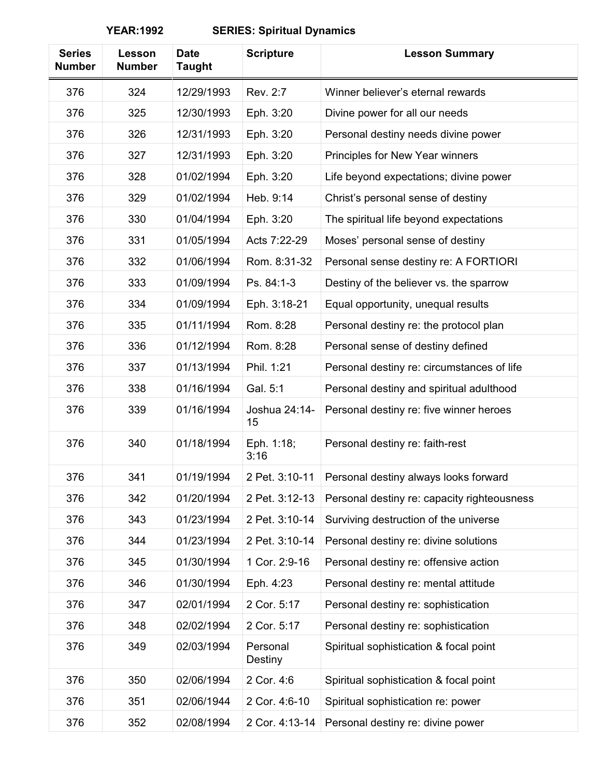| <b>Series</b><br><b>Number</b> | Lesson<br><b>Number</b> | <b>Date</b><br><b>Taught</b> | <b>Scripture</b>    | <b>Lesson Summary</b>                       |
|--------------------------------|-------------------------|------------------------------|---------------------|---------------------------------------------|
| 376                            | 324                     | 12/29/1993                   | Rev. 2:7            | Winner believer's eternal rewards           |
| 376                            | 325                     | 12/30/1993                   | Eph. 3:20           | Divine power for all our needs              |
| 376                            | 326                     | 12/31/1993                   | Eph. 3:20           | Personal destiny needs divine power         |
| 376                            | 327                     | 12/31/1993                   | Eph. 3:20           | Principles for New Year winners             |
| 376                            | 328                     | 01/02/1994                   | Eph. 3:20           | Life beyond expectations; divine power      |
| 376                            | 329                     | 01/02/1994                   | Heb. 9:14           | Christ's personal sense of destiny          |
| 376                            | 330                     | 01/04/1994                   | Eph. 3:20           | The spiritual life beyond expectations      |
| 376                            | 331                     | 01/05/1994                   | Acts 7:22-29        | Moses' personal sense of destiny            |
| 376                            | 332                     | 01/06/1994                   | Rom. 8:31-32        | Personal sense destiny re: A FORTIORI       |
| 376                            | 333                     | 01/09/1994                   | Ps. 84:1-3          | Destiny of the believer vs. the sparrow     |
| 376                            | 334                     | 01/09/1994                   | Eph. 3:18-21        | Equal opportunity, unequal results          |
| 376                            | 335                     | 01/11/1994                   | Rom. 8:28           | Personal destiny re: the protocol plan      |
| 376                            | 336                     | 01/12/1994                   | Rom. 8:28           | Personal sense of destiny defined           |
| 376                            | 337                     | 01/13/1994                   | Phil. 1:21          | Personal destiny re: circumstances of life  |
| 376                            | 338                     | 01/16/1994                   | Gal. 5:1            | Personal destiny and spiritual adulthood    |
| 376                            | 339                     | 01/16/1994                   | Joshua 24:14-<br>15 | Personal destiny re: five winner heroes     |
| 376                            | 340                     | 01/18/1994                   | Eph. 1:18;<br>3:16  | Personal destiny re: faith-rest             |
| 376                            | 341                     | 01/19/1994                   | 2 Pet. 3:10-11      | Personal destiny always looks forward       |
| 376                            | 342                     | 01/20/1994                   | 2 Pet. 3:12-13      | Personal destiny re: capacity righteousness |
| 376                            | 343                     | 01/23/1994                   | 2 Pet. 3:10-14      | Surviving destruction of the universe       |
| 376                            | 344                     | 01/23/1994                   | 2 Pet. 3:10-14      | Personal destiny re: divine solutions       |
| 376                            | 345                     | 01/30/1994                   | 1 Cor. 2:9-16       | Personal destiny re: offensive action       |
| 376                            | 346                     | 01/30/1994                   | Eph. 4:23           | Personal destiny re: mental attitude        |
| 376                            | 347                     | 02/01/1994                   | 2 Cor. 5:17         | Personal destiny re: sophistication         |
| 376                            | 348                     | 02/02/1994                   | 2 Cor. 5:17         | Personal destiny re: sophistication         |
| 376                            | 349                     | 02/03/1994                   | Personal<br>Destiny | Spiritual sophistication & focal point      |
| 376                            | 350                     | 02/06/1994                   | 2 Cor. 4:6          | Spiritual sophistication & focal point      |
| 376                            | 351                     | 02/06/1944                   | 2 Cor. 4:6-10       | Spiritual sophistication re: power          |
| 376                            | 352                     | 02/08/1994                   | 2 Cor. 4:13-14      | Personal destiny re: divine power           |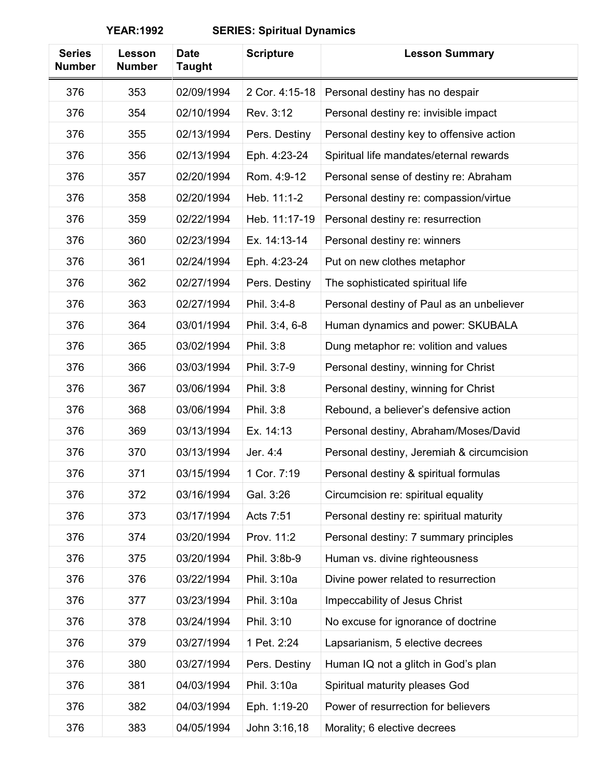| <b>Series</b><br><b>Number</b> | Lesson<br><b>Number</b> | <b>Date</b><br><b>Taught</b> | <b>Scripture</b> | <b>Lesson Summary</b>                     |
|--------------------------------|-------------------------|------------------------------|------------------|-------------------------------------------|
| 376                            | 353                     | 02/09/1994                   | 2 Cor. 4:15-18   | Personal destiny has no despair           |
| 376                            | 354                     | 02/10/1994                   | Rev. 3:12        | Personal destiny re: invisible impact     |
| 376                            | 355                     | 02/13/1994                   | Pers. Destiny    | Personal destiny key to offensive action  |
| 376                            | 356                     | 02/13/1994                   | Eph. 4:23-24     | Spiritual life mandates/eternal rewards   |
| 376                            | 357                     | 02/20/1994                   | Rom. 4:9-12      | Personal sense of destiny re: Abraham     |
| 376                            | 358                     | 02/20/1994                   | Heb. 11:1-2      | Personal destiny re: compassion/virtue    |
| 376                            | 359                     | 02/22/1994                   | Heb. 11:17-19    | Personal destiny re: resurrection         |
| 376                            | 360                     | 02/23/1994                   | Ex. 14:13-14     | Personal destiny re: winners              |
| 376                            | 361                     | 02/24/1994                   | Eph. 4:23-24     | Put on new clothes metaphor               |
| 376                            | 362                     | 02/27/1994                   | Pers. Destiny    | The sophisticated spiritual life          |
| 376                            | 363                     | 02/27/1994                   | Phil. 3:4-8      | Personal destiny of Paul as an unbeliever |
| 376                            | 364                     | 03/01/1994                   | Phil. 3:4, 6-8   | Human dynamics and power: SKUBALA         |
| 376                            | 365                     | 03/02/1994                   | Phil. 3:8        | Dung metaphor re: volition and values     |
| 376                            | 366                     | 03/03/1994                   | Phil. 3:7-9      | Personal destiny, winning for Christ      |
| 376                            | 367                     | 03/06/1994                   | Phil. 3:8        | Personal destiny, winning for Christ      |
| 376                            | 368                     | 03/06/1994                   | Phil. 3:8        | Rebound, a believer's defensive action    |
| 376                            | 369                     | 03/13/1994                   | Ex. 14:13        | Personal destiny, Abraham/Moses/David     |
| 376                            | 370                     | 03/13/1994                   | Jer. 4:4         | Personal destiny, Jeremiah & circumcision |
| 376                            | 371                     | 03/15/1994                   | 1 Cor. 7:19      | Personal destiny & spiritual formulas     |
| 376                            | 372                     | 03/16/1994                   | Gal. 3:26        | Circumcision re: spiritual equality       |
| 376                            | 373                     | 03/17/1994                   | Acts 7:51        | Personal destiny re: spiritual maturity   |
| 376                            | 374                     | 03/20/1994                   | Prov. 11:2       | Personal destiny: 7 summary principles    |
| 376                            | 375                     | 03/20/1994                   | Phil. 3:8b-9     | Human vs. divine righteousness            |
| 376                            | 376                     | 03/22/1994                   | Phil. 3:10a      | Divine power related to resurrection      |
| 376                            | 377                     | 03/23/1994                   | Phil. 3:10a      | Impeccability of Jesus Christ             |
| 376                            | 378                     | 03/24/1994                   | Phil. 3:10       | No excuse for ignorance of doctrine       |
| 376                            | 379                     | 03/27/1994                   | 1 Pet. 2:24      | Lapsarianism, 5 elective decrees          |
| 376                            | 380                     | 03/27/1994                   | Pers. Destiny    | Human IQ not a glitch in God's plan       |
| 376                            | 381                     | 04/03/1994                   | Phil. 3:10a      | Spiritual maturity pleases God            |
| 376                            | 382                     | 04/03/1994                   | Eph. 1:19-20     | Power of resurrection for believers       |
| 376                            | 383                     | 04/05/1994                   | John 3:16,18     | Morality; 6 elective decrees              |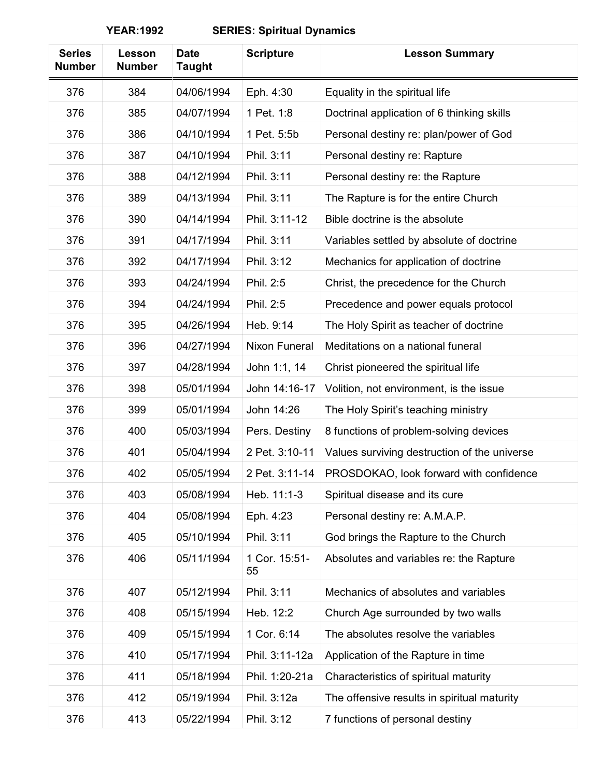| <b>Series</b><br><b>Number</b> | Lesson<br><b>Number</b> | <b>Date</b><br><b>Taught</b> | <b>Scripture</b>     | <b>Lesson Summary</b>                        |
|--------------------------------|-------------------------|------------------------------|----------------------|----------------------------------------------|
| 376                            | 384                     | 04/06/1994                   | Eph. 4:30            | Equality in the spiritual life               |
| 376                            | 385                     | 04/07/1994                   | 1 Pet. 1:8           | Doctrinal application of 6 thinking skills   |
| 376                            | 386                     | 04/10/1994                   | 1 Pet. 5:5b          | Personal destiny re: plan/power of God       |
| 376                            | 387                     | 04/10/1994                   | Phil. 3:11           | Personal destiny re: Rapture                 |
| 376                            | 388                     | 04/12/1994                   | Phil. 3:11           | Personal destiny re: the Rapture             |
| 376                            | 389                     | 04/13/1994                   | Phil. 3:11           | The Rapture is for the entire Church         |
| 376                            | 390                     | 04/14/1994                   | Phil. 3:11-12        | Bible doctrine is the absolute               |
| 376                            | 391                     | 04/17/1994                   | Phil. 3:11           | Variables settled by absolute of doctrine    |
| 376                            | 392                     | 04/17/1994                   | Phil. 3:12           | Mechanics for application of doctrine        |
| 376                            | 393                     | 04/24/1994                   | Phil. 2:5            | Christ, the precedence for the Church        |
| 376                            | 394                     | 04/24/1994                   | Phil. 2:5            | Precedence and power equals protocol         |
| 376                            | 395                     | 04/26/1994                   | Heb. 9:14            | The Holy Spirit as teacher of doctrine       |
| 376                            | 396                     | 04/27/1994                   | <b>Nixon Funeral</b> | Meditations on a national funeral            |
| 376                            | 397                     | 04/28/1994                   | John 1:1, 14         | Christ pioneered the spiritual life          |
| 376                            | 398                     | 05/01/1994                   | John 14:16-17        | Volition, not environment, is the issue      |
| 376                            | 399                     | 05/01/1994                   | John 14:26           | The Holy Spirit's teaching ministry          |
| 376                            | 400                     | 05/03/1994                   | Pers. Destiny        | 8 functions of problem-solving devices       |
| 376                            | 401                     | 05/04/1994                   | 2 Pet. 3:10-11       | Values surviving destruction of the universe |
| 376                            | 402                     | 05/05/1994                   | 2 Pet. 3:11-14       | PROSDOKAO, look forward with confidence      |
| 376                            | 403                     | 05/08/1994                   | Heb. 11:1-3          | Spiritual disease and its cure               |
| 376                            | 404                     | 05/08/1994                   | Eph. 4:23            | Personal destiny re: A.M.A.P.                |
| 376                            | 405                     | 05/10/1994                   | Phil. 3:11           | God brings the Rapture to the Church         |
| 376                            | 406                     | 05/11/1994                   | 1 Cor. 15:51-<br>55  | Absolutes and variables re: the Rapture      |
| 376                            | 407                     | 05/12/1994                   | Phil. 3:11           | Mechanics of absolutes and variables         |
| 376                            | 408                     | 05/15/1994                   | Heb. 12:2            | Church Age surrounded by two walls           |
| 376                            | 409                     | 05/15/1994                   | 1 Cor. 6:14          | The absolutes resolve the variables          |
| 376                            | 410                     | 05/17/1994                   | Phil. 3:11-12a       | Application of the Rapture in time           |
| 376                            | 411                     | 05/18/1994                   | Phil. 1:20-21a       | Characteristics of spiritual maturity        |
| 376                            | 412                     | 05/19/1994                   | Phil. 3:12a          | The offensive results in spiritual maturity  |
| 376                            | 413                     | 05/22/1994                   | Phil. 3:12           | 7 functions of personal destiny              |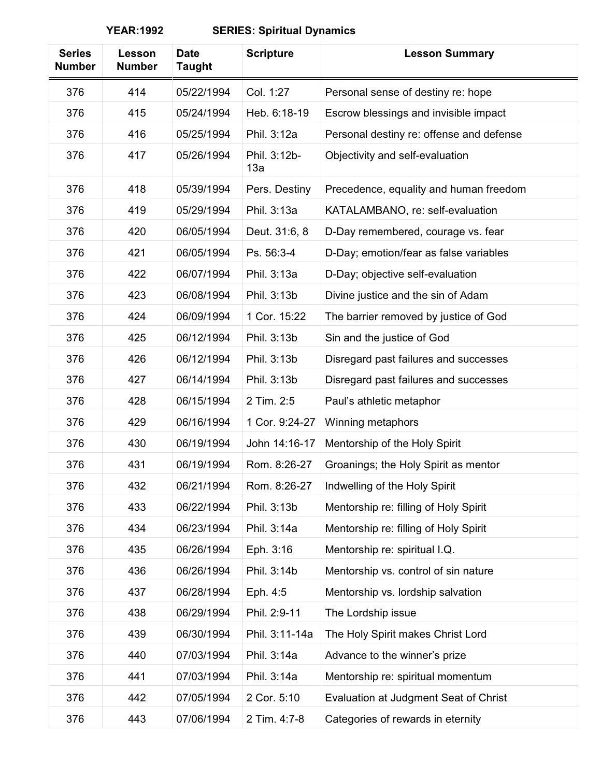| <b>Series</b><br><b>Number</b> | Lesson<br><b>Number</b> | <b>Date</b><br><b>Taught</b> | <b>Scripture</b>    | <b>Lesson Summary</b>                    |
|--------------------------------|-------------------------|------------------------------|---------------------|------------------------------------------|
| 376                            | 414                     | 05/22/1994                   | Col. 1:27           | Personal sense of destiny re: hope       |
| 376                            | 415                     | 05/24/1994                   | Heb. 6:18-19        | Escrow blessings and invisible impact    |
| 376                            | 416                     | 05/25/1994                   | Phil. 3:12a         | Personal destiny re: offense and defense |
| 376                            | 417                     | 05/26/1994                   | Phil. 3:12b-<br>13a | Objectivity and self-evaluation          |
| 376                            | 418                     | 05/39/1994                   | Pers. Destiny       | Precedence, equality and human freedom   |
| 376                            | 419                     | 05/29/1994                   | Phil. 3:13a         | KATALAMBANO, re: self-evaluation         |
| 376                            | 420                     | 06/05/1994                   | Deut. 31:6, 8       | D-Day remembered, courage vs. fear       |
| 376                            | 421                     | 06/05/1994                   | Ps. 56:3-4          | D-Day; emotion/fear as false variables   |
| 376                            | 422                     | 06/07/1994                   | Phil. 3:13a         | D-Day; objective self-evaluation         |
| 376                            | 423                     | 06/08/1994                   | Phil. 3:13b         | Divine justice and the sin of Adam       |
| 376                            | 424                     | 06/09/1994                   | 1 Cor. 15:22        | The barrier removed by justice of God    |
| 376                            | 425                     | 06/12/1994                   | Phil. 3:13b         | Sin and the justice of God               |
| 376                            | 426                     | 06/12/1994                   | Phil. 3:13b         | Disregard past failures and successes    |
| 376                            | 427                     | 06/14/1994                   | Phil. 3:13b         | Disregard past failures and successes    |
| 376                            | 428                     | 06/15/1994                   | 2 Tim. 2:5          | Paul's athletic metaphor                 |
| 376                            | 429                     | 06/16/1994                   | 1 Cor. 9:24-27      | Winning metaphors                        |
| 376                            | 430                     | 06/19/1994                   | John 14:16-17       | Mentorship of the Holy Spirit            |
| 376                            | 431                     | 06/19/1994                   | Rom. 8:26-27        | Groanings; the Holy Spirit as mentor     |
| 376                            | 432                     | 06/21/1994                   | Rom. 8:26-27        | Indwelling of the Holy Spirit            |
| 376                            | 433                     | 06/22/1994                   | Phil. 3:13b         | Mentorship re: filling of Holy Spirit    |
| 376                            | 434                     | 06/23/1994                   | Phil. 3:14a         | Mentorship re: filling of Holy Spirit    |
| 376                            | 435                     | 06/26/1994                   | Eph. 3:16           | Mentorship re: spiritual I.Q.            |
| 376                            | 436                     | 06/26/1994                   | Phil. 3:14b         | Mentorship vs. control of sin nature     |
| 376                            | 437                     | 06/28/1994                   | Eph. 4:5            | Mentorship vs. lordship salvation        |
| 376                            | 438                     | 06/29/1994                   | Phil. 2:9-11        | The Lordship issue                       |
| 376                            | 439                     | 06/30/1994                   | Phil. 3:11-14a      | The Holy Spirit makes Christ Lord        |
| 376                            | 440                     | 07/03/1994                   | Phil. 3:14a         | Advance to the winner's prize            |
| 376                            | 441                     | 07/03/1994                   | Phil. 3:14a         | Mentorship re: spiritual momentum        |
| 376                            | 442                     | 07/05/1994                   | 2 Cor. 5:10         | Evaluation at Judgment Seat of Christ    |
| 376                            | 443                     | 07/06/1994                   | 2 Tim. 4:7-8        | Categories of rewards in eternity        |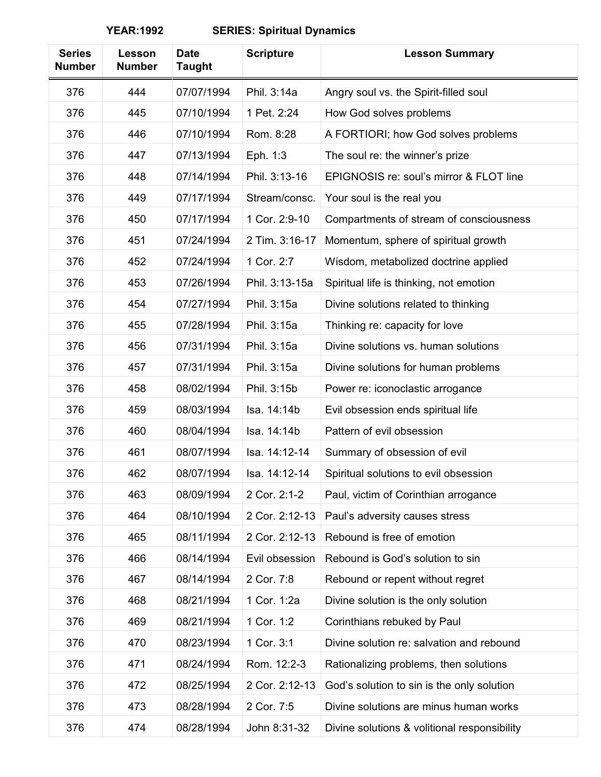| <b>Taught</b>                                                                            |  |
|------------------------------------------------------------------------------------------|--|
| 376<br>444<br>07/07/1994<br>Phil. 3:14a<br>Angry soul vs. the Spirit-filled soul         |  |
| 445<br>1 Pet. 2:24<br>376<br>07/10/1994<br>How God solves problems                       |  |
| 376<br>446<br>07/10/1994<br>Rom. 8:28<br>A FORTIORI; how God solves problems             |  |
| 447<br>Eph. 1:3<br>376<br>07/13/1994<br>The soul re: the winner's prize                  |  |
| Phil. 3:13-16<br>448<br>07/14/1994<br>EPIGNOSIS re: soul's mirror & FLOT line<br>376     |  |
| 449<br>376<br>07/17/1994<br>Stream/consc.<br>Your soul is the real you                   |  |
| 450<br>1 Cor. 2:9-10<br>376<br>07/17/1994<br>Compartments of stream of consciousness     |  |
| 376<br>451<br>07/24/1994<br>2 Tim. 3:16-17<br>Momentum, sphere of spiritual growth       |  |
| 1 Cor. 2:7<br>376<br>452<br>07/24/1994<br>Wisdom, metabolized doctrine applied           |  |
| 453<br>07/26/1994<br>Phil. 3:13-15a<br>Spiritual life is thinking, not emotion<br>376    |  |
| Phil. 3:15a<br>376<br>454<br>07/27/1994<br>Divine solutions related to thinking          |  |
| Phil. 3:15a<br>376<br>455<br>07/28/1994<br>Thinking re: capacity for love                |  |
| 376<br>456<br>07/31/1994<br>Phil. 3:15a<br>Divine solutions vs. human solutions          |  |
| 07/31/1994<br>Phil. 3:15a<br>376<br>457<br>Divine solutions for human problems           |  |
| Phil. 3:15b<br>458<br>08/02/1994<br>Power re: iconoclastic arrogance<br>376              |  |
| 376<br>459<br>08/03/1994<br>Isa. 14:14b<br>Evil obsession ends spiritual life            |  |
| 460<br>Pattern of evil obsession<br>376<br>08/04/1994<br>Isa. 14:14b                     |  |
| 376<br>461<br>08/07/1994<br>Isa. 14:12-14<br>Summary of obsession of evil                |  |
| 462<br>376<br>08/07/1994<br>Isa. 14:12-14<br>Spiritual solutions to evil obsession       |  |
| 463<br>08/09/1994<br>2 Cor. 2:1-2<br>376<br>Paul, victim of Corinthian arrogance         |  |
| 376<br>464<br>2 Cor. 2:12-13<br>08/10/1994<br>Paul's adversity causes stress             |  |
| 465<br>2 Cor. 2:12-13<br>Rebound is free of emotion<br>376<br>08/11/1994                 |  |
| 466<br>08/14/1994<br>Evil obsession<br>Rebound is God's solution to sin<br>376           |  |
| 467<br>08/14/1994<br>376<br>2 Cor. 7:8<br>Rebound or repent without regret               |  |
| 468<br>08/21/1994<br>1 Cor. 1:2a<br>376<br>Divine solution is the only solution          |  |
| 376<br>469<br>08/21/1994<br>1 Cor. 1:2<br>Corinthians rebuked by Paul                    |  |
| 1 Cor. 3:1<br>Divine solution re: salvation and rebound<br>376<br>470<br>08/23/1994      |  |
| Rom. 12:2-3<br>376<br>471<br>08/24/1994<br>Rationalizing problems, then solutions        |  |
| 2 Cor. 2:12-13<br>376<br>472<br>08/25/1994<br>God's solution to sin is the only solution |  |
| 08/28/1994<br>2 Cor. 7:5<br>376<br>473<br>Divine solutions are minus human works         |  |
| 376<br>08/28/1994<br>John 8:31-32<br>474<br>Divine solutions & volitional responsibility |  |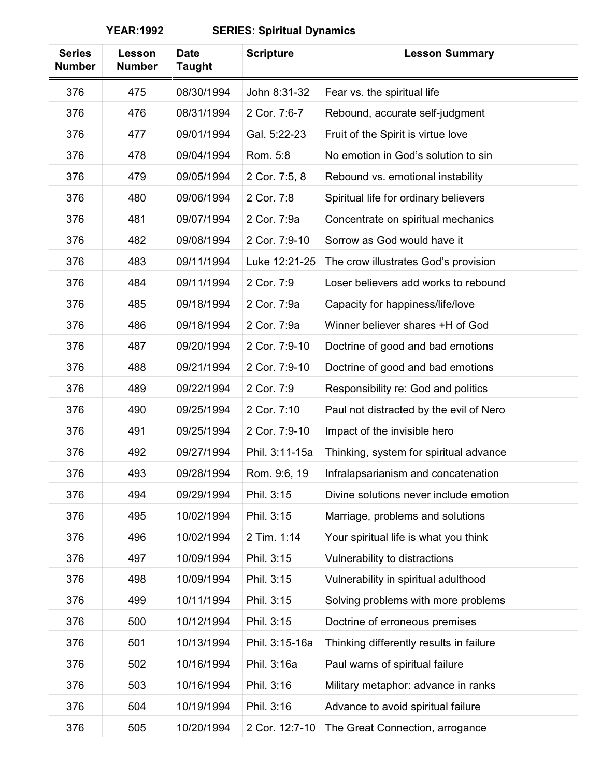| <b>Series</b><br><b>Number</b> | Lesson<br><b>Number</b> | <b>Date</b><br><b>Taught</b> | <b>Scripture</b> | <b>Lesson Summary</b>                   |
|--------------------------------|-------------------------|------------------------------|------------------|-----------------------------------------|
| 376                            | 475                     | 08/30/1994                   | John 8:31-32     | Fear vs. the spiritual life             |
| 376                            | 476                     | 08/31/1994                   | 2 Cor. 7:6-7     | Rebound, accurate self-judgment         |
| 376                            | 477                     | 09/01/1994                   | Gal. 5:22-23     | Fruit of the Spirit is virtue love      |
| 376                            | 478                     | 09/04/1994                   | Rom. 5:8         | No emotion in God's solution to sin     |
| 376                            | 479                     | 09/05/1994                   | 2 Cor. 7:5, 8    | Rebound vs. emotional instability       |
| 376                            | 480                     | 09/06/1994                   | 2 Cor. 7:8       | Spiritual life for ordinary believers   |
| 376                            | 481                     | 09/07/1994                   | 2 Cor. 7:9a      | Concentrate on spiritual mechanics      |
| 376                            | 482                     | 09/08/1994                   | 2 Cor. 7:9-10    | Sorrow as God would have it             |
| 376                            | 483                     | 09/11/1994                   | Luke 12:21-25    | The crow illustrates God's provision    |
| 376                            | 484                     | 09/11/1994                   | 2 Cor. 7:9       | Loser believers add works to rebound    |
| 376                            | 485                     | 09/18/1994                   | 2 Cor. 7:9a      | Capacity for happiness/life/love        |
| 376                            | 486                     | 09/18/1994                   | 2 Cor. 7:9a      | Winner believer shares +H of God        |
| 376                            | 487                     | 09/20/1994                   | 2 Cor. 7:9-10    | Doctrine of good and bad emotions       |
| 376                            | 488                     | 09/21/1994                   | 2 Cor. 7:9-10    | Doctrine of good and bad emotions       |
| 376                            | 489                     | 09/22/1994                   | 2 Cor. 7:9       | Responsibility re: God and politics     |
| 376                            | 490                     | 09/25/1994                   | 2 Cor. 7:10      | Paul not distracted by the evil of Nero |
| 376                            | 491                     | 09/25/1994                   | 2 Cor. 7:9-10    | Impact of the invisible hero            |
| 376                            | 492                     | 09/27/1994                   | Phil. 3:11-15a   | Thinking, system for spiritual advance  |
| 376                            | 493                     | 09/28/1994                   | Rom. 9:6, 19     | Infralapsarianism and concatenation     |
| 376                            | 494                     | 09/29/1994                   | Phil. 3:15       | Divine solutions never include emotion  |
| 376                            | 495                     | 10/02/1994                   | Phil. 3:15       | Marriage, problems and solutions        |
| 376                            | 496                     | 10/02/1994                   | 2 Tim. 1:14      | Your spiritual life is what you think   |
| 376                            | 497                     | 10/09/1994                   | Phil. 3:15       | Vulnerability to distractions           |
| 376                            | 498                     | 10/09/1994                   | Phil. 3:15       | Vulnerability in spiritual adulthood    |
| 376                            | 499                     | 10/11/1994                   | Phil. 3:15       | Solving problems with more problems     |
| 376                            | 500                     | 10/12/1994                   | Phil. 3:15       | Doctrine of erroneous premises          |
| 376                            | 501                     | 10/13/1994                   | Phil. 3:15-16a   | Thinking differently results in failure |
| 376                            | 502                     | 10/16/1994                   | Phil. 3:16a      | Paul warns of spiritual failure         |
| 376                            | 503                     | 10/16/1994                   | Phil. 3:16       | Military metaphor: advance in ranks     |
| 376                            | 504                     | 10/19/1994                   | Phil. 3:16       | Advance to avoid spiritual failure      |
| 376                            | 505                     | 10/20/1994                   | 2 Cor. 12:7-10   | The Great Connection, arrogance         |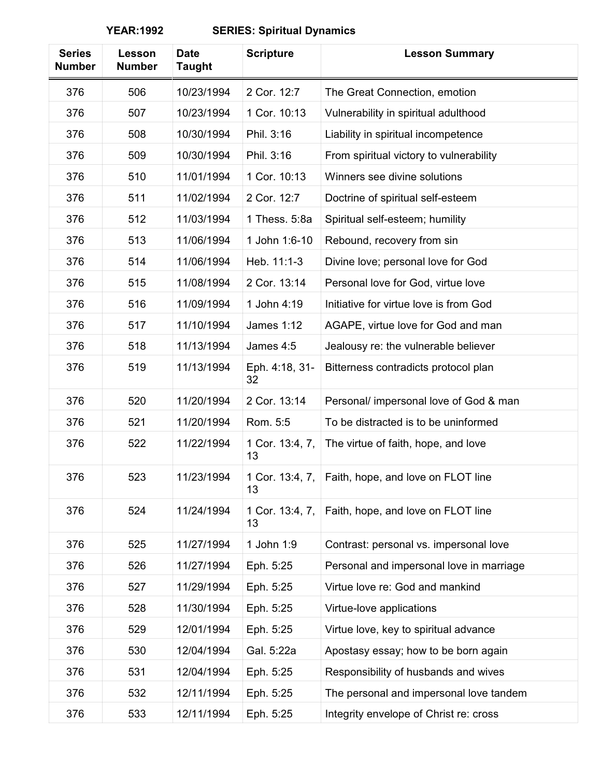| <b>Series</b><br><b>Number</b> | Lesson<br><b>Number</b> | <b>Date</b><br><b>Taught</b> | <b>Scripture</b>      | <b>Lesson Summary</b>                                |
|--------------------------------|-------------------------|------------------------------|-----------------------|------------------------------------------------------|
| 376                            | 506                     | 10/23/1994                   | 2 Cor. 12:7           | The Great Connection, emotion                        |
| 376                            | 507                     | 10/23/1994                   | 1 Cor. 10:13          | Vulnerability in spiritual adulthood                 |
| 376                            | 508                     | 10/30/1994                   | Phil. 3:16            | Liability in spiritual incompetence                  |
| 376                            | 509                     | 10/30/1994                   | Phil. 3:16            | From spiritual victory to vulnerability              |
| 376                            | 510                     | 11/01/1994                   | 1 Cor. 10:13          | Winners see divine solutions                         |
| 376                            | 511                     | 11/02/1994                   | 2 Cor. 12:7           | Doctrine of spiritual self-esteem                    |
| 376                            | 512                     | 11/03/1994                   | 1 Thess. 5:8a         | Spiritual self-esteem; humility                      |
| 376                            | 513                     | 11/06/1994                   | 1 John 1:6-10         | Rebound, recovery from sin                           |
| 376                            | 514                     | 11/06/1994                   | Heb. 11:1-3           | Divine love; personal love for God                   |
| 376                            | 515                     | 11/08/1994                   | 2 Cor. 13:14          | Personal love for God, virtue love                   |
| 376                            | 516                     | 11/09/1994                   | 1 John 4:19           | Initiative for virtue love is from God               |
| 376                            | 517                     | 11/10/1994                   | <b>James 1:12</b>     | AGAPE, virtue love for God and man                   |
| 376                            | 518                     | 11/13/1994                   | James 4:5             | Jealousy re: the vulnerable believer                 |
| 376                            | 519                     | 11/13/1994                   | Eph. 4:18, 31-<br>32  | Bitterness contradicts protocol plan                 |
| 376                            | 520                     | 11/20/1994                   | 2 Cor. 13:14          | Personal/ impersonal love of God & man               |
| 376                            | 521                     | 11/20/1994                   | Rom. 5:5              | To be distracted is to be uninformed                 |
| 376                            | 522                     | 11/22/1994                   | 1 Cor. 13:4, 7,<br>13 | The virtue of faith, hope, and love                  |
| 376                            | 523                     | 11/23/1994                   | 13                    | 1 Cor. 13:4, 7,   Faith, hope, and love on FLOT line |
| 376                            | 524                     | 11/24/1994                   | 1 Cor. 13:4, 7,<br>13 | Faith, hope, and love on FLOT line                   |
| 376                            | 525                     | 11/27/1994                   | 1 John 1:9            | Contrast: personal vs. impersonal love               |
| 376                            | 526                     | 11/27/1994                   | Eph. 5:25             | Personal and impersonal love in marriage             |
| 376                            | 527                     | 11/29/1994                   | Eph. 5:25             | Virtue love re: God and mankind                      |
| 376                            | 528                     | 11/30/1994                   | Eph. 5:25             | Virtue-love applications                             |
| 376                            | 529                     | 12/01/1994                   | Eph. 5:25             | Virtue love, key to spiritual advance                |
| 376                            | 530                     | 12/04/1994                   | Gal. 5:22a            | Apostasy essay; how to be born again                 |
| 376                            | 531                     | 12/04/1994                   | Eph. 5:25             | Responsibility of husbands and wives                 |
| 376                            | 532                     | 12/11/1994                   | Eph. 5:25             | The personal and impersonal love tandem              |
| 376                            | 533                     | 12/11/1994                   | Eph. 5:25             | Integrity envelope of Christ re: cross               |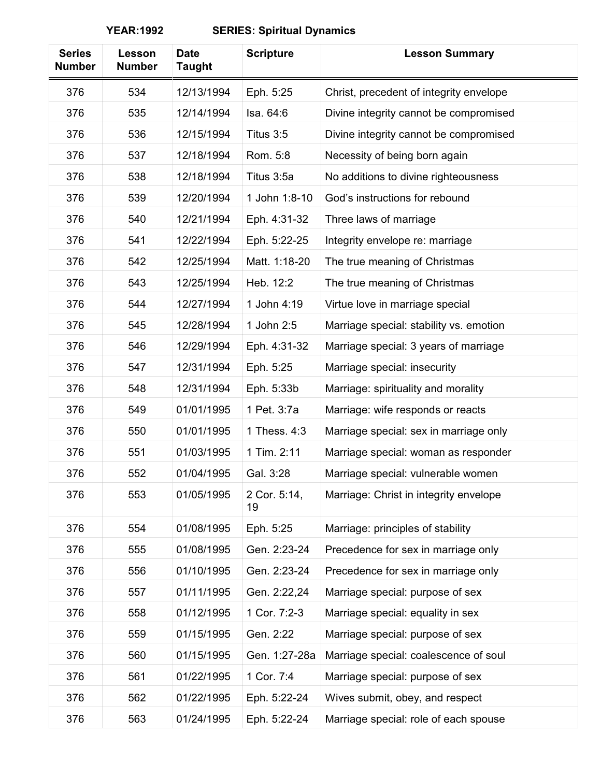| <b>Series</b><br><b>Number</b> | Lesson<br><b>Number</b> | <b>Date</b><br><b>Taught</b> | <b>Scripture</b>   | <b>Lesson Summary</b>                   |
|--------------------------------|-------------------------|------------------------------|--------------------|-----------------------------------------|
| 376                            | 534                     | 12/13/1994                   | Eph. 5:25          | Christ, precedent of integrity envelope |
| 376                            | 535                     | 12/14/1994                   | Isa. 64:6          | Divine integrity cannot be compromised  |
| 376                            | 536                     | 12/15/1994                   | Titus 3:5          | Divine integrity cannot be compromised  |
| 376                            | 537                     | 12/18/1994                   | Rom. 5:8           | Necessity of being born again           |
| 376                            | 538                     | 12/18/1994                   | Titus 3:5a         | No additions to divine righteousness    |
| 376                            | 539                     | 12/20/1994                   | 1 John 1:8-10      | God's instructions for rebound          |
| 376                            | 540                     | 12/21/1994                   | Eph. 4:31-32       | Three laws of marriage                  |
| 376                            | 541                     | 12/22/1994                   | Eph. 5:22-25       | Integrity envelope re: marriage         |
| 376                            | 542                     | 12/25/1994                   | Matt. 1:18-20      | The true meaning of Christmas           |
| 376                            | 543                     | 12/25/1994                   | Heb. 12:2          | The true meaning of Christmas           |
| 376                            | 544                     | 12/27/1994                   | 1 John 4:19        | Virtue love in marriage special         |
| 376                            | 545                     | 12/28/1994                   | 1 John 2:5         | Marriage special: stability vs. emotion |
| 376                            | 546                     | 12/29/1994                   | Eph. 4:31-32       | Marriage special: 3 years of marriage   |
| 376                            | 547                     | 12/31/1994                   | Eph. 5:25          | Marriage special: insecurity            |
| 376                            | 548                     | 12/31/1994                   | Eph. 5:33b         | Marriage: spirituality and morality     |
| 376                            | 549                     | 01/01/1995                   | 1 Pet. 3:7a        | Marriage: wife responds or reacts       |
| 376                            | 550                     | 01/01/1995                   | 1 Thess. 4:3       | Marriage special: sex in marriage only  |
| 376                            | 551                     | 01/03/1995                   | 1 Tim. 2:11        | Marriage special: woman as responder    |
| 376                            | 552                     | 01/04/1995                   | Gal. 3:28          | Marriage special: vulnerable women      |
| 376                            | 553                     | 01/05/1995                   | 2 Cor. 5:14,<br>19 | Marriage: Christ in integrity envelope  |
| 376                            | 554                     | 01/08/1995                   | Eph. 5:25          | Marriage: principles of stability       |
| 376                            | 555                     | 01/08/1995                   | Gen. 2:23-24       | Precedence for sex in marriage only     |
| 376                            | 556                     | 01/10/1995                   | Gen. 2:23-24       | Precedence for sex in marriage only     |
| 376                            | 557                     | 01/11/1995                   | Gen. 2:22,24       | Marriage special: purpose of sex        |
| 376                            | 558                     | 01/12/1995                   | 1 Cor. 7:2-3       | Marriage special: equality in sex       |
| 376                            | 559                     | 01/15/1995                   | Gen. 2:22          | Marriage special: purpose of sex        |
| 376                            | 560                     | 01/15/1995                   | Gen. 1:27-28a      | Marriage special: coalescence of soul   |
| 376                            | 561                     | 01/22/1995                   | 1 Cor. 7:4         | Marriage special: purpose of sex        |
| 376                            | 562                     | 01/22/1995                   | Eph. 5:22-24       | Wives submit, obey, and respect         |
| 376                            | 563                     | 01/24/1995                   | Eph. 5:22-24       | Marriage special: role of each spouse   |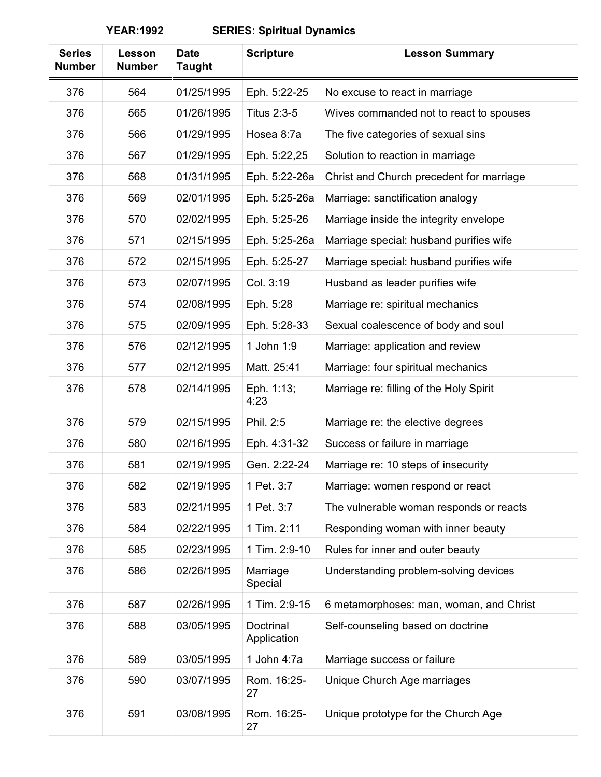| <b>Series</b><br><b>Number</b> | Lesson<br><b>Number</b> | <b>Date</b><br><b>Taught</b> | <b>Scripture</b>         | <b>Lesson Summary</b>                    |
|--------------------------------|-------------------------|------------------------------|--------------------------|------------------------------------------|
| 376                            | 564                     | 01/25/1995                   | Eph. 5:22-25             | No excuse to react in marriage           |
| 376                            | 565                     | 01/26/1995                   | <b>Titus 2:3-5</b>       | Wives commanded not to react to spouses  |
| 376                            | 566                     | 01/29/1995                   | Hosea 8:7a               | The five categories of sexual sins       |
| 376                            | 567                     | 01/29/1995                   | Eph. 5:22,25             | Solution to reaction in marriage         |
| 376                            | 568                     | 01/31/1995                   | Eph. 5:22-26a            | Christ and Church precedent for marriage |
| 376                            | 569                     | 02/01/1995                   | Eph. 5:25-26a            | Marriage: sanctification analogy         |
| 376                            | 570                     | 02/02/1995                   | Eph. 5:25-26             | Marriage inside the integrity envelope   |
| 376                            | 571                     | 02/15/1995                   | Eph. 5:25-26a            | Marriage special: husband purifies wife  |
| 376                            | 572                     | 02/15/1995                   | Eph. 5:25-27             | Marriage special: husband purifies wife  |
| 376                            | 573                     | 02/07/1995                   | Col. 3:19                | Husband as leader purifies wife          |
| 376                            | 574                     | 02/08/1995                   | Eph. 5:28                | Marriage re: spiritual mechanics         |
| 376                            | 575                     | 02/09/1995                   | Eph. 5:28-33             | Sexual coalescence of body and soul      |
| 376                            | 576                     | 02/12/1995                   | 1 John 1:9               | Marriage: application and review         |
| 376                            | 577                     | 02/12/1995                   | Matt. 25:41              | Marriage: four spiritual mechanics       |
| 376                            | 578                     | 02/14/1995                   | Eph. 1:13;<br>4:23       | Marriage re: filling of the Holy Spirit  |
| 376                            | 579                     | 02/15/1995                   | Phil. 2:5                | Marriage re: the elective degrees        |
| 376                            | 580                     | 02/16/1995                   | Eph. 4:31-32             | Success or failure in marriage           |
| 376                            | 581                     | 02/19/1995                   | Gen. 2:22-24             | Marriage re: 10 steps of insecurity      |
| 376                            | 582                     | 02/19/1995                   | 1 Pet. 3:7               | Marriage: women respond or react         |
| 376                            | 583                     | 02/21/1995                   | 1 Pet. 3:7               | The vulnerable woman responds or reacts  |
| 376                            | 584                     | 02/22/1995                   | 1 Tim. 2:11              | Responding woman with inner beauty       |
| 376                            | 585                     | 02/23/1995                   | 1 Tim. 2:9-10            | Rules for inner and outer beauty         |
| 376                            | 586                     | 02/26/1995                   | Marriage<br>Special      | Understanding problem-solving devices    |
| 376                            | 587                     | 02/26/1995                   | 1 Tim. 2:9-15            | 6 metamorphoses: man, woman, and Christ  |
| 376                            | 588                     | 03/05/1995                   | Doctrinal<br>Application | Self-counseling based on doctrine        |
| 376                            | 589                     | 03/05/1995                   | 1 John 4:7a              | Marriage success or failure              |
| 376                            | 590                     | 03/07/1995                   | Rom. 16:25-<br>27        | Unique Church Age marriages              |
| 376                            | 591                     | 03/08/1995                   | Rom. 16:25-<br>27        | Unique prototype for the Church Age      |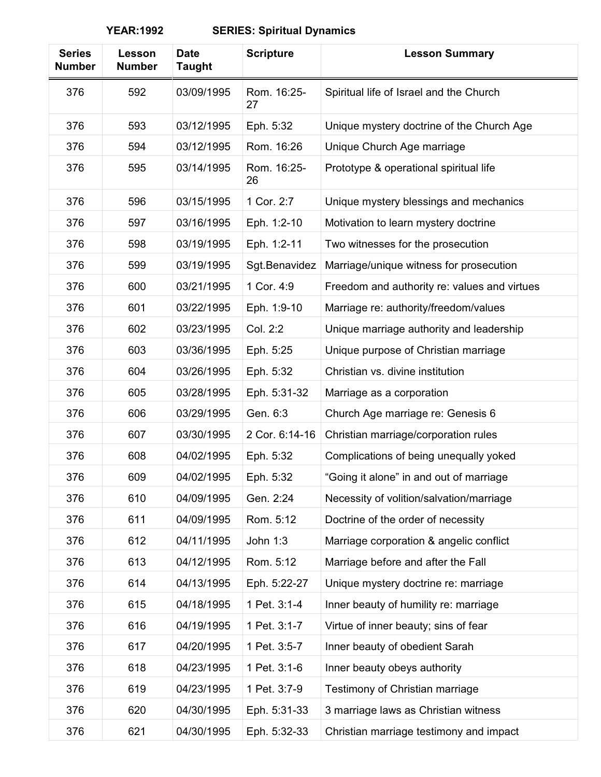| <b>Series</b><br><b>Number</b> | Lesson<br><b>Number</b> | <b>Date</b><br><b>Taught</b> | <b>Scripture</b>  | <b>Lesson Summary</b>                        |
|--------------------------------|-------------------------|------------------------------|-------------------|----------------------------------------------|
| 376                            | 592                     | 03/09/1995                   | Rom. 16:25-<br>27 | Spiritual life of Israel and the Church      |
| 376                            | 593                     | 03/12/1995                   | Eph. 5:32         | Unique mystery doctrine of the Church Age    |
| 376                            | 594                     | 03/12/1995                   | Rom. 16:26        | Unique Church Age marriage                   |
| 376                            | 595                     | 03/14/1995                   | Rom. 16:25-<br>26 | Prototype & operational spiritual life       |
| 376                            | 596                     | 03/15/1995                   | 1 Cor. 2:7        | Unique mystery blessings and mechanics       |
| 376                            | 597                     | 03/16/1995                   | Eph. 1:2-10       | Motivation to learn mystery doctrine         |
| 376                            | 598                     | 03/19/1995                   | Eph. 1:2-11       | Two witnesses for the prosecution            |
| 376                            | 599                     | 03/19/1995                   | Sgt.Benavidez     | Marriage/unique witness for prosecution      |
| 376                            | 600                     | 03/21/1995                   | 1 Cor. 4:9        | Freedom and authority re: values and virtues |
| 376                            | 601                     | 03/22/1995                   | Eph. 1:9-10       | Marriage re: authority/freedom/values        |
| 376                            | 602                     | 03/23/1995                   | Col. 2:2          | Unique marriage authority and leadership     |
| 376                            | 603                     | 03/36/1995                   | Eph. 5:25         | Unique purpose of Christian marriage         |
| 376                            | 604                     | 03/26/1995                   | Eph. 5:32         | Christian vs. divine institution             |
| 376                            | 605                     | 03/28/1995                   | Eph. 5:31-32      | Marriage as a corporation                    |
| 376                            | 606                     | 03/29/1995                   | Gen. 6:3          | Church Age marriage re: Genesis 6            |
| 376                            | 607                     | 03/30/1995                   | 2 Cor. 6:14-16    | Christian marriage/corporation rules         |
| 376                            | 608                     | 04/02/1995                   | Eph. 5:32         | Complications of being unequally yoked       |
| 376                            | 609                     | 04/02/1995                   | Eph. 5:32         | "Going it alone" in and out of marriage      |
| 376                            | 610                     | 04/09/1995                   | Gen. 2:24         | Necessity of volition/salvation/marriage     |
| 376                            | 611                     | 04/09/1995                   | Rom. 5:12         | Doctrine of the order of necessity           |
| 376                            | 612                     | 04/11/1995                   | John 1:3          | Marriage corporation & angelic conflict      |
| 376                            | 613                     | 04/12/1995                   | Rom. 5:12         | Marriage before and after the Fall           |
| 376                            | 614                     | 04/13/1995                   | Eph. 5:22-27      | Unique mystery doctrine re: marriage         |
| 376                            | 615                     | 04/18/1995                   | 1 Pet. 3:1-4      | Inner beauty of humility re: marriage        |
| 376                            | 616                     | 04/19/1995                   | 1 Pet. 3:1-7      | Virtue of inner beauty; sins of fear         |
| 376                            | 617                     | 04/20/1995                   | 1 Pet. 3:5-7      | Inner beauty of obedient Sarah               |
| 376                            | 618                     | 04/23/1995                   | 1 Pet. 3:1-6      | Inner beauty obeys authority                 |
| 376                            | 619                     | 04/23/1995                   | 1 Pet. 3:7-9      | Testimony of Christian marriage              |
| 376                            | 620                     | 04/30/1995                   | Eph. 5:31-33      | 3 marriage laws as Christian witness         |
| 376                            | 621                     | 04/30/1995                   | Eph. 5:32-33      | Christian marriage testimony and impact      |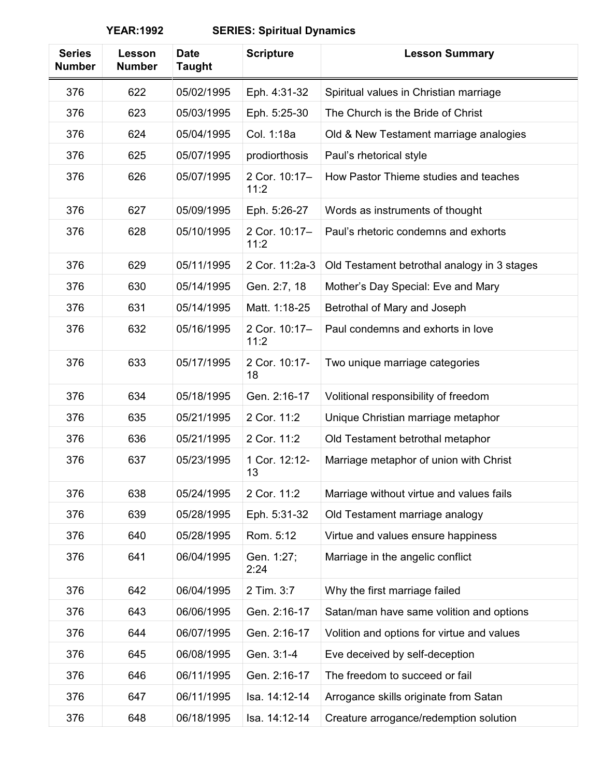| <b>Series</b><br><b>Number</b> | Lesson<br><b>Number</b> | <b>Date</b><br><b>Taught</b> | <b>Scripture</b>      | <b>Lesson Summary</b>                       |
|--------------------------------|-------------------------|------------------------------|-----------------------|---------------------------------------------|
| 376                            | 622                     | 05/02/1995                   | Eph. 4:31-32          | Spiritual values in Christian marriage      |
| 376                            | 623                     | 05/03/1995                   | Eph. 5:25-30          | The Church is the Bride of Christ           |
| 376                            | 624                     | 05/04/1995                   | Col. 1:18a            | Old & New Testament marriage analogies      |
| 376                            | 625                     | 05/07/1995                   | prodiorthosis         | Paul's rhetorical style                     |
| 376                            | 626                     | 05/07/1995                   | 2 Cor. 10:17-<br>11:2 | How Pastor Thieme studies and teaches       |
| 376                            | 627                     | 05/09/1995                   | Eph. 5:26-27          | Words as instruments of thought             |
| 376                            | 628                     | 05/10/1995                   | 2 Cor. 10:17-<br>11:2 | Paul's rhetoric condemns and exhorts        |
| 376                            | 629                     | 05/11/1995                   | 2 Cor. 11:2a-3        | Old Testament betrothal analogy in 3 stages |
| 376                            | 630                     | 05/14/1995                   | Gen. 2:7, 18          | Mother's Day Special: Eve and Mary          |
| 376                            | 631                     | 05/14/1995                   | Matt. 1:18-25         | Betrothal of Mary and Joseph                |
| 376                            | 632                     | 05/16/1995                   | 2 Cor. 10:17-<br>11:2 | Paul condemns and exhorts in love           |
| 376                            | 633                     | 05/17/1995                   | 2 Cor. 10:17-<br>18   | Two unique marriage categories              |
| 376                            | 634                     | 05/18/1995                   | Gen. 2:16-17          | Volitional responsibility of freedom        |
| 376                            | 635                     | 05/21/1995                   | 2 Cor. 11:2           | Unique Christian marriage metaphor          |
| 376                            | 636                     | 05/21/1995                   | 2 Cor. 11:2           | Old Testament betrothal metaphor            |
| 376                            | 637                     | 05/23/1995                   | 1 Cor. 12:12-<br>13   | Marriage metaphor of union with Christ      |
| 376                            | 638                     | 05/24/1995                   | 2 Cor. 11:2           | Marriage without virtue and values fails    |
| 376                            | 639                     | 05/28/1995                   | Eph. 5:31-32          | Old Testament marriage analogy              |
| 376                            | 640                     | 05/28/1995                   | Rom. 5:12             | Virtue and values ensure happiness          |
| 376                            | 641                     | 06/04/1995                   | Gen. 1:27;<br>2:24    | Marriage in the angelic conflict            |
| 376                            | 642                     | 06/04/1995                   | 2 Tim. 3:7            | Why the first marriage failed               |
| 376                            | 643                     | 06/06/1995                   | Gen. 2:16-17          | Satan/man have same volition and options    |
| 376                            | 644                     | 06/07/1995                   | Gen. 2:16-17          | Volition and options for virtue and values  |
| 376                            | 645                     | 06/08/1995                   | Gen. 3:1-4            | Eve deceived by self-deception              |
| 376                            | 646                     | 06/11/1995                   | Gen. 2:16-17          | The freedom to succeed or fail              |
| 376                            | 647                     | 06/11/1995                   | Isa. 14:12-14         | Arrogance skills originate from Satan       |
| 376                            | 648                     | 06/18/1995                   | Isa. 14:12-14         | Creature arrogance/redemption solution      |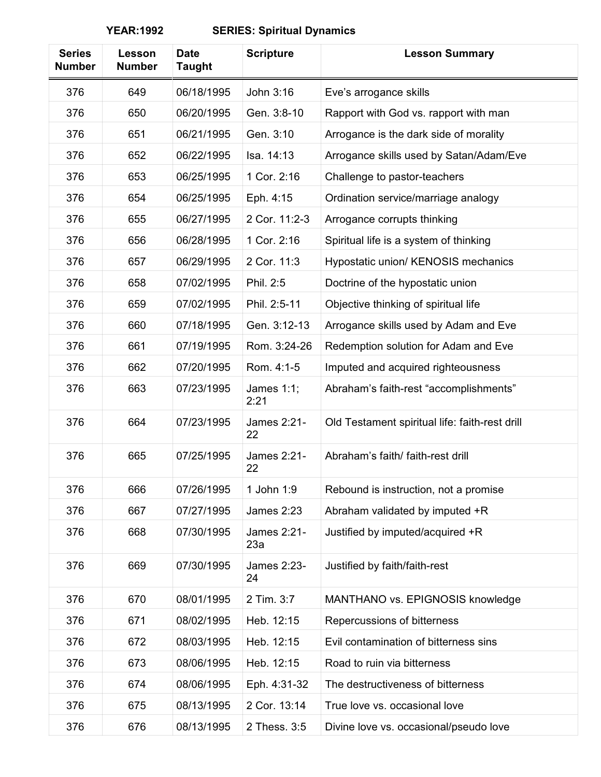| <b>Series</b><br><b>Number</b> | Lesson<br><b>Number</b> | <b>Date</b><br><b>Taught</b> | <b>Scripture</b>   | <b>Lesson Summary</b>                          |
|--------------------------------|-------------------------|------------------------------|--------------------|------------------------------------------------|
| 376                            | 649                     | 06/18/1995                   | John 3:16          | Eve's arrogance skills                         |
| 376                            | 650                     | 06/20/1995                   | Gen. 3:8-10        | Rapport with God vs. rapport with man          |
| 376                            | 651                     | 06/21/1995                   | Gen. 3:10          | Arrogance is the dark side of morality         |
| 376                            | 652                     | 06/22/1995                   | Isa. 14:13         | Arrogance skills used by Satan/Adam/Eve        |
| 376                            | 653                     | 06/25/1995                   | 1 Cor. 2:16        | Challenge to pastor-teachers                   |
| 376                            | 654                     | 06/25/1995                   | Eph. 4:15          | Ordination service/marriage analogy            |
| 376                            | 655                     | 06/27/1995                   | 2 Cor. 11:2-3      | Arrogance corrupts thinking                    |
| 376                            | 656                     | 06/28/1995                   | 1 Cor. 2:16        | Spiritual life is a system of thinking         |
| 376                            | 657                     | 06/29/1995                   | 2 Cor. 11:3        | Hypostatic union/ KENOSIS mechanics            |
| 376                            | 658                     | 07/02/1995                   | Phil. 2:5          | Doctrine of the hypostatic union               |
| 376                            | 659                     | 07/02/1995                   | Phil. 2:5-11       | Objective thinking of spiritual life           |
| 376                            | 660                     | 07/18/1995                   | Gen. 3:12-13       | Arrogance skills used by Adam and Eve          |
| 376                            | 661                     | 07/19/1995                   | Rom. 3:24-26       | Redemption solution for Adam and Eve           |
| 376                            | 662                     | 07/20/1995                   | Rom. 4:1-5         | Imputed and acquired righteousness             |
| 376                            | 663                     | 07/23/1995                   | James 1:1;<br>2:21 | Abraham's faith-rest "accomplishments"         |
| 376                            | 664                     | 07/23/1995                   | James 2:21-<br>22  | Old Testament spiritual life: faith-rest drill |
| 376                            | 665                     | 07/25/1995                   | James 2:21-<br>22  | Abraham's faith/ faith-rest drill              |
| 376                            | 666                     | 07/26/1995                   | 1 John 1:9         | Rebound is instruction, not a promise          |
| 376                            | 667                     | 07/27/1995                   | <b>James 2:23</b>  | Abraham validated by imputed +R                |
| 376                            | 668                     | 07/30/1995                   | James 2:21-<br>23a | Justified by imputed/acquired +R               |
| 376                            | 669                     | 07/30/1995                   | James 2:23-<br>24  | Justified by faith/faith-rest                  |
| 376                            | 670                     | 08/01/1995                   | 2 Tim. 3:7         | MANTHANO vs. EPIGNOSIS knowledge               |
| 376                            | 671                     | 08/02/1995                   | Heb. 12:15         | Repercussions of bitterness                    |
| 376                            | 672                     | 08/03/1995                   | Heb. 12:15         | Evil contamination of bitterness sins          |
| 376                            | 673                     | 08/06/1995                   | Heb. 12:15         | Road to ruin via bitterness                    |
| 376                            | 674                     | 08/06/1995                   | Eph. 4:31-32       | The destructiveness of bitterness              |
| 376                            | 675                     | 08/13/1995                   | 2 Cor. 13:14       | True love vs. occasional love                  |
| 376                            | 676                     | 08/13/1995                   | 2 Thess. 3:5       | Divine love vs. occasional/pseudo love         |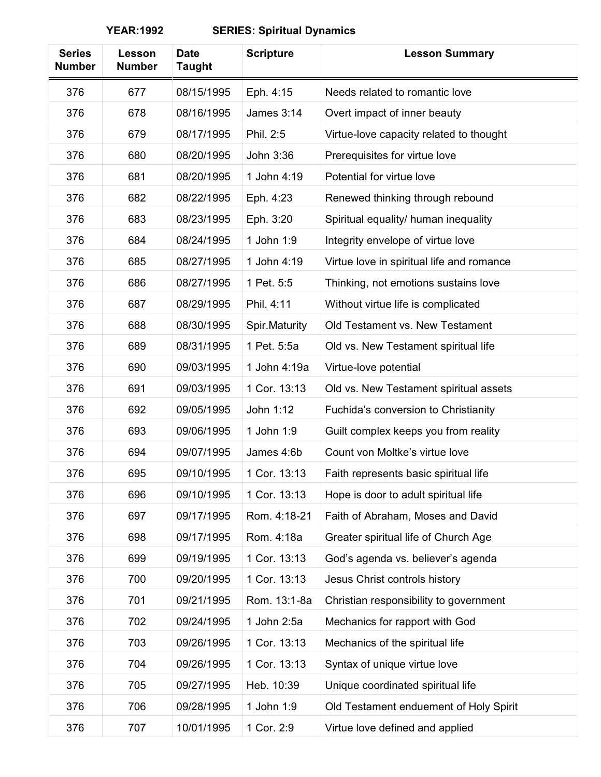| <b>Series</b><br><b>Number</b> | Lesson<br><b>Number</b> | <b>Date</b><br><b>Taught</b> | <b>Scripture</b>  | <b>Lesson Summary</b>                     |
|--------------------------------|-------------------------|------------------------------|-------------------|-------------------------------------------|
| 376                            | 677                     | 08/15/1995                   | Eph. 4:15         | Needs related to romantic love            |
| 376                            | 678                     | 08/16/1995                   | <b>James 3:14</b> | Overt impact of inner beauty              |
| 376                            | 679                     | 08/17/1995                   | Phil. 2:5         | Virtue-love capacity related to thought   |
| 376                            | 680                     | 08/20/1995                   | John 3:36         | Prerequisites for virtue love             |
| 376                            | 681                     | 08/20/1995                   | 1 John 4:19       | Potential for virtue love                 |
| 376                            | 682                     | 08/22/1995                   | Eph. 4:23         | Renewed thinking through rebound          |
| 376                            | 683                     | 08/23/1995                   | Eph. 3:20         | Spiritual equality/ human inequality      |
| 376                            | 684                     | 08/24/1995                   | 1 John 1:9        | Integrity envelope of virtue love         |
| 376                            | 685                     | 08/27/1995                   | 1 John 4:19       | Virtue love in spiritual life and romance |
| 376                            | 686                     | 08/27/1995                   | 1 Pet. 5:5        | Thinking, not emotions sustains love      |
| 376                            | 687                     | 08/29/1995                   | Phil. 4:11        | Without virtue life is complicated        |
| 376                            | 688                     | 08/30/1995                   | Spir.Maturity     | Old Testament vs. New Testament           |
| 376                            | 689                     | 08/31/1995                   | 1 Pet. 5:5a       | Old vs. New Testament spiritual life      |
| 376                            | 690                     | 09/03/1995                   | 1 John 4:19a      | Virtue-love potential                     |
| 376                            | 691                     | 09/03/1995                   | 1 Cor. 13:13      | Old vs. New Testament spiritual assets    |
| 376                            | 692                     | 09/05/1995                   | John 1:12         | Fuchida's conversion to Christianity      |
| 376                            | 693                     | 09/06/1995                   | 1 John 1:9        | Guilt complex keeps you from reality      |
| 376                            | 694                     | 09/07/1995                   | James 4:6b        | Count von Moltke's virtue love            |
| 376                            | 695                     | 09/10/1995                   | 1 Cor. 13:13      | Faith represents basic spiritual life     |
| 376                            | 696                     | 09/10/1995                   | 1 Cor. 13:13      | Hope is door to adult spiritual life      |
| 376                            | 697                     | 09/17/1995                   | Rom. 4:18-21      | Faith of Abraham, Moses and David         |
| 376                            | 698                     | 09/17/1995                   | Rom. 4:18a        | Greater spiritual life of Church Age      |
| 376                            | 699                     | 09/19/1995                   | 1 Cor. 13:13      | God's agenda vs. believer's agenda        |
| 376                            | 700                     | 09/20/1995                   | 1 Cor. 13:13      | Jesus Christ controls history             |
| 376                            | 701                     | 09/21/1995                   | Rom. 13:1-8a      | Christian responsibility to government    |
| 376                            | 702                     | 09/24/1995                   | 1 John 2:5a       | Mechanics for rapport with God            |
| 376                            | 703                     | 09/26/1995                   | 1 Cor. 13:13      | Mechanics of the spiritual life           |
| 376                            | 704                     | 09/26/1995                   | 1 Cor. 13:13      | Syntax of unique virtue love              |
| 376                            | 705                     | 09/27/1995                   | Heb. 10:39        | Unique coordinated spiritual life         |
| 376                            | 706                     | 09/28/1995                   | 1 John 1:9        | Old Testament enduement of Holy Spirit    |
| 376                            | 707                     | 10/01/1995                   | 1 Cor. 2:9        | Virtue love defined and applied           |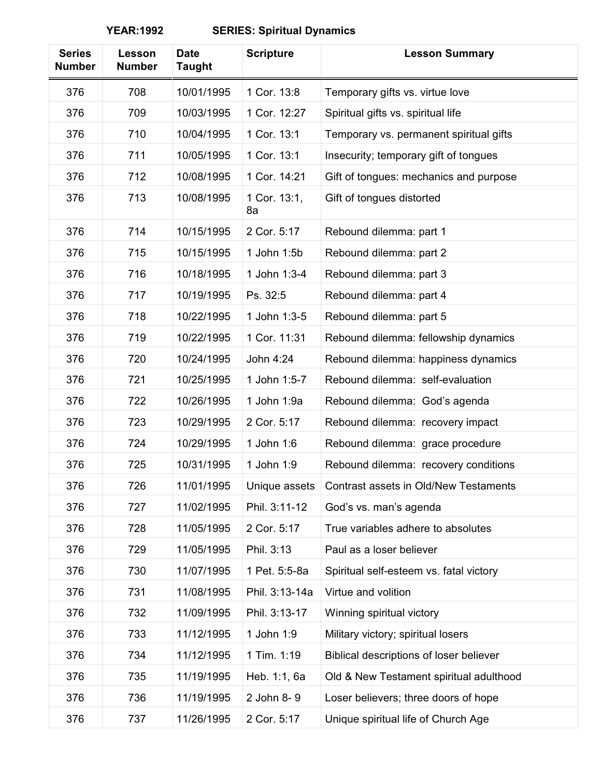| <b>Series</b><br><b>Number</b> | Lesson<br><b>Number</b> | <b>Date</b><br><b>Taught</b> | <b>Scripture</b>   | <b>Lesson Summary</b>                   |
|--------------------------------|-------------------------|------------------------------|--------------------|-----------------------------------------|
| 376                            | 708                     | 10/01/1995                   | 1 Cor. 13:8        | Temporary gifts vs. virtue love         |
| 376                            | 709                     | 10/03/1995                   | 1 Cor. 12:27       | Spiritual gifts vs. spiritual life      |
| 376                            | 710                     | 10/04/1995                   | 1 Cor. 13:1        | Temporary vs. permanent spiritual gifts |
| 376                            | 711                     | 10/05/1995                   | 1 Cor. 13:1        | Insecurity; temporary gift of tongues   |
| 376                            | 712                     | 10/08/1995                   | 1 Cor. 14:21       | Gift of tongues: mechanics and purpose  |
| 376                            | 713                     | 10/08/1995                   | 1 Cor. 13:1,<br>8a | Gift of tongues distorted               |
| 376                            | 714                     | 10/15/1995                   | 2 Cor. 5:17        | Rebound dilemma: part 1                 |
| 376                            | 715                     | 10/15/1995                   | 1 John 1:5b        | Rebound dilemma: part 2                 |
| 376                            | 716                     | 10/18/1995                   | 1 John 1:3-4       | Rebound dilemma: part 3                 |
| 376                            | 717                     | 10/19/1995                   | Ps. 32:5           | Rebound dilemma: part 4                 |
| 376                            | 718                     | 10/22/1995                   | 1 John 1:3-5       | Rebound dilemma: part 5                 |
| 376                            | 719                     | 10/22/1995                   | 1 Cor. 11:31       | Rebound dilemma: fellowship dynamics    |
| 376                            | 720                     | 10/24/1995                   | John 4:24          | Rebound dilemma: happiness dynamics     |
| 376                            | 721                     | 10/25/1995                   | 1 John 1:5-7       | Rebound dilemma: self-evaluation        |
| 376                            | 722                     | 10/26/1995                   | 1 John 1:9a        | Rebound dilemma: God's agenda           |
| 376                            | 723                     | 10/29/1995                   | 2 Cor. 5:17        | Rebound dilemma: recovery impact        |
| 376                            | 724                     | 10/29/1995                   | 1 John 1:6         | Rebound dilemma: grace procedure        |
| 376                            | 725                     | 10/31/1995                   | 1 John 1:9         | Rebound dilemma: recovery conditions    |
| 376                            | 726                     | 11/01/1995                   | Unique assets      | Contrast assets in Old/New Testaments   |
| 376                            | 727                     | 11/02/1995                   | Phil. 3:11-12      | God's vs. man's agenda                  |
| 376                            | 728                     | 11/05/1995                   | 2 Cor. 5:17        | True variables adhere to absolutes      |
| 376                            | 729                     | 11/05/1995                   | Phil. 3:13         | Paul as a loser believer                |
| 376                            | 730                     | 11/07/1995                   | 1 Pet. 5:5-8a      | Spiritual self-esteem vs. fatal victory |
| 376                            | 731                     | 11/08/1995                   | Phil. 3:13-14a     | Virtue and volition                     |
| 376                            | 732                     | 11/09/1995                   | Phil. 3:13-17      | Winning spiritual victory               |
| 376                            | 733                     | 11/12/1995                   | 1 John 1:9         | Military victory; spiritual losers      |
| 376                            | 734                     | 11/12/1995                   | 1 Tim. 1:19        | Biblical descriptions of loser believer |
| 376                            | 735                     | 11/19/1995                   | Heb. 1:1, 6a       | Old & New Testament spiritual adulthood |
| 376                            | 736                     | 11/19/1995                   | 2 John 8-9         | Loser believers; three doors of hope    |
| 376                            | 737                     | 11/26/1995                   | 2 Cor. 5:17        | Unique spiritual life of Church Age     |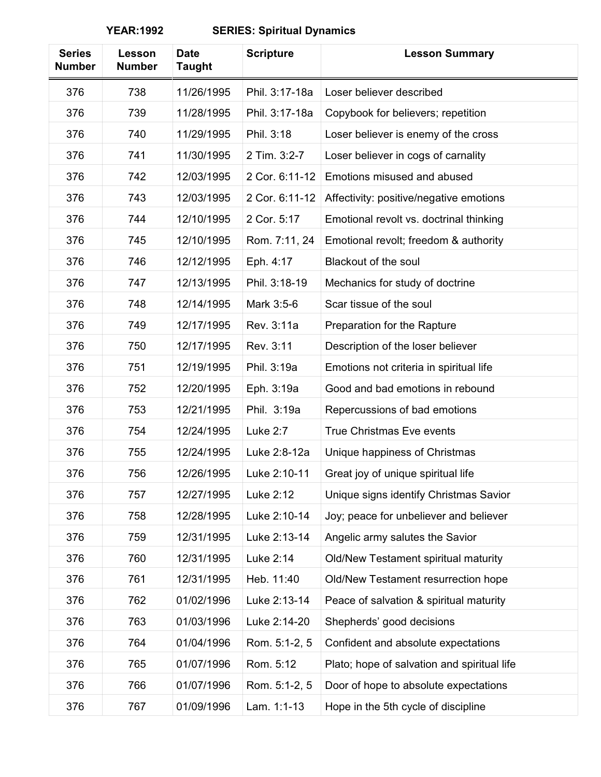| <b>Series</b><br><b>Number</b> | Lesson<br><b>Number</b> | <b>Date</b><br><b>Taught</b> | <b>Scripture</b> | <b>Lesson Summary</b>                       |
|--------------------------------|-------------------------|------------------------------|------------------|---------------------------------------------|
| 376                            | 738                     | 11/26/1995                   | Phil. 3:17-18a   | Loser believer described                    |
| 376                            | 739                     | 11/28/1995                   | Phil. 3:17-18a   | Copybook for believers; repetition          |
| 376                            | 740                     | 11/29/1995                   | Phil. 3:18       | Loser believer is enemy of the cross        |
| 376                            | 741                     | 11/30/1995                   | 2 Tim. 3:2-7     | Loser believer in cogs of carnality         |
| 376                            | 742                     | 12/03/1995                   | 2 Cor. 6:11-12   | Emotions misused and abused                 |
| 376                            | 743                     | 12/03/1995                   | 2 Cor. 6:11-12   | Affectivity: positive/negative emotions     |
| 376                            | 744                     | 12/10/1995                   | 2 Cor. 5:17      | Emotional revolt vs. doctrinal thinking     |
| 376                            | 745                     | 12/10/1995                   | Rom. 7:11, 24    | Emotional revolt; freedom & authority       |
| 376                            | 746                     | 12/12/1995                   | Eph. 4:17        | <b>Blackout of the soul</b>                 |
| 376                            | 747                     | 12/13/1995                   | Phil. 3:18-19    | Mechanics for study of doctrine             |
| 376                            | 748                     | 12/14/1995                   | Mark 3:5-6       | Scar tissue of the soul                     |
| 376                            | 749                     | 12/17/1995                   | Rev. 3:11a       | Preparation for the Rapture                 |
| 376                            | 750                     | 12/17/1995                   | Rev. 3:11        | Description of the loser believer           |
| 376                            | 751                     | 12/19/1995                   | Phil. 3:19a      | Emotions not criteria in spiritual life     |
| 376                            | 752                     | 12/20/1995                   | Eph. 3:19a       | Good and bad emotions in rebound            |
| 376                            | 753                     | 12/21/1995                   | Phil. 3:19a      | Repercussions of bad emotions               |
| 376                            | 754                     | 12/24/1995                   | Luke 2:7         | <b>True Christmas Eve events</b>            |
| 376                            | 755                     | 12/24/1995                   | Luke 2:8-12a     | Unique happiness of Christmas               |
| 376                            | 756                     | 12/26/1995                   | Luke 2:10-11     | Great joy of unique spiritual life          |
| 376                            | 757                     | 12/27/1995                   | Luke 2:12        | Unique signs identify Christmas Savior      |
| 376                            | 758                     | 12/28/1995                   | Luke 2:10-14     | Joy; peace for unbeliever and believer      |
| 376                            | 759                     | 12/31/1995                   | Luke 2:13-14     | Angelic army salutes the Savior             |
| 376                            | 760                     | 12/31/1995                   | Luke 2:14        | Old/New Testament spiritual maturity        |
| 376                            | 761                     | 12/31/1995                   | Heb. 11:40       | Old/New Testament resurrection hope         |
| 376                            | 762                     | 01/02/1996                   | Luke 2:13-14     | Peace of salvation & spiritual maturity     |
| 376                            | 763                     | 01/03/1996                   | Luke 2:14-20     | Shepherds' good decisions                   |
| 376                            | 764                     | 01/04/1996                   | Rom. 5:1-2, 5    | Confident and absolute expectations         |
| 376                            | 765                     | 01/07/1996                   | Rom. 5:12        | Plato; hope of salvation and spiritual life |
| 376                            | 766                     | 01/07/1996                   | Rom. 5:1-2, 5    | Door of hope to absolute expectations       |
| 376                            | 767                     | 01/09/1996                   | Lam. 1:1-13      | Hope in the 5th cycle of discipline         |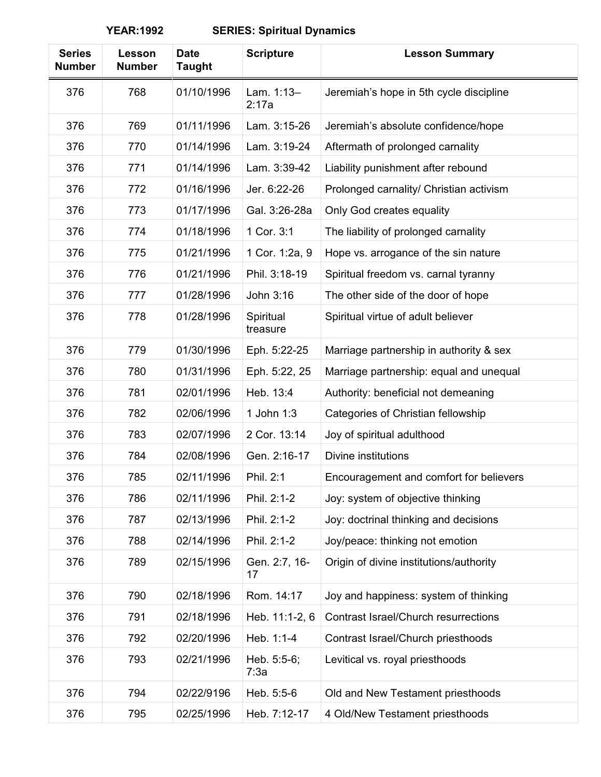| <b>Series</b><br><b>Number</b> | Lesson<br><b>Number</b> | <b>Date</b><br><b>Taught</b> | <b>Scripture</b>      | <b>Lesson Summary</b>                   |
|--------------------------------|-------------------------|------------------------------|-----------------------|-----------------------------------------|
| 376                            | 768                     | 01/10/1996                   | Lam. 1:13-<br>2:17a   | Jeremiah's hope in 5th cycle discipline |
| 376                            | 769                     | 01/11/1996                   | Lam. 3:15-26          | Jeremiah's absolute confidence/hope     |
| 376                            | 770                     | 01/14/1996                   | Lam. 3:19-24          | Aftermath of prolonged carnality        |
| 376                            | 771                     | 01/14/1996                   | Lam. 3:39-42          | Liability punishment after rebound      |
| 376                            | 772                     | 01/16/1996                   | Jer. 6:22-26          | Prolonged carnality/ Christian activism |
| 376                            | 773                     | 01/17/1996                   | Gal. 3:26-28a         | Only God creates equality               |
| 376                            | 774                     | 01/18/1996                   | 1 Cor. 3:1            | The liability of prolonged carnality    |
| 376                            | 775                     | 01/21/1996                   | 1 Cor. 1:2a, 9        | Hope vs. arrogance of the sin nature    |
| 376                            | 776                     | 01/21/1996                   | Phil. 3:18-19         | Spiritual freedom vs. carnal tyranny    |
| 376                            | 777                     | 01/28/1996                   | John 3:16             | The other side of the door of hope      |
| 376                            | 778                     | 01/28/1996                   | Spiritual<br>treasure | Spiritual virtue of adult believer      |
| 376                            | 779                     | 01/30/1996                   | Eph. 5:22-25          | Marriage partnership in authority & sex |
| 376                            | 780                     | 01/31/1996                   | Eph. 5:22, 25         | Marriage partnership: equal and unequal |
| 376                            | 781                     | 02/01/1996                   | Heb. 13:4             | Authority: beneficial not demeaning     |
| 376                            | 782                     | 02/06/1996                   | 1 John 1:3            | Categories of Christian fellowship      |
| 376                            | 783                     | 02/07/1996                   | 2 Cor. 13:14          | Joy of spiritual adulthood              |
| 376                            | 784                     | 02/08/1996                   | Gen. 2:16-17          | Divine institutions                     |
| 376                            | 785                     | 02/11/1996                   | Phil. 2:1             | Encouragement and comfort for believers |
| 376                            | 786                     | 02/11/1996                   | Phil. 2:1-2           | Joy: system of objective thinking       |
| 376                            | 787                     | 02/13/1996                   | Phil. 2:1-2           | Joy: doctrinal thinking and decisions   |
| 376                            | 788                     | 02/14/1996                   | Phil. 2:1-2           | Joy/peace: thinking not emotion         |
| 376                            | 789                     | 02/15/1996                   | Gen. 2:7, 16-<br>17   | Origin of divine institutions/authority |
| 376                            | 790                     | 02/18/1996                   | Rom. 14:17            | Joy and happiness: system of thinking   |
| 376                            | 791                     | 02/18/1996                   | Heb. 11:1-2, 6        | Contrast Israel/Church resurrections    |
| 376                            | 792                     | 02/20/1996                   | Heb. 1:1-4            | Contrast Israel/Church priesthoods      |
| 376                            | 793                     | 02/21/1996                   | Heb. 5:5-6;<br>7:3a   | Levitical vs. royal priesthoods         |
| 376                            | 794                     | 02/22/9196                   | Heb. 5:5-6            | Old and New Testament priesthoods       |
| 376                            | 795                     | 02/25/1996                   | Heb. 7:12-17          | 4 Old/New Testament priesthoods         |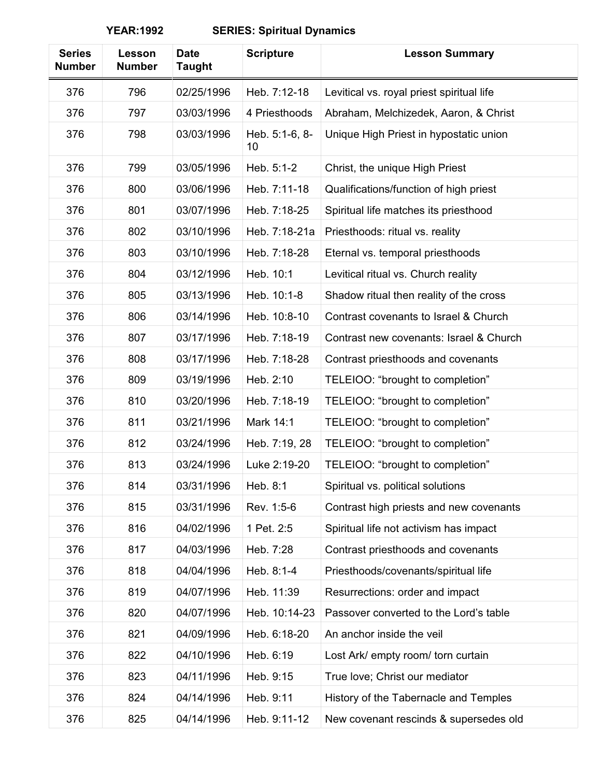| <b>Series</b><br><b>Number</b> | Lesson<br><b>Number</b> | <b>Date</b><br><b>Taught</b> | <b>Scripture</b>     | <b>Lesson Summary</b>                     |
|--------------------------------|-------------------------|------------------------------|----------------------|-------------------------------------------|
| 376                            | 796                     | 02/25/1996                   | Heb. 7:12-18         | Levitical vs. royal priest spiritual life |
| 376                            | 797                     | 03/03/1996                   | 4 Priesthoods        | Abraham, Melchizedek, Aaron, & Christ     |
| 376                            | 798                     | 03/03/1996                   | Heb. 5:1-6, 8-<br>10 | Unique High Priest in hypostatic union    |
| 376                            | 799                     | 03/05/1996                   | Heb. 5:1-2           | Christ, the unique High Priest            |
| 376                            | 800                     | 03/06/1996                   | Heb. 7:11-18         | Qualifications/function of high priest    |
| 376                            | 801                     | 03/07/1996                   | Heb. 7:18-25         | Spiritual life matches its priesthood     |
| 376                            | 802                     | 03/10/1996                   | Heb. 7:18-21a        | Priesthoods: ritual vs. reality           |
| 376                            | 803                     | 03/10/1996                   | Heb. 7:18-28         | Eternal vs. temporal priesthoods          |
| 376                            | 804                     | 03/12/1996                   | Heb. 10:1            | Levitical ritual vs. Church reality       |
| 376                            | 805                     | 03/13/1996                   | Heb. 10:1-8          | Shadow ritual then reality of the cross   |
| 376                            | 806                     | 03/14/1996                   | Heb. 10:8-10         | Contrast covenants to Israel & Church     |
| 376                            | 807                     | 03/17/1996                   | Heb. 7:18-19         | Contrast new covenants: Israel & Church   |
| 376                            | 808                     | 03/17/1996                   | Heb. 7:18-28         | Contrast priesthoods and covenants        |
| 376                            | 809                     | 03/19/1996                   | Heb. 2:10            | TELEIOO: "brought to completion"          |
| 376                            | 810                     | 03/20/1996                   | Heb. 7:18-19         | TELEIOO: "brought to completion"          |
| 376                            | 811                     | 03/21/1996                   | Mark 14:1            | TELEIOO: "brought to completion"          |
| 376                            | 812                     | 03/24/1996                   | Heb. 7:19, 28        | TELEIOO: "brought to completion"          |
| 376                            | 813                     | 03/24/1996                   | Luke 2:19-20         | TELEIOO: "brought to completion"          |
| 376                            | 814                     | 03/31/1996                   | Heb. 8:1             | Spiritual vs. political solutions         |
| 376                            | 815                     | 03/31/1996                   | Rev. 1:5-6           | Contrast high priests and new covenants   |
| 376                            | 816                     | 04/02/1996                   | 1 Pet. 2:5           | Spiritual life not activism has impact    |
| 376                            | 817                     | 04/03/1996                   | Heb. 7:28            | Contrast priesthoods and covenants        |
| 376                            | 818                     | 04/04/1996                   | Heb. 8:1-4           | Priesthoods/covenants/spiritual life      |
| 376                            | 819                     | 04/07/1996                   | Heb. 11:39           | Resurrections: order and impact           |
| 376                            | 820                     | 04/07/1996                   | Heb. 10:14-23        | Passover converted to the Lord's table    |
| 376                            | 821                     | 04/09/1996                   | Heb. 6:18-20         | An anchor inside the veil                 |
| 376                            | 822                     | 04/10/1996                   | Heb. 6:19            | Lost Ark/ empty room/ torn curtain        |
| 376                            | 823                     | 04/11/1996                   | Heb. 9:15            | True love; Christ our mediator            |
| 376                            | 824                     | 04/14/1996                   | Heb. 9:11            | History of the Tabernacle and Temples     |
| 376                            | 825                     | 04/14/1996                   | Heb. 9:11-12         | New covenant rescinds & supersedes old    |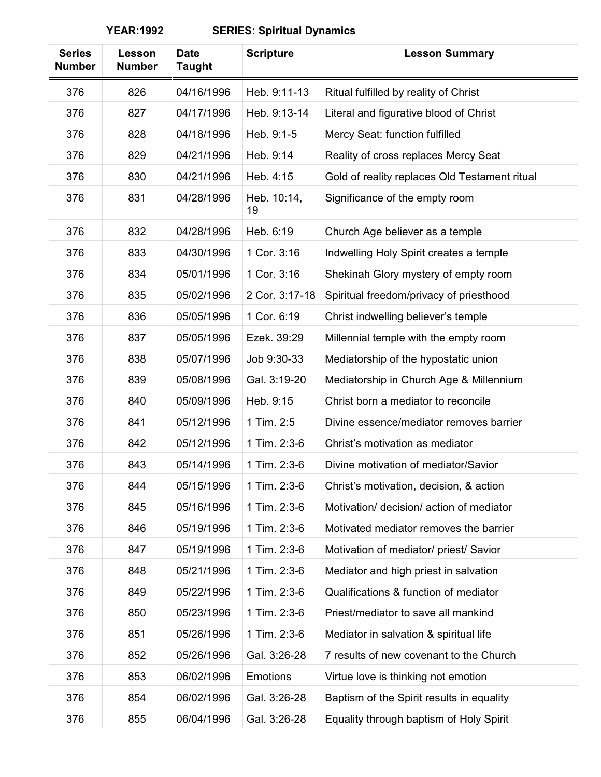| <b>Series</b><br><b>Number</b> | Lesson<br><b>Number</b> | <b>Date</b><br><b>Taught</b> | <b>Scripture</b>  | <b>Lesson Summary</b>                         |
|--------------------------------|-------------------------|------------------------------|-------------------|-----------------------------------------------|
| 376                            | 826                     | 04/16/1996                   | Heb. 9:11-13      | Ritual fulfilled by reality of Christ         |
| 376                            | 827                     | 04/17/1996                   | Heb. 9:13-14      | Literal and figurative blood of Christ        |
| 376                            | 828                     | 04/18/1996                   | Heb. 9:1-5        | Mercy Seat: function fulfilled                |
| 376                            | 829                     | 04/21/1996                   | Heb. 9:14         | Reality of cross replaces Mercy Seat          |
| 376                            | 830                     | 04/21/1996                   | Heb. 4:15         | Gold of reality replaces Old Testament ritual |
| 376                            | 831                     | 04/28/1996                   | Heb. 10:14,<br>19 | Significance of the empty room                |
| 376                            | 832                     | 04/28/1996                   | Heb. 6:19         | Church Age believer as a temple               |
| 376                            | 833                     | 04/30/1996                   | 1 Cor. 3:16       | Indwelling Holy Spirit creates a temple       |
| 376                            | 834                     | 05/01/1996                   | 1 Cor. 3:16       | Shekinah Glory mystery of empty room          |
| 376                            | 835                     | 05/02/1996                   | 2 Cor. 3:17-18    | Spiritual freedom/privacy of priesthood       |
| 376                            | 836                     | 05/05/1996                   | 1 Cor. 6:19       | Christ indwelling believer's temple           |
| 376                            | 837                     | 05/05/1996                   | Ezek. 39:29       | Millennial temple with the empty room         |
| 376                            | 838                     | 05/07/1996                   | Job 9:30-33       | Mediatorship of the hypostatic union          |
| 376                            | 839                     | 05/08/1996                   | Gal. 3:19-20      | Mediatorship in Church Age & Millennium       |
| 376                            | 840                     | 05/09/1996                   | Heb. 9:15         | Christ born a mediator to reconcile           |
| 376                            | 841                     | 05/12/1996                   | 1 Tim. 2:5        | Divine essence/mediator removes barrier       |
| 376                            | 842                     | 05/12/1996                   | 1 Tim. 2:3-6      | Christ's motivation as mediator               |
| 376                            | 843                     | 05/14/1996                   | 1 Tim. 2:3-6      | Divine motivation of mediator/Savior          |
| 376                            | 844                     | 05/15/1996                   | 1 Tim. 2:3-6      | Christ's motivation, decision, & action       |
| 376                            | 845                     | 05/16/1996                   | 1 Tim. 2:3-6      | Motivation/ decision/ action of mediator      |
| 376                            | 846                     | 05/19/1996                   | 1 Tim. 2:3-6      | Motivated mediator removes the barrier        |
| 376                            | 847                     | 05/19/1996                   | 1 Tim. 2:3-6      | Motivation of mediator/ priest/ Savior        |
| 376                            | 848                     | 05/21/1996                   | 1 Tim. 2:3-6      | Mediator and high priest in salvation         |
| 376                            | 849                     | 05/22/1996                   | 1 Tim. 2:3-6      | Qualifications & function of mediator         |
| 376                            | 850                     | 05/23/1996                   | 1 Tim. 2:3-6      | Priest/mediator to save all mankind           |
| 376                            | 851                     | 05/26/1996                   | 1 Tim. 2:3-6      | Mediator in salvation & spiritual life        |
| 376                            | 852                     | 05/26/1996                   | Gal. 3:26-28      | 7 results of new covenant to the Church       |
| 376                            | 853                     | 06/02/1996                   | <b>Emotions</b>   | Virtue love is thinking not emotion           |
| 376                            | 854                     | 06/02/1996                   | Gal. 3:26-28      | Baptism of the Spirit results in equality     |
| 376                            | 855                     | 06/04/1996                   | Gal. 3:26-28      | Equality through baptism of Holy Spirit       |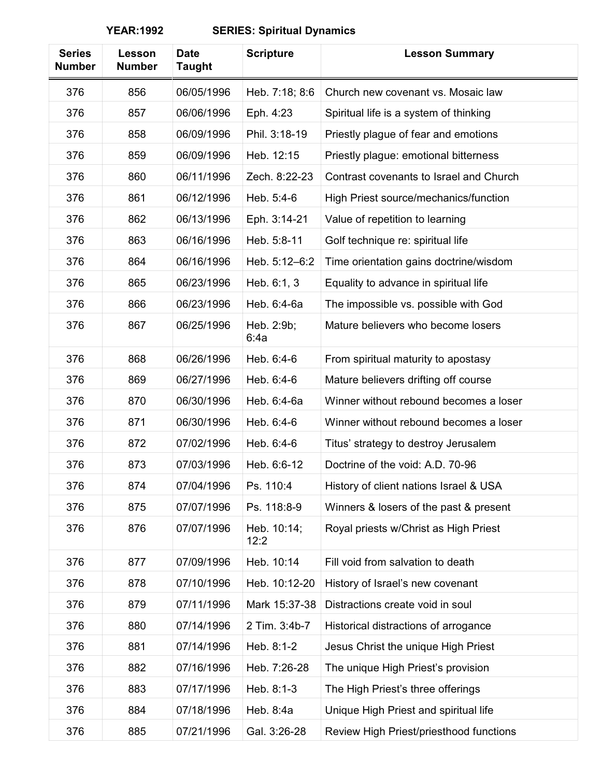| <b>Series</b><br><b>Number</b> | Lesson<br><b>Number</b> | <b>Date</b><br><b>Taught</b> | <b>Scripture</b>    | <b>Lesson Summary</b>                   |
|--------------------------------|-------------------------|------------------------------|---------------------|-----------------------------------------|
| 376                            | 856                     | 06/05/1996                   | Heb. 7:18; 8:6      | Church new covenant vs. Mosaic law      |
| 376                            | 857                     | 06/06/1996                   | Eph. 4:23           | Spiritual life is a system of thinking  |
| 376                            | 858                     | 06/09/1996                   | Phil. 3:18-19       | Priestly plague of fear and emotions    |
| 376                            | 859                     | 06/09/1996                   | Heb. 12:15          | Priestly plague: emotional bitterness   |
| 376                            | 860                     | 06/11/1996                   | Zech. 8:22-23       | Contrast covenants to Israel and Church |
| 376                            | 861                     | 06/12/1996                   | Heb. 5:4-6          | High Priest source/mechanics/function   |
| 376                            | 862                     | 06/13/1996                   | Eph. 3:14-21        | Value of repetition to learning         |
| 376                            | 863                     | 06/16/1996                   | Heb. 5:8-11         | Golf technique re: spiritual life       |
| 376                            | 864                     | 06/16/1996                   | Heb. 5:12-6:2       | Time orientation gains doctrine/wisdom  |
| 376                            | 865                     | 06/23/1996                   | Heb. 6:1, 3         | Equality to advance in spiritual life   |
| 376                            | 866                     | 06/23/1996                   | Heb. 6:4-6a         | The impossible vs. possible with God    |
| 376                            | 867                     | 06/25/1996                   | Heb. 2:9b;<br>6:4a  | Mature believers who become losers      |
| 376                            | 868                     | 06/26/1996                   | Heb. 6:4-6          | From spiritual maturity to apostasy     |
| 376                            | 869                     | 06/27/1996                   | Heb. 6:4-6          | Mature believers drifting off course    |
| 376                            | 870                     | 06/30/1996                   | Heb. 6:4-6a         | Winner without rebound becomes a loser  |
| 376                            | 871                     | 06/30/1996                   | Heb. 6:4-6          | Winner without rebound becomes a loser  |
| 376                            | 872                     | 07/02/1996                   | Heb. 6:4-6          | Titus' strategy to destroy Jerusalem    |
| 376                            | 873                     | 07/03/1996                   | Heb. 6:6-12         | Doctrine of the void: A.D. 70-96        |
| 376                            | 874                     | 07/04/1996                   | Ps. 110:4           | History of client nations Israel & USA  |
| 376                            | 875                     | 07/07/1996                   | Ps. 118:8-9         | Winners & losers of the past & present  |
| 376                            | 876                     | 07/07/1996                   | Heb. 10:14;<br>12:2 | Royal priests w/Christ as High Priest   |
| 376                            | 877                     | 07/09/1996                   | Heb. 10:14          | Fill void from salvation to death       |
| 376                            | 878                     | 07/10/1996                   | Heb. 10:12-20       | History of Israel's new covenant        |
| 376                            | 879                     | 07/11/1996                   | Mark 15:37-38       | Distractions create void in soul        |
| 376                            | 880                     | 07/14/1996                   | 2 Tim. 3:4b-7       | Historical distractions of arrogance    |
| 376                            | 881                     | 07/14/1996                   | Heb. 8:1-2          | Jesus Christ the unique High Priest     |
| 376                            | 882                     | 07/16/1996                   | Heb. 7:26-28        | The unique High Priest's provision      |
| 376                            | 883                     | 07/17/1996                   | Heb. 8:1-3          | The High Priest's three offerings       |
| 376                            | 884                     | 07/18/1996                   | Heb. 8:4a           | Unique High Priest and spiritual life   |
| 376                            | 885                     | 07/21/1996                   | Gal. 3:26-28        | Review High Priest/priesthood functions |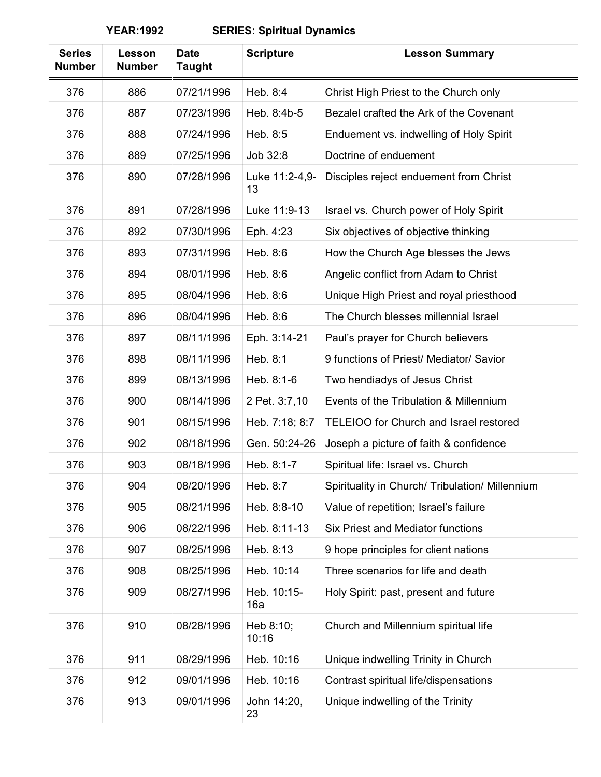| <b>Series</b><br><b>Number</b> | Lesson<br><b>Number</b> | <b>Date</b><br><b>Taught</b> | <b>Scripture</b>     | <b>Lesson Summary</b>                           |
|--------------------------------|-------------------------|------------------------------|----------------------|-------------------------------------------------|
| 376                            | 886                     | 07/21/1996                   | Heb. 8:4             | Christ High Priest to the Church only           |
| 376                            | 887                     | 07/23/1996                   | Heb. 8:4b-5          | Bezalel crafted the Ark of the Covenant         |
| 376                            | 888                     | 07/24/1996                   | Heb. 8:5             | Enduement vs. indwelling of Holy Spirit         |
| 376                            | 889                     | 07/25/1996                   | Job 32:8             | Doctrine of enduement                           |
| 376                            | 890                     | 07/28/1996                   | Luke 11:2-4,9-<br>13 | Disciples reject enduement from Christ          |
| 376                            | 891                     | 07/28/1996                   | Luke 11:9-13         | Israel vs. Church power of Holy Spirit          |
| 376                            | 892                     | 07/30/1996                   | Eph. 4:23            | Six objectives of objective thinking            |
| 376                            | 893                     | 07/31/1996                   | Heb. 8:6             | How the Church Age blesses the Jews             |
| 376                            | 894                     | 08/01/1996                   | Heb. 8:6             | Angelic conflict from Adam to Christ            |
| 376                            | 895                     | 08/04/1996                   | Heb. 8:6             | Unique High Priest and royal priesthood         |
| 376                            | 896                     | 08/04/1996                   | Heb. 8:6             | The Church blesses millennial Israel            |
| 376                            | 897                     | 08/11/1996                   | Eph. 3:14-21         | Paul's prayer for Church believers              |
| 376                            | 898                     | 08/11/1996                   | Heb. 8:1             | 9 functions of Priest/ Mediator/ Savior         |
| 376                            | 899                     | 08/13/1996                   | Heb. 8:1-6           | Two hendiadys of Jesus Christ                   |
| 376                            | 900                     | 08/14/1996                   | 2 Pet. 3:7,10        | Events of the Tribulation & Millennium          |
| 376                            | 901                     | 08/15/1996                   | Heb. 7:18; 8:7       | TELEIOO for Church and Israel restored          |
| 376                            | 902                     | 08/18/1996                   | Gen. 50:24-26        | Joseph a picture of faith & confidence          |
| 376                            | 903                     | 08/18/1996                   | Heb. 8:1-7           | Spiritual life: Israel vs. Church               |
| 376                            | 904                     | 08/20/1996                   | Heb. 8:7             | Spirituality in Church/ Tribulation/ Millennium |
| 376                            | 905                     | 08/21/1996                   | Heb. 8:8-10          | Value of repetition; Israel's failure           |
| 376                            | 906                     | 08/22/1996                   | Heb. 8:11-13         | Six Priest and Mediator functions               |
| 376                            | 907                     | 08/25/1996                   | Heb. 8:13            | 9 hope principles for client nations            |
| 376                            | 908                     | 08/25/1996                   | Heb. 10:14           | Three scenarios for life and death              |
| 376                            | 909                     | 08/27/1996                   | Heb. 10:15-<br>16a   | Holy Spirit: past, present and future           |
| 376                            | 910                     | 08/28/1996                   | Heb 8:10;<br>10:16   | Church and Millennium spiritual life            |
| 376                            | 911                     | 08/29/1996                   | Heb. 10:16           | Unique indwelling Trinity in Church             |
| 376                            | 912                     | 09/01/1996                   | Heb. 10:16           | Contrast spiritual life/dispensations           |
| 376                            | 913                     | 09/01/1996                   | John 14:20,<br>23    | Unique indwelling of the Trinity                |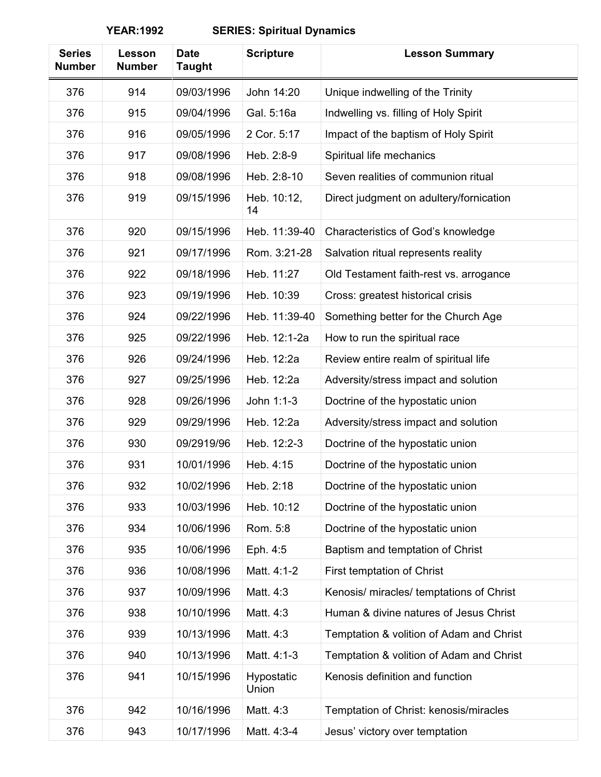| <b>Series</b><br><b>Number</b> | Lesson<br><b>Number</b> | <b>Date</b><br><b>Taught</b> | <b>Scripture</b>    | <b>Lesson Summary</b>                    |
|--------------------------------|-------------------------|------------------------------|---------------------|------------------------------------------|
| 376                            | 914                     | 09/03/1996                   | John 14:20          | Unique indwelling of the Trinity         |
| 376                            | 915                     | 09/04/1996                   | Gal. 5:16a          | Indwelling vs. filling of Holy Spirit    |
| 376                            | 916                     | 09/05/1996                   | 2 Cor. 5:17         | Impact of the baptism of Holy Spirit     |
| 376                            | 917                     | 09/08/1996                   | Heb. 2:8-9          | Spiritual life mechanics                 |
| 376                            | 918                     | 09/08/1996                   | Heb. 2:8-10         | Seven realities of communion ritual      |
| 376                            | 919                     | 09/15/1996                   | Heb. 10:12,<br>14   | Direct judgment on adultery/fornication  |
| 376                            | 920                     | 09/15/1996                   | Heb. 11:39-40       | Characteristics of God's knowledge       |
| 376                            | 921                     | 09/17/1996                   | Rom. 3:21-28        | Salvation ritual represents reality      |
| 376                            | 922                     | 09/18/1996                   | Heb. 11:27          | Old Testament faith-rest vs. arrogance   |
| 376                            | 923                     | 09/19/1996                   | Heb. 10:39          | Cross: greatest historical crisis        |
| 376                            | 924                     | 09/22/1996                   | Heb. 11:39-40       | Something better for the Church Age      |
| 376                            | 925                     | 09/22/1996                   | Heb. 12:1-2a        | How to run the spiritual race            |
| 376                            | 926                     | 09/24/1996                   | Heb. 12:2a          | Review entire realm of spiritual life    |
| 376                            | 927                     | 09/25/1996                   | Heb. 12:2a          | Adversity/stress impact and solution     |
| 376                            | 928                     | 09/26/1996                   | John 1:1-3          | Doctrine of the hypostatic union         |
| 376                            | 929                     | 09/29/1996                   | Heb. 12:2a          | Adversity/stress impact and solution     |
| 376                            | 930                     | 09/2919/96                   | Heb. 12:2-3         | Doctrine of the hypostatic union         |
| 376                            | 931                     | 10/01/1996                   | Heb. 4:15           | Doctrine of the hypostatic union         |
| 376                            | 932                     | 10/02/1996                   | Heb. 2:18           | Doctrine of the hypostatic union         |
| 376                            | 933                     | 10/03/1996                   | Heb. 10:12          | Doctrine of the hypostatic union         |
| 376                            | 934                     | 10/06/1996                   | Rom. 5:8            | Doctrine of the hypostatic union         |
| 376                            | 935                     | 10/06/1996                   | Eph. 4:5            | Baptism and temptation of Christ         |
| 376                            | 936                     | 10/08/1996                   | Matt. 4:1-2         | First temptation of Christ               |
| 376                            | 937                     | 10/09/1996                   | Matt. 4:3           | Kenosis/ miracles/ temptations of Christ |
| 376                            | 938                     | 10/10/1996                   | Matt. 4:3           | Human & divine natures of Jesus Christ   |
| 376                            | 939                     | 10/13/1996                   | Matt. 4:3           | Temptation & volition of Adam and Christ |
| 376                            | 940                     | 10/13/1996                   | Matt. 4:1-3         | Temptation & volition of Adam and Christ |
| 376                            | 941                     | 10/15/1996                   | Hypostatic<br>Union | Kenosis definition and function          |
| 376                            | 942                     | 10/16/1996                   | Matt. 4:3           | Temptation of Christ: kenosis/miracles   |
| 376                            | 943                     | 10/17/1996                   | Matt. 4:3-4         | Jesus' victory over temptation           |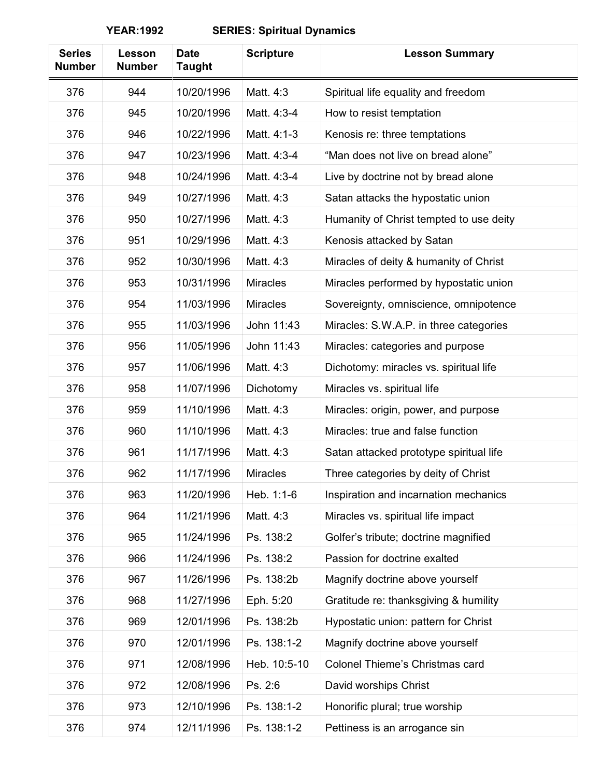| <b>Series</b><br><b>Number</b> | Lesson<br><b>Number</b> | <b>Date</b><br><b>Taught</b> | <b>Scripture</b> | <b>Lesson Summary</b>                   |
|--------------------------------|-------------------------|------------------------------|------------------|-----------------------------------------|
| 376                            | 944                     | 10/20/1996                   | Matt. 4:3        | Spiritual life equality and freedom     |
| 376                            | 945                     | 10/20/1996                   | Matt. 4:3-4      | How to resist temptation                |
| 376                            | 946                     | 10/22/1996                   | Matt. 4:1-3      | Kenosis re: three temptations           |
| 376                            | 947                     | 10/23/1996                   | Matt. 4:3-4      | "Man does not live on bread alone"      |
| 376                            | 948                     | 10/24/1996                   | Matt. 4:3-4      | Live by doctrine not by bread alone     |
| 376                            | 949                     | 10/27/1996                   | Matt. 4:3        | Satan attacks the hypostatic union      |
| 376                            | 950                     | 10/27/1996                   | Matt. 4:3        | Humanity of Christ tempted to use deity |
| 376                            | 951                     | 10/29/1996                   | Matt. 4:3        | Kenosis attacked by Satan               |
| 376                            | 952                     | 10/30/1996                   | Matt. 4:3        | Miracles of deity & humanity of Christ  |
| 376                            | 953                     | 10/31/1996                   | <b>Miracles</b>  | Miracles performed by hypostatic union  |
| 376                            | 954                     | 11/03/1996                   | <b>Miracles</b>  | Sovereignty, omniscience, omnipotence   |
| 376                            | 955                     | 11/03/1996                   | John 11:43       | Miracles: S.W.A.P. in three categories  |
| 376                            | 956                     | 11/05/1996                   | John 11:43       | Miracles: categories and purpose        |
| 376                            | 957                     | 11/06/1996                   | Matt. 4:3        | Dichotomy: miracles vs. spiritual life  |
| 376                            | 958                     | 11/07/1996                   | Dichotomy        | Miracles vs. spiritual life             |
| 376                            | 959                     | 11/10/1996                   | Matt. 4:3        | Miracles: origin, power, and purpose    |
| 376                            | 960                     | 11/10/1996                   | Matt. 4:3        | Miracles: true and false function       |
| 376                            | 961                     | 11/17/1996                   | Matt. 4:3        | Satan attacked prototype spiritual life |
| 376                            | 962                     | 11/17/1996                   | <b>Miracles</b>  | Three categories by deity of Christ     |
| 376                            | 963                     | 11/20/1996                   | Heb. 1:1-6       | Inspiration and incarnation mechanics   |
| 376                            | 964                     | 11/21/1996                   | Matt. 4:3        | Miracles vs. spiritual life impact      |
| 376                            | 965                     | 11/24/1996                   | Ps. 138:2        | Golfer's tribute; doctrine magnified    |
| 376                            | 966                     | 11/24/1996                   | Ps. 138:2        | Passion for doctrine exalted            |
| 376                            | 967                     | 11/26/1996                   | Ps. 138:2b       | Magnify doctrine above yourself         |
| 376                            | 968                     | 11/27/1996                   | Eph. 5:20        | Gratitude re: thanksgiving & humility   |
| 376                            | 969                     | 12/01/1996                   | Ps. 138:2b       | Hypostatic union: pattern for Christ    |
| 376                            | 970                     | 12/01/1996                   | Ps. 138:1-2      | Magnify doctrine above yourself         |
| 376                            | 971                     | 12/08/1996                   | Heb. 10:5-10     | Colonel Thieme's Christmas card         |
| 376                            | 972                     | 12/08/1996                   | Ps. 2:6          | David worships Christ                   |
| 376                            | 973                     | 12/10/1996                   | Ps. 138:1-2      | Honorific plural; true worship          |
| 376                            | 974                     | 12/11/1996                   | Ps. 138:1-2      | Pettiness is an arrogance sin           |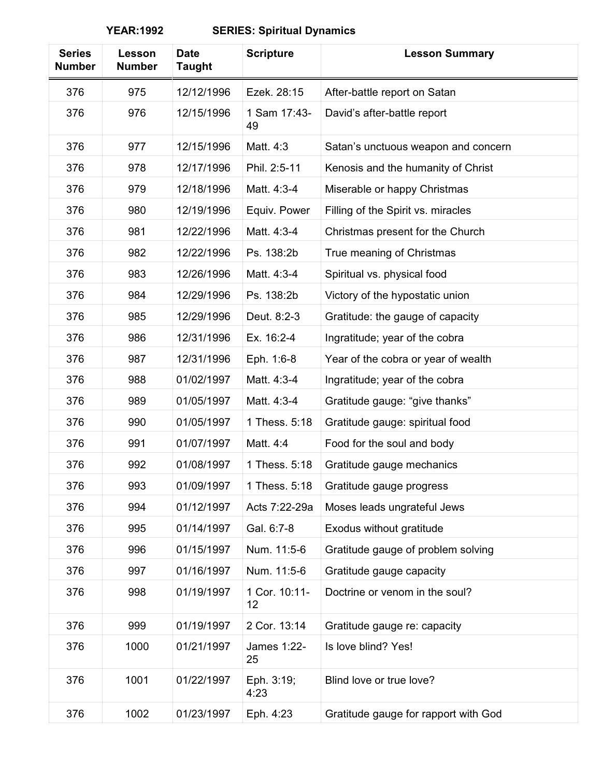| <b>Series</b><br><b>Number</b> | Lesson<br><b>Number</b> | <b>Date</b><br><b>Taught</b> | <b>Scripture</b>    | <b>Lesson Summary</b>                |
|--------------------------------|-------------------------|------------------------------|---------------------|--------------------------------------|
| 376                            | 975                     | 12/12/1996                   | Ezek. 28:15         | After-battle report on Satan         |
| 376                            | 976                     | 12/15/1996                   | 1 Sam 17:43-<br>49  | David's after-battle report          |
| 376                            | 977                     | 12/15/1996                   | Matt. 4:3           | Satan's unctuous weapon and concern  |
| 376                            | 978                     | 12/17/1996                   | Phil. 2:5-11        | Kenosis and the humanity of Christ   |
| 376                            | 979                     | 12/18/1996                   | Matt. 4:3-4         | Miserable or happy Christmas         |
| 376                            | 980                     | 12/19/1996                   | Equiv. Power        | Filling of the Spirit vs. miracles   |
| 376                            | 981                     | 12/22/1996                   | Matt. 4:3-4         | Christmas present for the Church     |
| 376                            | 982                     | 12/22/1996                   | Ps. 138:2b          | True meaning of Christmas            |
| 376                            | 983                     | 12/26/1996                   | Matt. 4:3-4         | Spiritual vs. physical food          |
| 376                            | 984                     | 12/29/1996                   | Ps. 138:2b          | Victory of the hypostatic union      |
| 376                            | 985                     | 12/29/1996                   | Deut. 8:2-3         | Gratitude: the gauge of capacity     |
| 376                            | 986                     | 12/31/1996                   | Ex. 16:2-4          | Ingratitude; year of the cobra       |
| 376                            | 987                     | 12/31/1996                   | Eph. 1:6-8          | Year of the cobra or year of wealth  |
| 376                            | 988                     | 01/02/1997                   | Matt. 4:3-4         | Ingratitude; year of the cobra       |
| 376                            | 989                     | 01/05/1997                   | Matt. 4:3-4         | Gratitude gauge: "give thanks"       |
| 376                            | 990                     | 01/05/1997                   | 1 Thess. 5:18       | Gratitude gauge: spiritual food      |
| 376                            | 991                     | 01/07/1997                   | Matt. 4:4           | Food for the soul and body           |
| 376                            | 992                     | 01/08/1997                   | 1 Thess, 5:18       | Gratitude gauge mechanics            |
| 376                            | 993                     | 01/09/1997                   | 1 Thess. 5:18       | Gratitude gauge progress             |
| 376                            | 994                     | 01/12/1997                   | Acts 7:22-29a       | Moses leads ungrateful Jews          |
| 376                            | 995                     | 01/14/1997                   | Gal. 6:7-8          | Exodus without gratitude             |
| 376                            | 996                     | 01/15/1997                   | Num. 11:5-6         | Gratitude gauge of problem solving   |
| 376                            | 997                     | 01/16/1997                   | Num. 11:5-6         | Gratitude gauge capacity             |
| 376                            | 998                     | 01/19/1997                   | 1 Cor. 10:11-<br>12 | Doctrine or venom in the soul?       |
| 376                            | 999                     | 01/19/1997                   | 2 Cor. 13:14        | Gratitude gauge re: capacity         |
| 376                            | 1000                    | 01/21/1997                   | James 1:22-<br>25   | Is love blind? Yes!                  |
| 376                            | 1001                    | 01/22/1997                   | Eph. 3:19;<br>4:23  | Blind love or true love?             |
| 376                            | 1002                    | 01/23/1997                   | Eph. 4:23           | Gratitude gauge for rapport with God |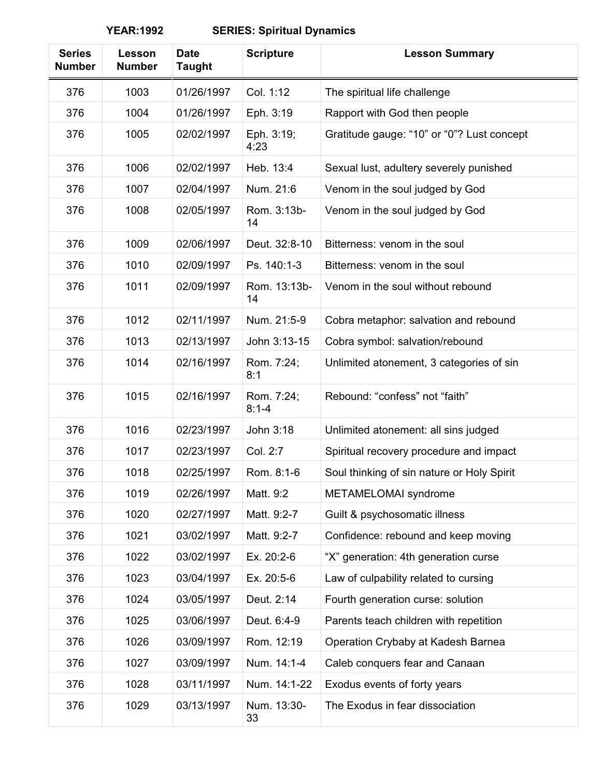| <b>Series</b><br><b>Number</b> | Lesson<br><b>Number</b> | <b>Date</b><br><b>Taught</b> | <b>Scripture</b>        | <b>Lesson Summary</b>                      |
|--------------------------------|-------------------------|------------------------------|-------------------------|--------------------------------------------|
| 376                            | 1003                    | 01/26/1997                   | Col. 1:12               | The spiritual life challenge               |
| 376                            | 1004                    | 01/26/1997                   | Eph. 3:19               | Rapport with God then people               |
| 376                            | 1005                    | 02/02/1997                   | Eph. 3:19;<br>4:23      | Gratitude gauge: "10" or "0"? Lust concept |
| 376                            | 1006                    | 02/02/1997                   | Heb. 13:4               | Sexual lust, adultery severely punished    |
| 376                            | 1007                    | 02/04/1997                   | Num. 21:6               | Venom in the soul judged by God            |
| 376                            | 1008                    | 02/05/1997                   | Rom. 3:13b-<br>14       | Venom in the soul judged by God            |
| 376                            | 1009                    | 02/06/1997                   | Deut. 32:8-10           | Bitterness: venom in the soul              |
| 376                            | 1010                    | 02/09/1997                   | Ps. 140:1-3             | Bitterness: yenom in the soul              |
| 376                            | 1011                    | 02/09/1997                   | Rom. 13:13b-<br>14      | Venom in the soul without rebound          |
| 376                            | 1012                    | 02/11/1997                   | Num. 21:5-9             | Cobra metaphor: salvation and rebound      |
| 376                            | 1013                    | 02/13/1997                   | John 3:13-15            | Cobra symbol: salvation/rebound            |
| 376                            | 1014                    | 02/16/1997                   | Rom. 7:24;<br>8:1       | Unlimited atonement, 3 categories of sin   |
| 376                            | 1015                    | 02/16/1997                   | Rom. 7:24;<br>$8:1 - 4$ | Rebound: "confess" not "faith"             |
| 376                            | 1016                    | 02/23/1997                   | John 3:18               | Unlimited atonement: all sins judged       |
| 376                            | 1017                    | 02/23/1997                   | Col. 2:7                | Spiritual recovery procedure and impact    |
| 376                            | 1018                    | 02/25/1997                   | Rom. 8:1-6              | Soul thinking of sin nature or Holy Spirit |
| 376                            | 1019                    | 02/26/1997                   | Matt. 9:2               | METAMELOMAI syndrome                       |
| 376                            | 1020                    | 02/27/1997                   | Matt. 9:2-7             | Guilt & psychosomatic illness              |
| 376                            | 1021                    | 03/02/1997                   | Matt. 9:2-7             | Confidence: rebound and keep moving        |
| 376                            | 1022                    | 03/02/1997                   | Ex. 20:2-6              | "X" generation: 4th generation curse       |
| 376                            | 1023                    | 03/04/1997                   | Ex. 20:5-6              | Law of culpability related to cursing      |
| 376                            | 1024                    | 03/05/1997                   | Deut. 2:14              | Fourth generation curse: solution          |
| 376                            | 1025                    | 03/06/1997                   | Deut. 6:4-9             | Parents teach children with repetition     |
| 376                            | 1026                    | 03/09/1997                   | Rom. 12:19              | Operation Crybaby at Kadesh Barnea         |
| 376                            | 1027                    | 03/09/1997                   | Num. 14:1-4             | Caleb conquers fear and Canaan             |
| 376                            | 1028                    | 03/11/1997                   | Num. 14:1-22            | Exodus events of forty years               |
| 376                            | 1029                    | 03/13/1997                   | Num. 13:30-<br>33       | The Exodus in fear dissociation            |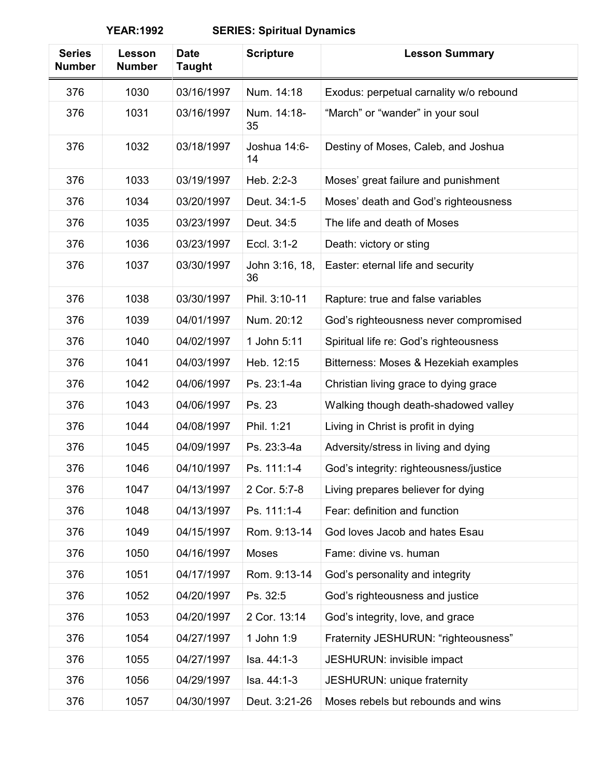| <b>Series</b><br><b>Number</b> | Lesson<br><b>Number</b> | <b>Date</b><br><b>Taught</b> | <b>Scripture</b>     | <b>Lesson Summary</b>                   |
|--------------------------------|-------------------------|------------------------------|----------------------|-----------------------------------------|
| 376                            | 1030                    | 03/16/1997                   | Num. 14:18           | Exodus: perpetual carnality w/o rebound |
| 376                            | 1031                    | 03/16/1997                   | Num. 14:18-<br>35    | "March" or "wander" in your soul        |
| 376                            | 1032                    | 03/18/1997                   | Joshua 14:6-<br>14   | Destiny of Moses, Caleb, and Joshua     |
| 376                            | 1033                    | 03/19/1997                   | Heb. 2:2-3           | Moses' great failure and punishment     |
| 376                            | 1034                    | 03/20/1997                   | Deut. 34:1-5         | Moses' death and God's righteousness    |
| 376                            | 1035                    | 03/23/1997                   | Deut. 34:5           | The life and death of Moses             |
| 376                            | 1036                    | 03/23/1997                   | Eccl. 3:1-2          | Death: victory or sting                 |
| 376                            | 1037                    | 03/30/1997                   | John 3:16, 18,<br>36 | Easter: eternal life and security       |
| 376                            | 1038                    | 03/30/1997                   | Phil. 3:10-11        | Rapture: true and false variables       |
| 376                            | 1039                    | 04/01/1997                   | Num. 20:12           | God's righteousness never compromised   |
| 376                            | 1040                    | 04/02/1997                   | 1 John 5:11          | Spiritual life re: God's righteousness  |
| 376                            | 1041                    | 04/03/1997                   | Heb. 12:15           | Bitterness: Moses & Hezekiah examples   |
| 376                            | 1042                    | 04/06/1997                   | Ps. 23:1-4a          | Christian living grace to dying grace   |
| 376                            | 1043                    | 04/06/1997                   | Ps. 23               | Walking though death-shadowed valley    |
| 376                            | 1044                    | 04/08/1997                   | Phil. 1:21           | Living in Christ is profit in dying     |
| 376                            | 1045                    | 04/09/1997                   | Ps. 23:3-4a          | Adversity/stress in living and dying    |
| 376                            | 1046                    | 04/10/1997                   | Ps. 111:1-4          | God's integrity: righteousness/justice  |
| 376                            | 1047                    | 04/13/1997                   | 2 Cor. 5:7-8         | Living prepares believer for dying      |
| 376                            | 1048                    | 04/13/1997                   | Ps. 111:1-4          | Fear: definition and function           |
| 376                            | 1049                    | 04/15/1997                   | Rom. 9:13-14         | God loves Jacob and hates Esau          |
| 376                            | 1050                    | 04/16/1997                   | Moses                | Fame: divine vs. human                  |
| 376                            | 1051                    | 04/17/1997                   | Rom. 9:13-14         | God's personality and integrity         |
| 376                            | 1052                    | 04/20/1997                   | Ps. 32:5             | God's righteousness and justice         |
| 376                            | 1053                    | 04/20/1997                   | 2 Cor. 13:14         | God's integrity, love, and grace        |
| 376                            | 1054                    | 04/27/1997                   | 1 John 1:9           | Fraternity JESHURUN: "righteousness"    |
| 376                            | 1055                    | 04/27/1997                   | Isa. 44:1-3          | JESHURUN: invisible impact              |
| 376                            | 1056                    | 04/29/1997                   | Isa. 44:1-3          | JESHURUN: unique fraternity             |
| 376                            | 1057                    | 04/30/1997                   | Deut. 3:21-26        | Moses rebels but rebounds and wins      |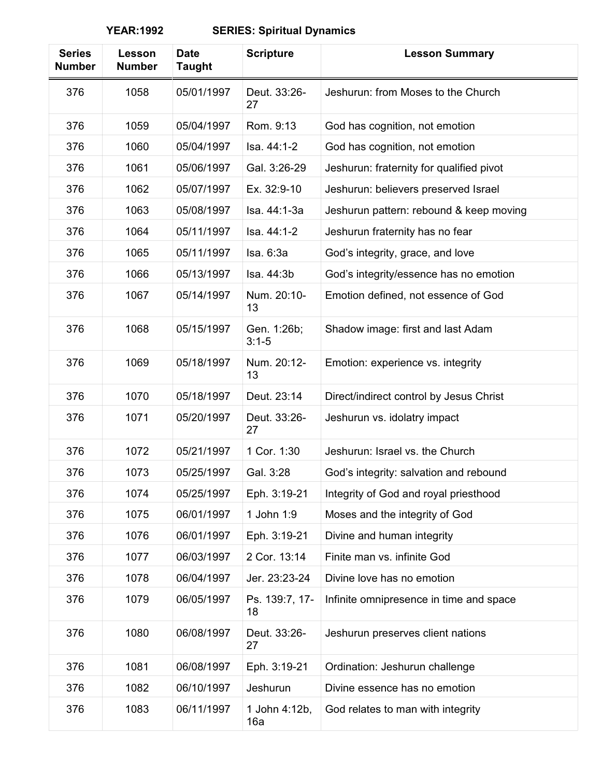| <b>Series</b><br><b>Number</b> | Lesson<br><b>Number</b> | <b>Date</b><br><b>Taught</b> | <b>Scripture</b>         | <b>Lesson Summary</b>                    |
|--------------------------------|-------------------------|------------------------------|--------------------------|------------------------------------------|
| 376                            | 1058                    | 05/01/1997                   | Deut. 33:26-<br>27       | Jeshurun: from Moses to the Church       |
| 376                            | 1059                    | 05/04/1997                   | Rom. 9:13                | God has cognition, not emotion           |
| 376                            | 1060                    | 05/04/1997                   | Isa. 44:1-2              | God has cognition, not emotion           |
| 376                            | 1061                    | 05/06/1997                   | Gal. 3:26-29             | Jeshurun: fraternity for qualified pivot |
| 376                            | 1062                    | 05/07/1997                   | Ex. 32:9-10              | Jeshurun: believers preserved Israel     |
| 376                            | 1063                    | 05/08/1997                   | Isa. 44:1-3a             | Jeshurun pattern: rebound & keep moving  |
| 376                            | 1064                    | 05/11/1997                   | Isa. 44:1-2              | Jeshurun fraternity has no fear          |
| 376                            | 1065                    | 05/11/1997                   | Isa. 6:3a                | God's integrity, grace, and love         |
| 376                            | 1066                    | 05/13/1997                   | Isa. 44:3b               | God's integrity/essence has no emotion   |
| 376                            | 1067                    | 05/14/1997                   | Num. 20:10-<br>13        | Emotion defined, not essence of God      |
| 376                            | 1068                    | 05/15/1997                   | Gen. 1:26b;<br>$3:1 - 5$ | Shadow image: first and last Adam        |
| 376                            | 1069                    | 05/18/1997                   | Num. 20:12-<br>13        | Emotion: experience vs. integrity        |
| 376                            | 1070                    | 05/18/1997                   | Deut. 23:14              | Direct/indirect control by Jesus Christ  |
| 376                            | 1071                    | 05/20/1997                   | Deut. 33:26-<br>27       | Jeshurun vs. idolatry impact             |
| 376                            | 1072                    | 05/21/1997                   | 1 Cor. 1:30              | Jeshurun: Israel vs. the Church          |
| 376                            | 1073                    | 05/25/1997                   | Gal. 3:28                | God's integrity: salvation and rebound   |
| 376                            | 1074                    | 05/25/1997                   | Eph. 3:19-21             | Integrity of God and royal priesthood    |
| 376                            | 1075                    | 06/01/1997                   | 1 John 1:9               | Moses and the integrity of God           |
| 376                            | 1076                    | 06/01/1997                   | Eph. 3:19-21             | Divine and human integrity               |
| 376                            | 1077                    | 06/03/1997                   | 2 Cor. 13:14             | Finite man vs. infinite God              |
| 376                            | 1078                    | 06/04/1997                   | Jer. 23:23-24            | Divine love has no emotion               |
| 376                            | 1079                    | 06/05/1997                   | Ps. 139:7, 17-<br>18     | Infinite omnipresence in time and space  |
| 376                            | 1080                    | 06/08/1997                   | Deut. 33:26-<br>27       | Jeshurun preserves client nations        |
| 376                            | 1081                    | 06/08/1997                   | Eph. 3:19-21             | Ordination: Jeshurun challenge           |
| 376                            | 1082                    | 06/10/1997                   | Jeshurun                 | Divine essence has no emotion            |
| 376                            | 1083                    | 06/11/1997                   | 1 John 4:12b,<br>16a     | God relates to man with integrity        |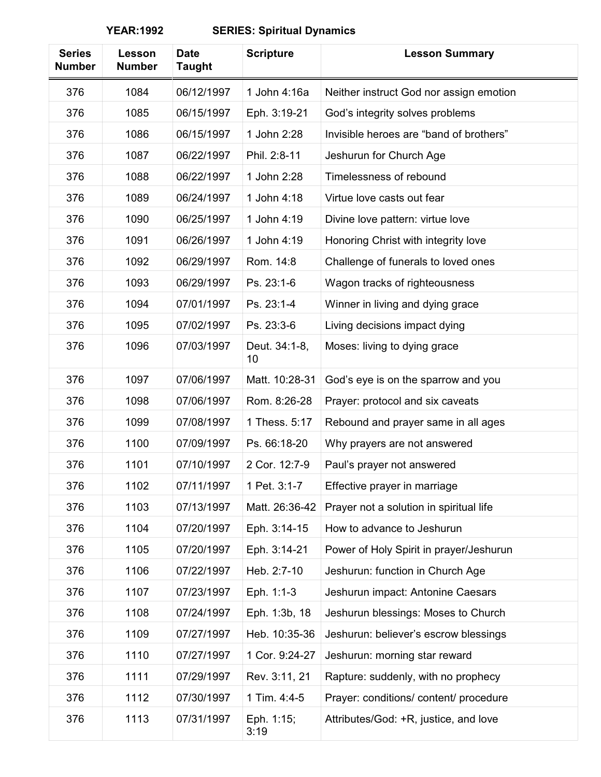| <b>Series</b><br><b>Number</b> | Lesson<br><b>Number</b> | <b>Date</b><br><b>Taught</b> | <b>Scripture</b>    | <b>Lesson Summary</b>                   |
|--------------------------------|-------------------------|------------------------------|---------------------|-----------------------------------------|
| 376                            | 1084                    | 06/12/1997                   | 1 John 4:16a        | Neither instruct God nor assign emotion |
| 376                            | 1085                    | 06/15/1997                   | Eph. 3:19-21        | God's integrity solves problems         |
| 376                            | 1086                    | 06/15/1997                   | 1 John 2:28         | Invisible heroes are "band of brothers" |
| 376                            | 1087                    | 06/22/1997                   | Phil. 2:8-11        | Jeshurun for Church Age                 |
| 376                            | 1088                    | 06/22/1997                   | 1 John 2:28         | Timelessness of rebound                 |
| 376                            | 1089                    | 06/24/1997                   | 1 John 4:18         | Virtue love casts out fear              |
| 376                            | 1090                    | 06/25/1997                   | 1 John 4:19         | Divine love pattern: virtue love        |
| 376                            | 1091                    | 06/26/1997                   | 1 John 4:19         | Honoring Christ with integrity love     |
| 376                            | 1092                    | 06/29/1997                   | Rom. 14:8           | Challenge of funerals to loved ones     |
| 376                            | 1093                    | 06/29/1997                   | Ps. 23:1-6          | Wagon tracks of righteousness           |
| 376                            | 1094                    | 07/01/1997                   | Ps. 23:1-4          | Winner in living and dying grace        |
| 376                            | 1095                    | 07/02/1997                   | Ps. 23:3-6          | Living decisions impact dying           |
| 376                            | 1096                    | 07/03/1997                   | Deut. 34:1-8,<br>10 | Moses: living to dying grace            |
| 376                            | 1097                    | 07/06/1997                   | Matt. 10:28-31      | God's eye is on the sparrow and you     |
| 376                            | 1098                    | 07/06/1997                   | Rom. 8:26-28        | Prayer: protocol and six caveats        |
| 376                            | 1099                    | 07/08/1997                   | 1 Thess. 5:17       | Rebound and prayer same in all ages     |
| 376                            | 1100                    | 07/09/1997                   | Ps. 66:18-20        | Why prayers are not answered            |
| 376                            | 1101                    | 07/10/1997                   | 2 Cor. 12:7-9       | Paul's prayer not answered              |
| 376                            | 1102                    | 07/11/1997                   | 1 Pet. 3:1-7        | Effective prayer in marriage            |
| 376                            | 1103                    | 07/13/1997                   | Matt. 26:36-42      | Prayer not a solution in spiritual life |
| 376                            | 1104                    | 07/20/1997                   | Eph. 3:14-15        | How to advance to Jeshurun              |
| 376                            | 1105                    | 07/20/1997                   | Eph. 3:14-21        | Power of Holy Spirit in prayer/Jeshurun |
| 376                            | 1106                    | 07/22/1997                   | Heb. 2:7-10         | Jeshurun: function in Church Age        |
| 376                            | 1107                    | 07/23/1997                   | Eph. 1:1-3          | Jeshurun impact: Antonine Caesars       |
| 376                            | 1108                    | 07/24/1997                   | Eph. 1:3b, 18       | Jeshurun blessings: Moses to Church     |
| 376                            | 1109                    | 07/27/1997                   | Heb. 10:35-36       | Jeshurun: believer's escrow blessings   |
| 376                            | 1110                    | 07/27/1997                   | 1 Cor. 9:24-27      | Jeshurun: morning star reward           |
| 376                            | 1111                    | 07/29/1997                   | Rev. 3:11, 21       | Rapture: suddenly, with no prophecy     |
| 376                            | 1112                    | 07/30/1997                   | 1 Tim. 4:4-5        | Prayer: conditions/ content/ procedure  |
| 376                            | 1113                    | 07/31/1997                   | Eph. 1:15;<br>3:19  | Attributes/God: +R, justice, and love   |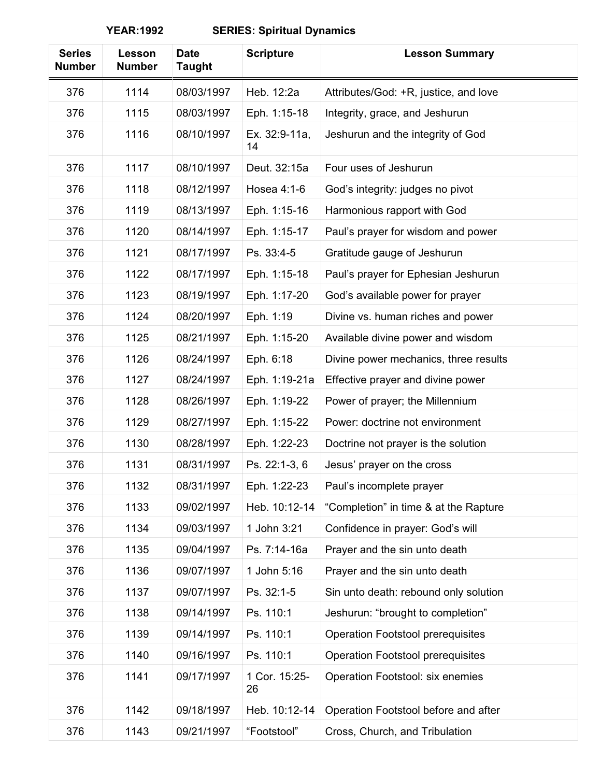| <b>Series</b><br><b>Number</b> | Lesson<br><b>Number</b> | <b>Date</b><br><b>Taught</b> | <b>Scripture</b>    | <b>Lesson Summary</b>                    |
|--------------------------------|-------------------------|------------------------------|---------------------|------------------------------------------|
| 376                            | 1114                    | 08/03/1997                   | Heb. 12:2a          | Attributes/God: +R, justice, and love    |
| 376                            | 1115                    | 08/03/1997                   | Eph. 1:15-18        | Integrity, grace, and Jeshurun           |
| 376                            | 1116                    | 08/10/1997                   | Ex. 32:9-11a,<br>14 | Jeshurun and the integrity of God        |
| 376                            | 1117                    | 08/10/1997                   | Deut. 32:15a        | Four uses of Jeshurun                    |
| 376                            | 1118                    | 08/12/1997                   | Hosea 4:1-6         | God's integrity: judges no pivot         |
| 376                            | 1119                    | 08/13/1997                   | Eph. 1:15-16        | Harmonious rapport with God              |
| 376                            | 1120                    | 08/14/1997                   | Eph. 1:15-17        | Paul's prayer for wisdom and power       |
| 376                            | 1121                    | 08/17/1997                   | Ps. 33:4-5          | Gratitude gauge of Jeshurun              |
| 376                            | 1122                    | 08/17/1997                   | Eph. 1:15-18        | Paul's prayer for Ephesian Jeshurun      |
| 376                            | 1123                    | 08/19/1997                   | Eph. 1:17-20        | God's available power for prayer         |
| 376                            | 1124                    | 08/20/1997                   | Eph. 1:19           | Divine vs. human riches and power        |
| 376                            | 1125                    | 08/21/1997                   | Eph. 1:15-20        | Available divine power and wisdom        |
| 376                            | 1126                    | 08/24/1997                   | Eph. 6:18           | Divine power mechanics, three results    |
| 376                            | 1127                    | 08/24/1997                   | Eph. 1:19-21a       | Effective prayer and divine power        |
| 376                            | 1128                    | 08/26/1997                   | Eph. 1:19-22        | Power of prayer; the Millennium          |
| 376                            | 1129                    | 08/27/1997                   | Eph. 1:15-22        | Power: doctrine not environment          |
| 376                            | 1130                    | 08/28/1997                   | Eph. 1:22-23        | Doctrine not prayer is the solution      |
| 376                            | 1131                    | 08/31/1997                   | Ps. 22:1-3, 6       | Jesus' prayer on the cross               |
| 376                            | 1132                    | 08/31/1997                   | Eph. 1:22-23        | Paul's incomplete prayer                 |
| 376                            | 1133                    | 09/02/1997                   | Heb. 10:12-14       | "Completion" in time & at the Rapture    |
| 376                            | 1134                    | 09/03/1997                   | 1 John 3:21         | Confidence in prayer: God's will         |
| 376                            | 1135                    | 09/04/1997                   | Ps. 7:14-16a        | Prayer and the sin unto death            |
| 376                            | 1136                    | 09/07/1997                   | 1 John 5:16         | Prayer and the sin unto death            |
| 376                            | 1137                    | 09/07/1997                   | Ps. 32:1-5          | Sin unto death: rebound only solution    |
| 376                            | 1138                    | 09/14/1997                   | Ps. 110:1           | Jeshurun: "brought to completion"        |
| 376                            | 1139                    | 09/14/1997                   | Ps. 110:1           | <b>Operation Footstool prerequisites</b> |
| 376                            | 1140                    | 09/16/1997                   | Ps. 110:1           | <b>Operation Footstool prerequisites</b> |
| 376                            | 1141                    | 09/17/1997                   | 1 Cor. 15:25-<br>26 | Operation Footstool: six enemies         |
| 376                            | 1142                    | 09/18/1997                   | Heb. 10:12-14       | Operation Footstool before and after     |
| 376                            | 1143                    | 09/21/1997                   | "Footstool"         | Cross, Church, and Tribulation           |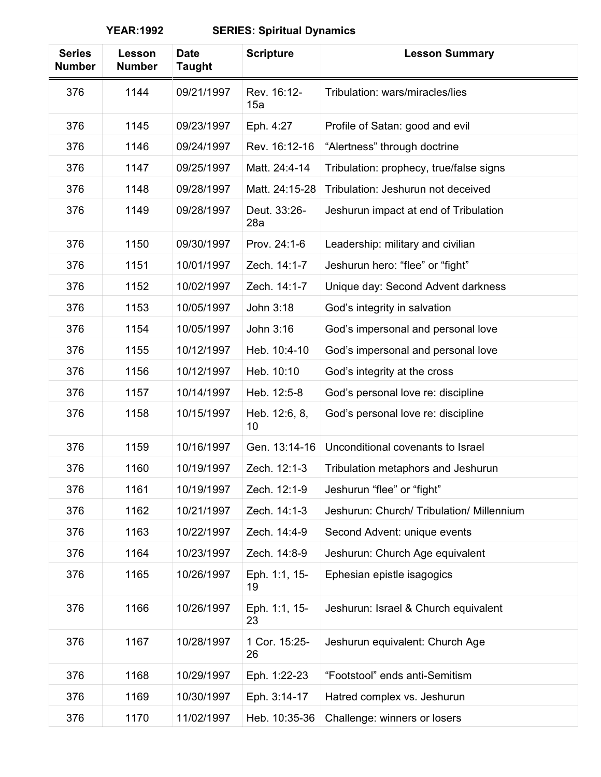| <b>Series</b><br><b>Number</b> | Lesson<br><b>Number</b> | <b>Date</b><br><b>Taught</b> | <b>Scripture</b>    | <b>Lesson Summary</b>                     |
|--------------------------------|-------------------------|------------------------------|---------------------|-------------------------------------------|
| 376                            | 1144                    | 09/21/1997                   | Rev. 16:12-<br>15a  | Tribulation: wars/miracles/lies           |
| 376                            | 1145                    | 09/23/1997                   | Eph. 4:27           | Profile of Satan: good and evil           |
| 376                            | 1146                    | 09/24/1997                   | Rev. 16:12-16       | "Alertness" through doctrine              |
| 376                            | 1147                    | 09/25/1997                   | Matt. 24:4-14       | Tribulation: prophecy, true/false signs   |
| 376                            | 1148                    | 09/28/1997                   | Matt. 24:15-28      | Tribulation: Jeshurun not deceived        |
| 376                            | 1149                    | 09/28/1997                   | Deut. 33:26-<br>28a | Jeshurun impact at end of Tribulation     |
| 376                            | 1150                    | 09/30/1997                   | Prov. 24:1-6        | Leadership: military and civilian         |
| 376                            | 1151                    | 10/01/1997                   | Zech. 14:1-7        | Jeshurun hero: "flee" or "fight"          |
| 376                            | 1152                    | 10/02/1997                   | Zech. 14:1-7        | Unique day: Second Advent darkness        |
| 376                            | 1153                    | 10/05/1997                   | John 3:18           | God's integrity in salvation              |
| 376                            | 1154                    | 10/05/1997                   | John 3:16           | God's impersonal and personal love        |
| 376                            | 1155                    | 10/12/1997                   | Heb. 10:4-10        | God's impersonal and personal love        |
| 376                            | 1156                    | 10/12/1997                   | Heb. 10:10          | God's integrity at the cross              |
| 376                            | 1157                    | 10/14/1997                   | Heb. 12:5-8         | God's personal love re: discipline        |
| 376                            | 1158                    | 10/15/1997                   | Heb. 12:6, 8,<br>10 | God's personal love re: discipline        |
| 376                            | 1159                    | 10/16/1997                   | Gen. 13:14-16       | Unconditional covenants to Israel         |
| 376                            | 1160                    | 10/19/1997                   | Zech. 12:1-3        | Tribulation metaphors and Jeshurun        |
| 376                            | 1161                    | 10/19/1997                   | Zech. 12:1-9        | Jeshurun "flee" or "fight"                |
| 376                            | 1162                    | 10/21/1997                   | Zech. 14:1-3        | Jeshurun: Church/ Tribulation/ Millennium |
| 376                            | 1163                    | 10/22/1997                   | Zech. 14:4-9        | Second Advent: unique events              |
| 376                            | 1164                    | 10/23/1997                   | Zech. 14:8-9        | Jeshurun: Church Age equivalent           |
| 376                            | 1165                    | 10/26/1997                   | Eph. 1:1, 15-<br>19 | Ephesian epistle isagogics                |
| 376                            | 1166                    | 10/26/1997                   | Eph. 1:1, 15-<br>23 | Jeshurun: Israel & Church equivalent      |
| 376                            | 1167                    | 10/28/1997                   | 1 Cor. 15:25-<br>26 | Jeshurun equivalent: Church Age           |
| 376                            | 1168                    | 10/29/1997                   | Eph. 1:22-23        | "Footstool" ends anti-Semitism            |
| 376                            | 1169                    | 10/30/1997                   | Eph. 3:14-17        | Hatred complex vs. Jeshurun               |
| 376                            | 1170                    | 11/02/1997                   | Heb. 10:35-36       | Challenge: winners or losers              |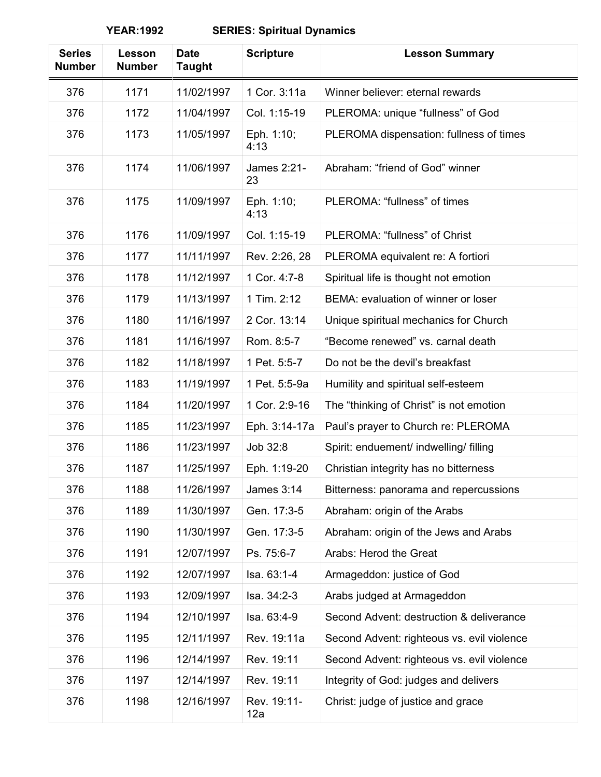| <b>Series</b><br><b>Number</b> | Lesson<br><b>Number</b> | <b>Date</b><br><b>Taught</b> | <b>Scripture</b>         | <b>Lesson Summary</b>                      |
|--------------------------------|-------------------------|------------------------------|--------------------------|--------------------------------------------|
| 376                            | 1171                    | 11/02/1997                   | 1 Cor. 3:11a             | Winner believer: eternal rewards           |
| 376                            | 1172                    | 11/04/1997                   | Col. 1:15-19             | PLEROMA: unique "fullness" of God          |
| 376                            | 1173                    | 11/05/1997                   | Eph. 1:10;<br>4:13       | PLEROMA dispensation: fullness of times    |
| 376                            | 1174                    | 11/06/1997                   | <b>James 2:21-</b><br>23 | Abraham: "friend of God" winner            |
| 376                            | 1175                    | 11/09/1997                   | Eph. 1:10;<br>4:13       | PLEROMA: "fullness" of times               |
| 376                            | 1176                    | 11/09/1997                   | Col. 1:15-19             | PLEROMA: "fullness" of Christ              |
| 376                            | 1177                    | 11/11/1997                   | Rev. 2:26, 28            | PLEROMA equivalent re: A fortiori          |
| 376                            | 1178                    | 11/12/1997                   | 1 Cor. 4:7-8             | Spiritual life is thought not emotion      |
| 376                            | 1179                    | 11/13/1997                   | 1 Tim. 2:12              | BEMA: evaluation of winner or loser        |
| 376                            | 1180                    | 11/16/1997                   | 2 Cor. 13:14             | Unique spiritual mechanics for Church      |
| 376                            | 1181                    | 11/16/1997                   | Rom. 8:5-7               | "Become renewed" vs. carnal death          |
| 376                            | 1182                    | 11/18/1997                   | 1 Pet. 5:5-7             | Do not be the devil's breakfast            |
| 376                            | 1183                    | 11/19/1997                   | 1 Pet. 5:5-9a            | Humility and spiritual self-esteem         |
| 376                            | 1184                    | 11/20/1997                   | 1 Cor. 2:9-16            | The "thinking of Christ" is not emotion    |
| 376                            | 1185                    | 11/23/1997                   | Eph. 3:14-17a            | Paul's prayer to Church re: PLEROMA        |
| 376                            | 1186                    | 11/23/1997                   | Job 32:8                 | Spirit: enduement/ indwelling/ filling     |
| 376                            | 1187                    | 11/25/1997                   | Eph. 1:19-20             | Christian integrity has no bitterness      |
| 376                            | 1188                    | 11/26/1997                   | James 3:14               | Bitterness: panorama and repercussions     |
| 376                            | 1189                    | 11/30/1997                   | Gen. 17:3-5              | Abraham: origin of the Arabs               |
| 376                            | 1190                    | 11/30/1997                   | Gen. 17:3-5              | Abraham: origin of the Jews and Arabs      |
| 376                            | 1191                    | 12/07/1997                   | Ps. 75:6-7               | Arabs: Herod the Great                     |
| 376                            | 1192                    | 12/07/1997                   | Isa. 63:1-4              | Armageddon: justice of God                 |
| 376                            | 1193                    | 12/09/1997                   | Isa. 34:2-3              | Arabs judged at Armageddon                 |
| 376                            | 1194                    | 12/10/1997                   | Isa. 63:4-9              | Second Advent: destruction & deliverance   |
| 376                            | 1195                    | 12/11/1997                   | Rev. 19:11a              | Second Advent: righteous vs. evil violence |
| 376                            | 1196                    | 12/14/1997                   | Rev. 19:11               | Second Advent: righteous vs. evil violence |
| 376                            | 1197                    | 12/14/1997                   | Rev. 19:11               | Integrity of God: judges and delivers      |
| 376                            | 1198                    | 12/16/1997                   | Rev. 19:11-<br>12a       | Christ: judge of justice and grace         |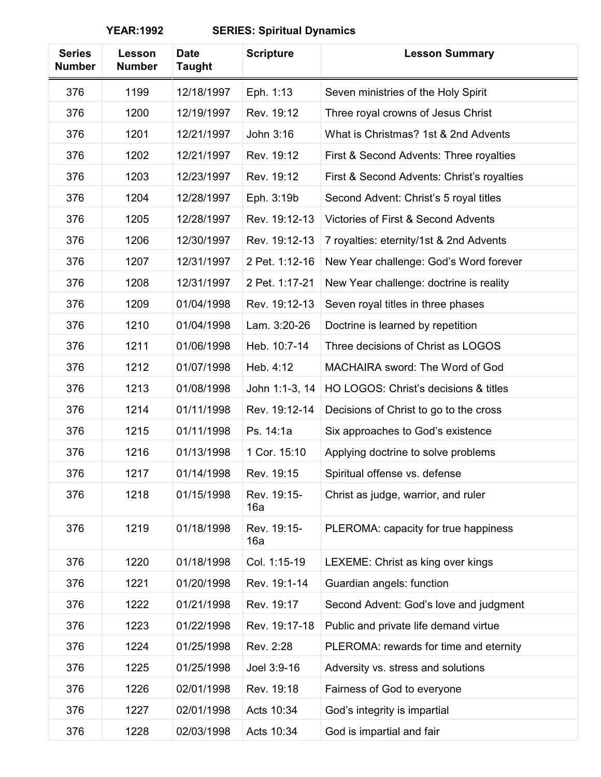| <b>Series</b><br><b>Number</b> | Lesson<br><b>Number</b> | <b>Date</b><br><b>Taught</b> | <b>Scripture</b>   | <b>Lesson Summary</b>                      |
|--------------------------------|-------------------------|------------------------------|--------------------|--------------------------------------------|
| 376                            | 1199                    | 12/18/1997                   | Eph. 1:13          | Seven ministries of the Holy Spirit        |
| 376                            | 1200                    | 12/19/1997                   | Rev. 19:12         | Three royal crowns of Jesus Christ         |
| 376                            | 1201                    | 12/21/1997                   | John 3:16          | What is Christmas? 1st & 2nd Advents       |
| 376                            | 1202                    | 12/21/1997                   | Rev. 19:12         | First & Second Advents: Three royalties    |
| 376                            | 1203                    | 12/23/1997                   | Rev. 19:12         | First & Second Advents: Christ's royalties |
| 376                            | 1204                    | 12/28/1997                   | Eph. 3:19b         | Second Advent: Christ's 5 royal titles     |
| 376                            | 1205                    | 12/28/1997                   | Rev. 19:12-13      | Victories of First & Second Advents        |
| 376                            | 1206                    | 12/30/1997                   | Rev. 19:12-13      | 7 royalties: eternity/1st & 2nd Advents    |
| 376                            | 1207                    | 12/31/1997                   | 2 Pet. 1:12-16     | New Year challenge: God's Word forever     |
| 376                            | 1208                    | 12/31/1997                   | 2 Pet. 1:17-21     | New Year challenge: doctrine is reality    |
| 376                            | 1209                    | 01/04/1998                   | Rev. 19:12-13      | Seven royal titles in three phases         |
| 376                            | 1210                    | 01/04/1998                   | Lam. 3:20-26       | Doctrine is learned by repetition          |
| 376                            | 1211                    | 01/06/1998                   | Heb. 10:7-14       | Three decisions of Christ as LOGOS         |
| 376                            | 1212                    | 01/07/1998                   | Heb. 4:12          | MACHAIRA sword: The Word of God            |
| 376                            | 1213                    | 01/08/1998                   | John 1:1-3, 14     | HO LOGOS: Christ's decisions & titles      |
| 376                            | 1214                    | 01/11/1998                   | Rev. 19:12-14      | Decisions of Christ to go to the cross     |
| 376                            | 1215                    | 01/11/1998                   | Ps. 14:1a          | Six approaches to God's existence          |
| 376                            | 1216                    | 01/13/1998                   | 1 Cor. 15:10       | Applying doctrine to solve problems        |
| 376                            | 1217                    | 01/14/1998                   | Rev. 19:15         | Spiritual offense vs. defense              |
| 376                            | 1218                    | 01/15/1998                   | Rev. 19:15-<br>16a | Christ as judge, warrior, and ruler        |
| 376                            | 1219                    | 01/18/1998                   | Rev. 19:15-<br>16a | PLEROMA: capacity for true happiness       |
| 376                            | 1220                    | 01/18/1998                   | Col. 1:15-19       | LEXEME: Christ as king over kings          |
| 376                            | 1221                    | 01/20/1998                   | Rev. 19:1-14       | Guardian angels: function                  |
| 376                            | 1222                    | 01/21/1998                   | Rev. 19:17         | Second Advent: God's love and judgment     |
| 376                            | 1223                    | 01/22/1998                   | Rev. 19:17-18      | Public and private life demand virtue      |
| 376                            | 1224                    | 01/25/1998                   | Rev. 2:28          | PLEROMA: rewards for time and eternity     |
| 376                            | 1225                    | 01/25/1998                   | Joel 3:9-16        | Adversity vs. stress and solutions         |
| 376                            | 1226                    | 02/01/1998                   | Rev. 19:18         | Fairness of God to everyone                |
| 376                            | 1227                    | 02/01/1998                   | Acts 10:34         | God's integrity is impartial               |
| 376                            | 1228                    | 02/03/1998                   | Acts 10:34         | God is impartial and fair                  |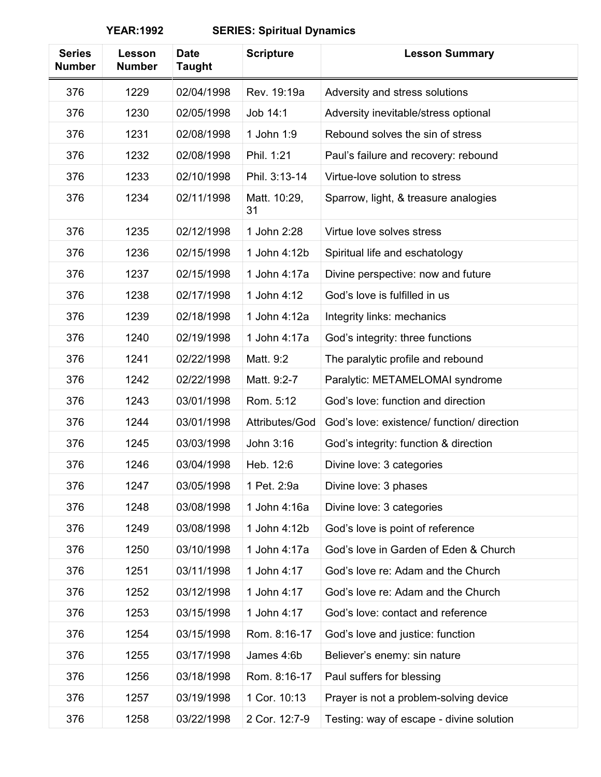| <b>Series</b><br><b>Number</b> | Lesson<br><b>Number</b> | <b>Date</b><br><b>Taught</b> | <b>Scripture</b>   | <b>Lesson Summary</b>                      |
|--------------------------------|-------------------------|------------------------------|--------------------|--------------------------------------------|
| 376                            | 1229                    | 02/04/1998                   | Rev. 19:19a        | Adversity and stress solutions             |
| 376                            | 1230                    | 02/05/1998                   | Job 14:1           | Adversity inevitable/stress optional       |
| 376                            | 1231                    | 02/08/1998                   | 1 John 1:9         | Rebound solves the sin of stress           |
| 376                            | 1232                    | 02/08/1998                   | Phil. 1:21         | Paul's failure and recovery: rebound       |
| 376                            | 1233                    | 02/10/1998                   | Phil. 3:13-14      | Virtue-love solution to stress             |
| 376                            | 1234                    | 02/11/1998                   | Matt. 10:29,<br>31 | Sparrow, light, & treasure analogies       |
| 376                            | 1235                    | 02/12/1998                   | 1 John 2:28        | Virtue love solves stress                  |
| 376                            | 1236                    | 02/15/1998                   | 1 John 4:12b       | Spiritual life and eschatology             |
| 376                            | 1237                    | 02/15/1998                   | 1 John 4:17a       | Divine perspective: now and future         |
| 376                            | 1238                    | 02/17/1998                   | 1 John 4:12        | God's love is fulfilled in us              |
| 376                            | 1239                    | 02/18/1998                   | 1 John 4:12a       | Integrity links: mechanics                 |
| 376                            | 1240                    | 02/19/1998                   | 1 John 4:17a       | God's integrity: three functions           |
| 376                            | 1241                    | 02/22/1998                   | Matt. 9:2          | The paralytic profile and rebound          |
| 376                            | 1242                    | 02/22/1998                   | Matt. 9:2-7        | Paralytic: METAMELOMAI syndrome            |
| 376                            | 1243                    | 03/01/1998                   | Rom. 5:12          | God's love: function and direction         |
| 376                            | 1244                    | 03/01/1998                   | Attributes/God     | God's love: existence/ function/ direction |
| 376                            | 1245                    | 03/03/1998                   | John 3:16          | God's integrity: function & direction      |
| 376                            | 1246                    | 03/04/1998                   | Heb. 12:6          | Divine love: 3 categories                  |
| 376                            | 1247                    | 03/05/1998                   | 1 Pet. 2:9a        | Divine love: 3 phases                      |
| 376                            | 1248                    | 03/08/1998                   | 1 John 4:16a       | Divine love: 3 categories                  |
| 376                            | 1249                    | 03/08/1998                   | 1 John 4:12b       | God's love is point of reference           |
| 376                            | 1250                    | 03/10/1998                   | 1 John 4:17a       | God's love in Garden of Eden & Church      |
| 376                            | 1251                    | 03/11/1998                   | 1 John 4:17        | God's love re: Adam and the Church         |
| 376                            | 1252                    | 03/12/1998                   | 1 John 4:17        | God's love re: Adam and the Church         |
| 376                            | 1253                    | 03/15/1998                   | 1 John 4:17        | God's love: contact and reference          |
| 376                            | 1254                    | 03/15/1998                   | Rom. 8:16-17       | God's love and justice: function           |
| 376                            | 1255                    | 03/17/1998                   | James 4:6b         | Believer's enemy: sin nature               |
| 376                            | 1256                    | 03/18/1998                   | Rom. 8:16-17       | Paul suffers for blessing                  |
| 376                            | 1257                    | 03/19/1998                   | 1 Cor. 10:13       | Prayer is not a problem-solving device     |
| 376                            | 1258                    | 03/22/1998                   | 2 Cor. 12:7-9      | Testing: way of escape - divine solution   |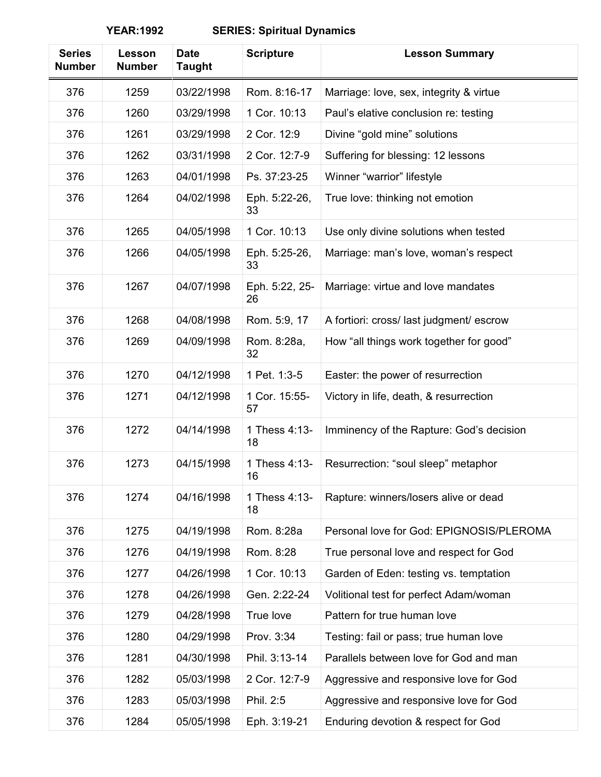| <b>Series</b><br><b>Number</b> | Lesson<br><b>Number</b> | <b>Date</b><br><b>Taught</b> | <b>Scripture</b>     | <b>Lesson Summary</b>                    |
|--------------------------------|-------------------------|------------------------------|----------------------|------------------------------------------|
| 376                            | 1259                    | 03/22/1998                   | Rom. 8:16-17         | Marriage: love, sex, integrity & virtue  |
| 376                            | 1260                    | 03/29/1998                   | 1 Cor. 10:13         | Paul's elative conclusion re: testing    |
| 376                            | 1261                    | 03/29/1998                   | 2 Cor. 12:9          | Divine "gold mine" solutions             |
| 376                            | 1262                    | 03/31/1998                   | 2 Cor. 12:7-9        | Suffering for blessing: 12 lessons       |
| 376                            | 1263                    | 04/01/1998                   | Ps. 37:23-25         | Winner "warrior" lifestyle               |
| 376                            | 1264                    | 04/02/1998                   | Eph. 5:22-26,<br>33  | True love: thinking not emotion          |
| 376                            | 1265                    | 04/05/1998                   | 1 Cor. 10:13         | Use only divine solutions when tested    |
| 376                            | 1266                    | 04/05/1998                   | Eph. 5:25-26,<br>33  | Marriage: man's love, woman's respect    |
| 376                            | 1267                    | 04/07/1998                   | Eph. 5:22, 25-<br>26 | Marriage: virtue and love mandates       |
| 376                            | 1268                    | 04/08/1998                   | Rom. 5:9, 17         | A fortiori: cross/ last judgment/ escrow |
| 376                            | 1269                    | 04/09/1998                   | Rom. 8:28a,<br>32    | How "all things work together for good"  |
| 376                            | 1270                    | 04/12/1998                   | 1 Pet. 1:3-5         | Easter: the power of resurrection        |
| 376                            | 1271                    | 04/12/1998                   | 1 Cor. 15:55-<br>57  | Victory in life, death, & resurrection   |
| 376                            | 1272                    | 04/14/1998                   | 1 Thess 4:13-<br>18  | Imminency of the Rapture: God's decision |
| 376                            | 1273                    | 04/15/1998                   | 1 Thess 4:13-<br>16  | Resurrection: "soul sleep" metaphor      |
| 376                            | 1274                    | 04/16/1998                   | 1 Thess 4:13-<br>18  | Rapture: winners/losers alive or dead    |
| 376                            | 1275                    | 04/19/1998                   | Rom. 8:28a           | Personal love for God: EPIGNOSIS/PLEROMA |
| 376                            | 1276                    | 04/19/1998                   | Rom. 8:28            | True personal love and respect for God   |
| 376                            | 1277                    | 04/26/1998                   | 1 Cor. 10:13         | Garden of Eden: testing vs. temptation   |
| 376                            | 1278                    | 04/26/1998                   | Gen. 2:22-24         | Volitional test for perfect Adam/woman   |
| 376                            | 1279                    | 04/28/1998                   | True love            | Pattern for true human love              |
| 376                            | 1280                    | 04/29/1998                   | Prov. 3:34           | Testing: fail or pass; true human love   |
| 376                            | 1281                    | 04/30/1998                   | Phil. 3:13-14        | Parallels between love for God and man   |
| 376                            | 1282                    | 05/03/1998                   | 2 Cor. 12:7-9        | Aggressive and responsive love for God   |
| 376                            | 1283                    | 05/03/1998                   | Phil. 2:5            | Aggressive and responsive love for God   |
| 376                            | 1284                    | 05/05/1998                   | Eph. 3:19-21         | Enduring devotion & respect for God      |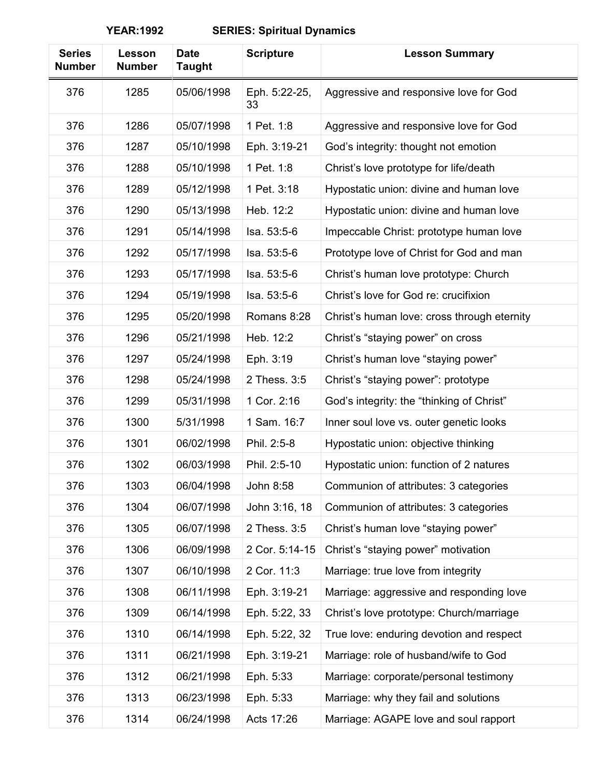| <b>Series</b><br><b>Number</b> | Lesson<br><b>Number</b> | <b>Date</b><br><b>Taught</b> | <b>Scripture</b>    | <b>Lesson Summary</b>                       |
|--------------------------------|-------------------------|------------------------------|---------------------|---------------------------------------------|
| 376                            | 1285                    | 05/06/1998                   | Eph. 5:22-25,<br>33 | Aggressive and responsive love for God      |
| 376                            | 1286                    | 05/07/1998                   | 1 Pet. 1:8          | Aggressive and responsive love for God      |
| 376                            | 1287                    | 05/10/1998                   | Eph. 3:19-21        | God's integrity: thought not emotion        |
| 376                            | 1288                    | 05/10/1998                   | 1 Pet. 1:8          | Christ's love prototype for life/death      |
| 376                            | 1289                    | 05/12/1998                   | 1 Pet. 3:18         | Hypostatic union: divine and human love     |
| 376                            | 1290                    | 05/13/1998                   | Heb. 12:2           | Hypostatic union: divine and human love     |
| 376                            | 1291                    | 05/14/1998                   | Isa. 53:5-6         | Impeccable Christ: prototype human love     |
| 376                            | 1292                    | 05/17/1998                   | Isa. 53:5-6         | Prototype love of Christ for God and man    |
| 376                            | 1293                    | 05/17/1998                   | Isa. 53:5-6         | Christ's human love prototype: Church       |
| 376                            | 1294                    | 05/19/1998                   | Isa. 53:5-6         | Christ's love for God re: crucifixion       |
| 376                            | 1295                    | 05/20/1998                   | Romans 8:28         | Christ's human love: cross through eternity |
| 376                            | 1296                    | 05/21/1998                   | Heb. 12:2           | Christ's "staying power" on cross           |
| 376                            | 1297                    | 05/24/1998                   | Eph. 3:19           | Christ's human love "staying power"         |
| 376                            | 1298                    | 05/24/1998                   | 2 Thess. 3:5        | Christ's "staying power": prototype         |
| 376                            | 1299                    | 05/31/1998                   | 1 Cor. 2:16         | God's integrity: the "thinking of Christ"   |
| 376                            | 1300                    | 5/31/1998                    | 1 Sam. 16:7         | Inner soul love vs. outer genetic looks     |
| 376                            | 1301                    | 06/02/1998                   | Phil. 2:5-8         | Hypostatic union: objective thinking        |
| 376                            | 1302                    | 06/03/1998                   | Phil. 2:5-10        | Hypostatic union: function of 2 natures     |
| 376                            | 1303                    | 06/04/1998                   | John 8:58           | Communion of attributes: 3 categories       |
| 376                            | 1304                    | 06/07/1998                   | John 3:16, 18       | Communion of attributes: 3 categories       |
| 376                            | 1305                    | 06/07/1998                   | 2 Thess. 3:5        | Christ's human love "staying power"         |
| 376                            | 1306                    | 06/09/1998                   | 2 Cor. 5:14-15      | Christ's "staying power" motivation         |
| 376                            | 1307                    | 06/10/1998                   | 2 Cor. 11:3         | Marriage: true love from integrity          |
| 376                            | 1308                    | 06/11/1998                   | Eph. 3:19-21        | Marriage: aggressive and responding love    |
| 376                            | 1309                    | 06/14/1998                   | Eph. 5:22, 33       | Christ's love prototype: Church/marriage    |
| 376                            | 1310                    | 06/14/1998                   | Eph. 5:22, 32       | True love: enduring devotion and respect    |
| 376                            | 1311                    | 06/21/1998                   | Eph. 3:19-21        | Marriage: role of husband/wife to God       |
| 376                            | 1312                    | 06/21/1998                   | Eph. 5:33           | Marriage: corporate/personal testimony      |
| 376                            | 1313                    | 06/23/1998                   | Eph. 5:33           | Marriage: why they fail and solutions       |
| 376                            | 1314                    | 06/24/1998                   | Acts 17:26          | Marriage: AGAPE love and soul rapport       |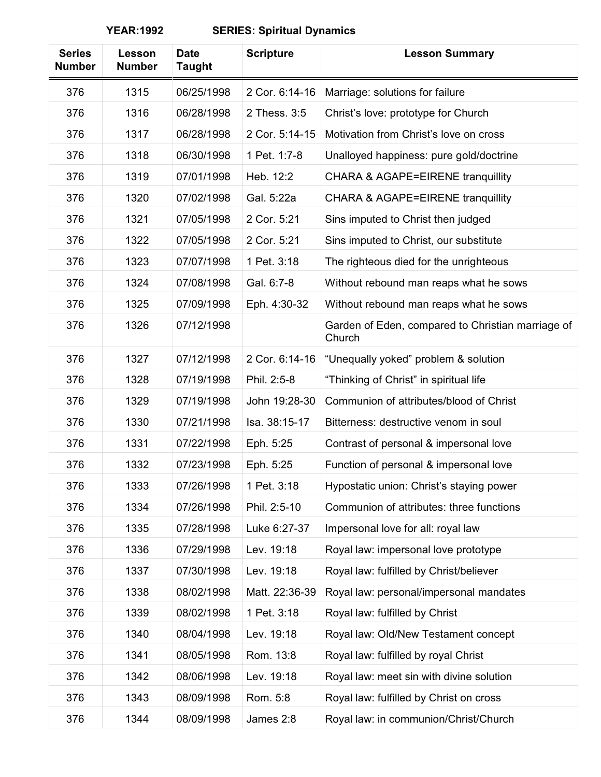| <b>Series</b><br><b>Number</b> | Lesson<br><b>Number</b> | <b>Date</b><br><b>Taught</b> | <b>Scripture</b> | <b>Lesson Summary</b>                                       |
|--------------------------------|-------------------------|------------------------------|------------------|-------------------------------------------------------------|
| 376                            | 1315                    | 06/25/1998                   | 2 Cor. 6:14-16   | Marriage: solutions for failure                             |
| 376                            | 1316                    | 06/28/1998                   | 2 Thess. 3:5     | Christ's love: prototype for Church                         |
| 376                            | 1317                    | 06/28/1998                   | 2 Cor. 5:14-15   | Motivation from Christ's love on cross                      |
| 376                            | 1318                    | 06/30/1998                   | 1 Pet. 1:7-8     | Unalloyed happiness: pure gold/doctrine                     |
| 376                            | 1319                    | 07/01/1998                   | Heb. 12:2        | <b>CHARA &amp; AGAPE=EIRENE tranquillity</b>                |
| 376                            | 1320                    | 07/02/1998                   | Gal. 5:22a       | <b>CHARA &amp; AGAPE=EIRENE tranquillity</b>                |
| 376                            | 1321                    | 07/05/1998                   | 2 Cor. 5:21      | Sins imputed to Christ then judged                          |
| 376                            | 1322                    | 07/05/1998                   | 2 Cor. 5:21      | Sins imputed to Christ, our substitute                      |
| 376                            | 1323                    | 07/07/1998                   | 1 Pet. 3:18      | The righteous died for the unrighteous                      |
| 376                            | 1324                    | 07/08/1998                   | Gal. 6:7-8       | Without rebound man reaps what he sows                      |
| 376                            | 1325                    | 07/09/1998                   | Eph. 4:30-32     | Without rebound man reaps what he sows                      |
| 376                            | 1326                    | 07/12/1998                   |                  | Garden of Eden, compared to Christian marriage of<br>Church |
| 376                            | 1327                    | 07/12/1998                   | 2 Cor. 6:14-16   | "Unequally yoked" problem & solution                        |
| 376                            | 1328                    | 07/19/1998                   | Phil. 2:5-8      | "Thinking of Christ" in spiritual life                      |
| 376                            | 1329                    | 07/19/1998                   | John 19:28-30    | Communion of attributes/blood of Christ                     |
| 376                            | 1330                    | 07/21/1998                   | Isa. 38:15-17    | Bitterness: destructive venom in soul                       |
| 376                            | 1331                    | 07/22/1998                   | Eph. 5:25        | Contrast of personal & impersonal love                      |
| 376                            | 1332                    | 07/23/1998                   | Eph. 5:25        | Function of personal & impersonal love                      |
| 376                            | 1333                    | 07/26/1998                   | 1 Pet. 3:18      | Hypostatic union: Christ's staying power                    |
| 376                            | 1334                    | 07/26/1998                   | Phil. 2:5-10     | Communion of attributes: three functions                    |
| 376                            | 1335                    | 07/28/1998                   | Luke 6:27-37     | Impersonal love for all: royal law                          |
| 376                            | 1336                    | 07/29/1998                   | Lev. 19:18       | Royal law: impersonal love prototype                        |
| 376                            | 1337                    | 07/30/1998                   | Lev. 19:18       | Royal law: fulfilled by Christ/believer                     |
| 376                            | 1338                    | 08/02/1998                   | Matt. 22:36-39   | Royal law: personal/impersonal mandates                     |
| 376                            | 1339                    | 08/02/1998                   | 1 Pet. 3:18      | Royal law: fulfilled by Christ                              |
| 376                            | 1340                    | 08/04/1998                   | Lev. 19:18       | Royal law: Old/New Testament concept                        |
| 376                            | 1341                    | 08/05/1998                   | Rom. 13:8        | Royal law: fulfilled by royal Christ                        |
| 376                            | 1342                    | 08/06/1998                   | Lev. 19:18       | Royal law: meet sin with divine solution                    |
| 376                            | 1343                    | 08/09/1998                   | Rom. 5:8         | Royal law: fulfilled by Christ on cross                     |
| 376                            | 1344                    | 08/09/1998                   | James 2:8        | Royal law: in communion/Christ/Church                       |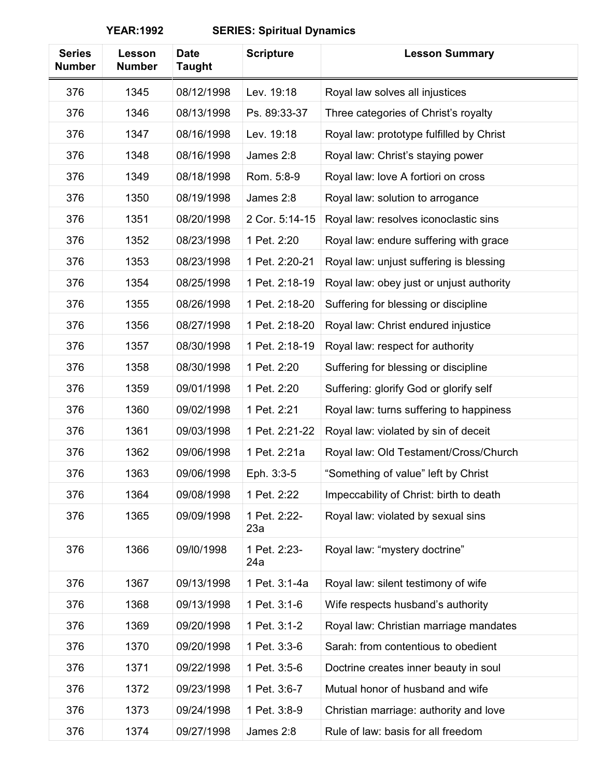| <b>Series</b><br><b>Number</b> | Lesson<br><b>Number</b> | <b>Date</b><br>Taught | <b>Scripture</b>    | <b>Lesson Summary</b>                    |
|--------------------------------|-------------------------|-----------------------|---------------------|------------------------------------------|
| 376                            | 1345                    | 08/12/1998            | Lev. 19:18          | Royal law solves all injustices          |
| 376                            | 1346                    | 08/13/1998            | Ps. 89:33-37        | Three categories of Christ's royalty     |
| 376                            | 1347                    | 08/16/1998            | Lev. 19:18          | Royal law: prototype fulfilled by Christ |
| 376                            | 1348                    | 08/16/1998            | James 2:8           | Royal law: Christ's staying power        |
| 376                            | 1349                    | 08/18/1998            | Rom. 5:8-9          | Royal law: love A fortiori on cross      |
| 376                            | 1350                    | 08/19/1998            | James 2:8           | Royal law: solution to arrogance         |
| 376                            | 1351                    | 08/20/1998            | 2 Cor. 5:14-15      | Royal law: resolves iconoclastic sins    |
| 376                            | 1352                    | 08/23/1998            | 1 Pet. 2:20         | Royal law: endure suffering with grace   |
| 376                            | 1353                    | 08/23/1998            | 1 Pet. 2:20-21      | Royal law: unjust suffering is blessing  |
| 376                            | 1354                    | 08/25/1998            | 1 Pet. 2:18-19      | Royal law: obey just or unjust authority |
| 376                            | 1355                    | 08/26/1998            | 1 Pet. 2:18-20      | Suffering for blessing or discipline     |
| 376                            | 1356                    | 08/27/1998            | 1 Pet. 2:18-20      | Royal law: Christ endured injustice      |
| 376                            | 1357                    | 08/30/1998            | 1 Pet. 2:18-19      | Royal law: respect for authority         |
| 376                            | 1358                    | 08/30/1998            | 1 Pet. 2:20         | Suffering for blessing or discipline     |
| 376                            | 1359                    | 09/01/1998            | 1 Pet. 2:20         | Suffering: glorify God or glorify self   |
| 376                            | 1360                    | 09/02/1998            | 1 Pet. 2:21         | Royal law: turns suffering to happiness  |
| 376                            | 1361                    | 09/03/1998            | 1 Pet. 2:21-22      | Royal law: violated by sin of deceit     |
| 376                            | 1362                    | 09/06/1998            | 1 Pet. 2:21a        | Royal law: Old Testament/Cross/Church    |
| 376                            | 1363                    | 09/06/1998            | Eph. 3:3-5          | "Something of value" left by Christ      |
| 376                            | 1364                    | 09/08/1998            | 1 Pet. 2:22         | Impeccability of Christ: birth to death  |
| 376                            | 1365                    | 09/09/1998            | 1 Pet. 2:22-<br>23a | Royal law: violated by sexual sins       |
| 376                            | 1366                    | 09/10/1998            | 1 Pet. 2:23-<br>24a | Royal law: "mystery doctrine"            |
| 376                            | 1367                    | 09/13/1998            | 1 Pet. 3:1-4a       | Royal law: silent testimony of wife      |
| 376                            | 1368                    | 09/13/1998            | 1 Pet. 3:1-6        | Wife respects husband's authority        |
| 376                            | 1369                    | 09/20/1998            | 1 Pet. 3:1-2        | Royal law: Christian marriage mandates   |
| 376                            | 1370                    | 09/20/1998            | 1 Pet. 3:3-6        | Sarah: from contentious to obedient      |
| 376                            | 1371                    | 09/22/1998            | 1 Pet. 3:5-6        | Doctrine creates inner beauty in soul    |
| 376                            | 1372                    | 09/23/1998            | 1 Pet. 3:6-7        | Mutual honor of husband and wife         |
| 376                            | 1373                    | 09/24/1998            | 1 Pet. 3:8-9        | Christian marriage: authority and love   |
| 376                            | 1374                    | 09/27/1998            | James 2:8           | Rule of law: basis for all freedom       |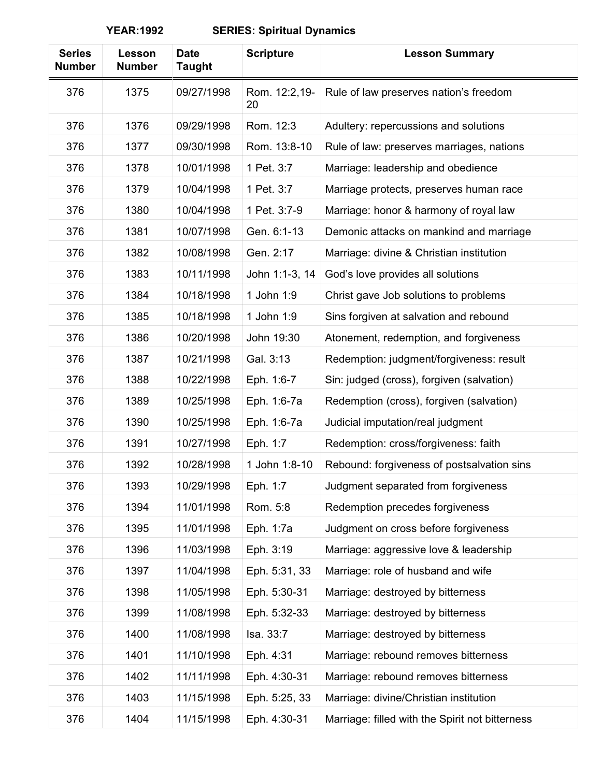| <b>Series</b><br><b>Number</b> | Lesson<br><b>Number</b> | <b>Date</b><br><b>Taught</b> | <b>Scripture</b>    | <b>Lesson Summary</b>                           |
|--------------------------------|-------------------------|------------------------------|---------------------|-------------------------------------------------|
| 376                            | 1375                    | 09/27/1998                   | Rom. 12:2,19-<br>20 | Rule of law preserves nation's freedom          |
| 376                            | 1376                    | 09/29/1998                   | Rom. 12:3           | Adultery: repercussions and solutions           |
| 376                            | 1377                    | 09/30/1998                   | Rom. 13:8-10        | Rule of law: preserves marriages, nations       |
| 376                            | 1378                    | 10/01/1998                   | 1 Pet. 3:7          | Marriage: leadership and obedience              |
| 376                            | 1379                    | 10/04/1998                   | 1 Pet. 3:7          | Marriage protects, preserves human race         |
| 376                            | 1380                    | 10/04/1998                   | 1 Pet. 3:7-9        | Marriage: honor & harmony of royal law          |
| 376                            | 1381                    | 10/07/1998                   | Gen. 6:1-13         | Demonic attacks on mankind and marriage         |
| 376                            | 1382                    | 10/08/1998                   | Gen. 2:17           | Marriage: divine & Christian institution        |
| 376                            | 1383                    | 10/11/1998                   | John 1:1-3, 14      | God's love provides all solutions               |
| 376                            | 1384                    | 10/18/1998                   | 1 John 1:9          | Christ gave Job solutions to problems           |
| 376                            | 1385                    | 10/18/1998                   | 1 John 1:9          | Sins forgiven at salvation and rebound          |
| 376                            | 1386                    | 10/20/1998                   | John 19:30          | Atonement, redemption, and forgiveness          |
| 376                            | 1387                    | 10/21/1998                   | Gal. 3:13           | Redemption: judgment/forgiveness: result        |
| 376                            | 1388                    | 10/22/1998                   | Eph. 1:6-7          | Sin: judged (cross), forgiven (salvation)       |
| 376                            | 1389                    | 10/25/1998                   | Eph. 1:6-7a         | Redemption (cross), forgiven (salvation)        |
| 376                            | 1390                    | 10/25/1998                   | Eph. 1:6-7a         | Judicial imputation/real judgment               |
| 376                            | 1391                    | 10/27/1998                   | Eph. 1:7            | Redemption: cross/forgiveness: faith            |
| 376                            | 1392                    | 10/28/1998                   | 1 John 1:8-10       | Rebound: forgiveness of postsalvation sins      |
| 376                            | 1393                    | 10/29/1998                   | Eph. 1:7            | Judgment separated from forgiveness             |
| 376                            | 1394                    | 11/01/1998                   | Rom. 5:8            | Redemption precedes forgiveness                 |
| 376                            | 1395                    | 11/01/1998                   | Eph. 1:7a           | Judgment on cross before forgiveness            |
| 376                            | 1396                    | 11/03/1998                   | Eph. 3:19           | Marriage: aggressive love & leadership          |
| 376                            | 1397                    | 11/04/1998                   | Eph. 5:31, 33       | Marriage: role of husband and wife              |
| 376                            | 1398                    | 11/05/1998                   | Eph. 5:30-31        | Marriage: destroyed by bitterness               |
| 376                            | 1399                    | 11/08/1998                   | Eph. 5:32-33        | Marriage: destroyed by bitterness               |
| 376                            | 1400                    | 11/08/1998                   | Isa. 33:7           | Marriage: destroyed by bitterness               |
| 376                            | 1401                    | 11/10/1998                   | Eph. 4:31           | Marriage: rebound removes bitterness            |
| 376                            | 1402                    | 11/11/1998                   | Eph. 4:30-31        | Marriage: rebound removes bitterness            |
| 376                            | 1403                    | 11/15/1998                   | Eph. 5:25, 33       | Marriage: divine/Christian institution          |
| 376                            | 1404                    | 11/15/1998                   | Eph. 4:30-31        | Marriage: filled with the Spirit not bitterness |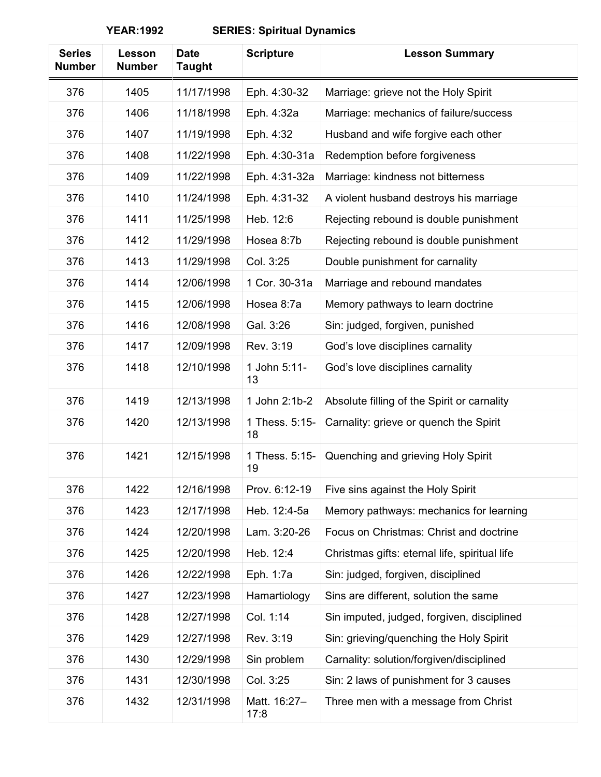| <b>Series</b><br><b>Number</b> | Lesson<br><b>Number</b> | <b>Date</b><br><b>Taught</b> | <b>Scripture</b>     | <b>Lesson Summary</b>                         |
|--------------------------------|-------------------------|------------------------------|----------------------|-----------------------------------------------|
| 376                            | 1405                    | 11/17/1998                   | Eph. 4:30-32         | Marriage: grieve not the Holy Spirit          |
| 376                            | 1406                    | 11/18/1998                   | Eph. 4:32a           | Marriage: mechanics of failure/success        |
| 376                            | 1407                    | 11/19/1998                   | Eph. 4:32            | Husband and wife forgive each other           |
| 376                            | 1408                    | 11/22/1998                   | Eph. 4:30-31a        | Redemption before forgiveness                 |
| 376                            | 1409                    | 11/22/1998                   | Eph. 4:31-32a        | Marriage: kindness not bitterness             |
| 376                            | 1410                    | 11/24/1998                   | Eph. 4:31-32         | A violent husband destroys his marriage       |
| 376                            | 1411                    | 11/25/1998                   | Heb. 12:6            | Rejecting rebound is double punishment        |
| 376                            | 1412                    | 11/29/1998                   | Hosea 8:7b           | Rejecting rebound is double punishment        |
| 376                            | 1413                    | 11/29/1998                   | Col. 3:25            | Double punishment for carnality               |
| 376                            | 1414                    | 12/06/1998                   | 1 Cor. 30-31a        | Marriage and rebound mandates                 |
| 376                            | 1415                    | 12/06/1998                   | Hosea 8:7a           | Memory pathways to learn doctrine             |
| 376                            | 1416                    | 12/08/1998                   | Gal. 3:26            | Sin: judged, forgiven, punished               |
| 376                            | 1417                    | 12/09/1998                   | Rev. 3:19            | God's love disciplines carnality              |
| 376                            | 1418                    | 12/10/1998                   | 1 John 5:11-<br>13   | God's love disciplines carnality              |
| 376                            | 1419                    | 12/13/1998                   | 1 John 2:1b-2        | Absolute filling of the Spirit or carnality   |
| 376                            | 1420                    | 12/13/1998                   | 1 Thess. 5:15-<br>18 | Carnality: grieve or quench the Spirit        |
| 376                            | 1421                    | 12/15/1998                   | 1 Thess. 5:15-<br>19 | Quenching and grieving Holy Spirit            |
| 376                            | 1422                    | 12/16/1998                   | Prov. 6:12-19        | Five sins against the Holy Spirit             |
| 376                            | 1423                    | 12/17/1998                   | Heb. 12:4-5a         | Memory pathways: mechanics for learning       |
| 376                            | 1424                    | 12/20/1998                   | Lam. 3:20-26         | Focus on Christmas: Christ and doctrine       |
| 376                            | 1425                    | 12/20/1998                   | Heb. 12:4            | Christmas gifts: eternal life, spiritual life |
| 376                            | 1426                    | 12/22/1998                   | Eph. 1:7a            | Sin: judged, forgiven, disciplined            |
| 376                            | 1427                    | 12/23/1998                   | Hamartiology         | Sins are different, solution the same         |
| 376                            | 1428                    | 12/27/1998                   | Col. 1:14            | Sin imputed, judged, forgiven, disciplined    |
| 376                            | 1429                    | 12/27/1998                   | Rev. 3:19            | Sin: grieving/quenching the Holy Spirit       |
| 376                            | 1430                    | 12/29/1998                   | Sin problem          | Carnality: solution/forgiven/disciplined      |
| 376                            | 1431                    | 12/30/1998                   | Col. 3:25            | Sin: 2 laws of punishment for 3 causes        |
| 376                            | 1432                    | 12/31/1998                   | Matt. 16:27-<br>17:8 | Three men with a message from Christ          |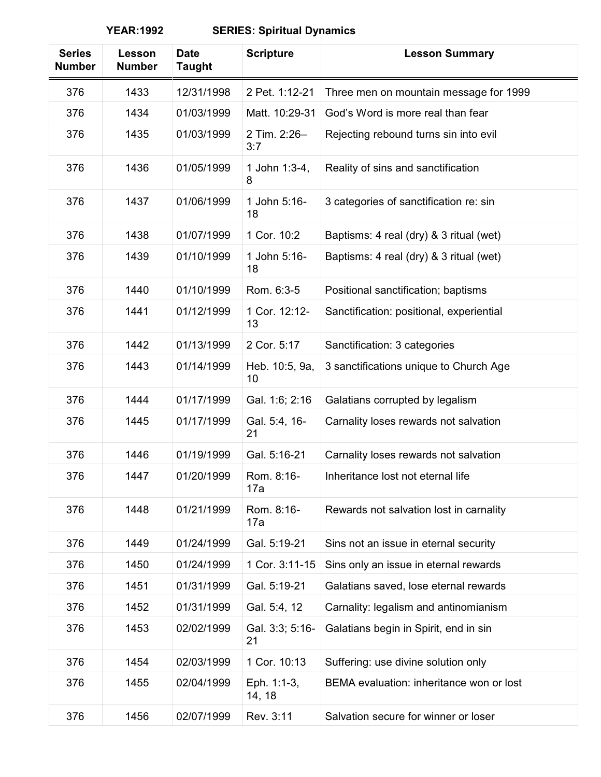| <b>Series</b><br><b>Number</b> | Lesson<br><b>Number</b> | <b>Date</b><br><b>Taught</b> | <b>Scripture</b>      | <b>Lesson Summary</b>                    |
|--------------------------------|-------------------------|------------------------------|-----------------------|------------------------------------------|
| 376                            | 1433                    | 12/31/1998                   | 2 Pet. 1:12-21        | Three men on mountain message for 1999   |
| 376                            | 1434                    | 01/03/1999                   | Matt. 10:29-31        | God's Word is more real than fear        |
| 376                            | 1435                    | 01/03/1999                   | 2 Tim. 2:26-<br>3:7   | Rejecting rebound turns sin into evil    |
| 376                            | 1436                    | 01/05/1999                   | 1 John 1:3-4,<br>8    | Reality of sins and sanctification       |
| 376                            | 1437                    | 01/06/1999                   | 1 John 5:16-<br>18    | 3 categories of sanctification re: sin   |
| 376                            | 1438                    | 01/07/1999                   | 1 Cor. 10:2           | Baptisms: 4 real (dry) & 3 ritual (wet)  |
| 376                            | 1439                    | 01/10/1999                   | 1 John 5:16-<br>18    | Baptisms: 4 real (dry) & 3 ritual (wet)  |
| 376                            | 1440                    | 01/10/1999                   | Rom. 6:3-5            | Positional sanctification; baptisms      |
| 376                            | 1441                    | 01/12/1999                   | 1 Cor. 12:12-<br>13   | Sanctification: positional, experiential |
| 376                            | 1442                    | 01/13/1999                   | 2 Cor. 5:17           | Sanctification: 3 categories             |
| 376                            | 1443                    | 01/14/1999                   | Heb. 10:5, 9a,<br>10  | 3 sanctifications unique to Church Age   |
| 376                            | 1444                    | 01/17/1999                   | Gal. 1:6; 2:16        | Galatians corrupted by legalism          |
| 376                            | 1445                    | 01/17/1999                   | Gal. 5:4, 16-<br>21   | Carnality loses rewards not salvation    |
| 376                            | 1446                    | 01/19/1999                   | Gal. 5:16-21          | Carnality loses rewards not salvation    |
| 376                            | 1447                    | 01/20/1999                   | Rom. 8:16-<br>17a     | Inheritance lost not eternal life        |
| 376                            | 1448                    | 01/21/1999                   | Rom. 8:16-<br>17a     | Rewards not salvation lost in carnality  |
| 376                            | 1449                    | 01/24/1999                   | Gal. 5:19-21          | Sins not an issue in eternal security    |
| 376                            | 1450                    | 01/24/1999                   | 1 Cor. 3:11-15        | Sins only an issue in eternal rewards    |
| 376                            | 1451                    | 01/31/1999                   | Gal. 5:19-21          | Galatians saved, lose eternal rewards    |
| 376                            | 1452                    | 01/31/1999                   | Gal. 5:4, 12          | Carnality: legalism and antinomianism    |
| 376                            | 1453                    | 02/02/1999                   | Gal. 3:3; 5:16-<br>21 | Galatians begin in Spirit, end in sin    |
| 376                            | 1454                    | 02/03/1999                   | 1 Cor. 10:13          | Suffering: use divine solution only      |
| 376                            | 1455                    | 02/04/1999                   | Eph. 1:1-3,<br>14, 18 | BEMA evaluation: inheritance won or lost |
| 376                            | 1456                    | 02/07/1999                   | Rev. 3:11             | Salvation secure for winner or loser     |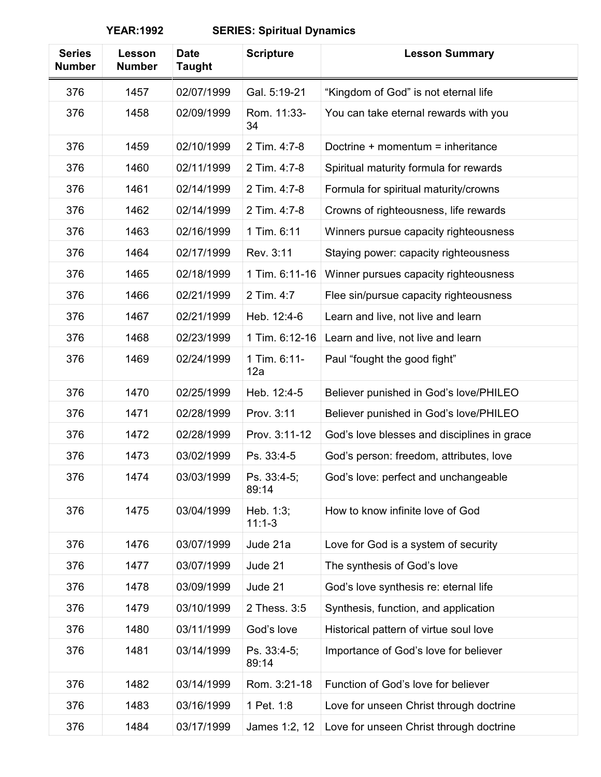| <b>Series</b><br><b>Number</b> | Lesson<br><b>Number</b> | <b>Date</b><br><b>Taught</b> | <b>Scripture</b>      | <b>Lesson Summary</b>                       |
|--------------------------------|-------------------------|------------------------------|-----------------------|---------------------------------------------|
| 376                            | 1457                    | 02/07/1999                   | Gal. 5:19-21          | "Kingdom of God" is not eternal life        |
| 376                            | 1458                    | 02/09/1999                   | Rom. 11:33-<br>34     | You can take eternal rewards with you       |
| 376                            | 1459                    | 02/10/1999                   | 2 Tim. 4:7-8          | Doctrine + momentum = inheritance           |
| 376                            | 1460                    | 02/11/1999                   | 2 Tim. 4:7-8          | Spiritual maturity formula for rewards      |
| 376                            | 1461                    | 02/14/1999                   | 2 Tim. 4:7-8          | Formula for spiritual maturity/crowns       |
| 376                            | 1462                    | 02/14/1999                   | 2 Tim. 4:7-8          | Crowns of righteousness, life rewards       |
| 376                            | 1463                    | 02/16/1999                   | 1 Tim. 6:11           | Winners pursue capacity righteousness       |
| 376                            | 1464                    | 02/17/1999                   | Rev. 3:11             | Staying power: capacity righteousness       |
| 376                            | 1465                    | 02/18/1999                   | 1 Tim. 6:11-16        | Winner pursues capacity righteousness       |
| 376                            | 1466                    | 02/21/1999                   | 2 Tim. 4:7            | Flee sin/pursue capacity righteousness      |
| 376                            | 1467                    | 02/21/1999                   | Heb. 12:4-6           | Learn and live, not live and learn          |
| 376                            | 1468                    | 02/23/1999                   | 1 Tim. 6:12-16        | Learn and live, not live and learn          |
| 376                            | 1469                    | 02/24/1999                   | 1 Tim. 6:11-<br>12a   | Paul "fought the good fight"                |
| 376                            | 1470                    | 02/25/1999                   | Heb. 12:4-5           | Believer punished in God's love/PHILEO      |
| 376                            | 1471                    | 02/28/1999                   | Prov. 3:11            | Believer punished in God's love/PHILEO      |
| 376                            | 1472                    | 02/28/1999                   | Prov. 3:11-12         | God's love blesses and disciplines in grace |
| 376                            | 1473                    | 03/02/1999                   | Ps. 33:4-5            | God's person: freedom, attributes, love     |
| 376                            | 1474                    | 03/03/1999                   | Ps. 33:4-5;<br>89:14  | God's love: perfect and unchangeable        |
| 376                            | 1475                    | 03/04/1999                   | Heb. 1:3;<br>$11:1-3$ | How to know infinite love of God            |
| 376                            | 1476                    | 03/07/1999                   | Jude 21a              | Love for God is a system of security        |
| 376                            | 1477                    | 03/07/1999                   | Jude 21               | The synthesis of God's love                 |
| 376                            | 1478                    | 03/09/1999                   | Jude 21               | God's love synthesis re: eternal life       |
| 376                            | 1479                    | 03/10/1999                   | 2 Thess. 3:5          | Synthesis, function, and application        |
| 376                            | 1480                    | 03/11/1999                   | God's love            | Historical pattern of virtue soul love      |
| 376                            | 1481                    | 03/14/1999                   | Ps. 33:4-5;<br>89:14  | Importance of God's love for believer       |
| 376                            | 1482                    | 03/14/1999                   | Rom. 3:21-18          | Function of God's love for believer         |
| 376                            | 1483                    | 03/16/1999                   | 1 Pet. 1:8            | Love for unseen Christ through doctrine     |
| 376                            | 1484                    | 03/17/1999                   | James 1:2, 12         | Love for unseen Christ through doctrine     |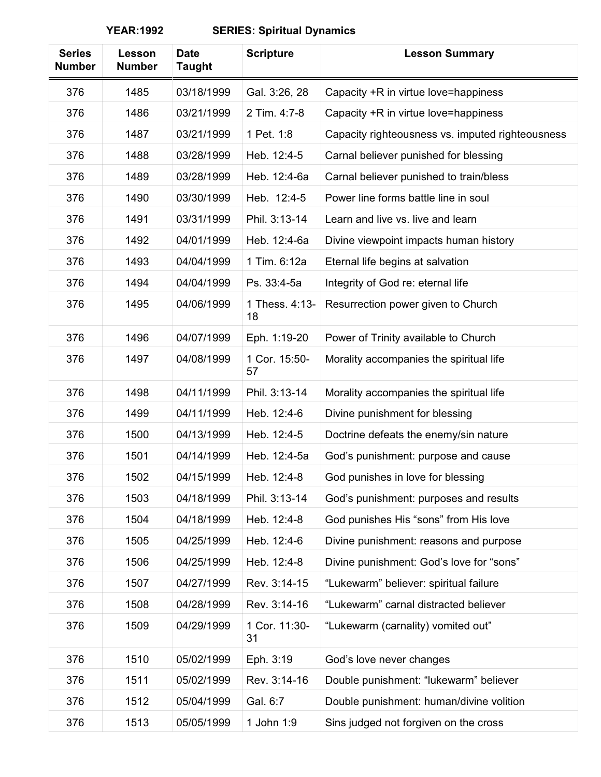| <b>Series</b><br><b>Number</b> | Lesson<br><b>Number</b> | <b>Date</b><br><b>Taught</b> | <b>Scripture</b>     | <b>Lesson Summary</b>                            |
|--------------------------------|-------------------------|------------------------------|----------------------|--------------------------------------------------|
| 376                            | 1485                    | 03/18/1999                   | Gal. 3:26, 28        | Capacity +R in virtue love=happiness             |
| 376                            | 1486                    | 03/21/1999                   | 2 Tim. 4:7-8         | Capacity +R in virtue love=happiness             |
| 376                            | 1487                    | 03/21/1999                   | 1 Pet. 1:8           | Capacity righteousness vs. imputed righteousness |
| 376                            | 1488                    | 03/28/1999                   | Heb. 12:4-5          | Carnal believer punished for blessing            |
| 376                            | 1489                    | 03/28/1999                   | Heb. 12:4-6a         | Carnal believer punished to train/bless          |
| 376                            | 1490                    | 03/30/1999                   | Heb. 12:4-5          | Power line forms battle line in soul             |
| 376                            | 1491                    | 03/31/1999                   | Phil. 3:13-14        | Learn and live vs. live and learn                |
| 376                            | 1492                    | 04/01/1999                   | Heb. 12:4-6a         | Divine viewpoint impacts human history           |
| 376                            | 1493                    | 04/04/1999                   | 1 Tim. 6:12a         | Eternal life begins at salvation                 |
| 376                            | 1494                    | 04/04/1999                   | Ps. 33:4-5a          | Integrity of God re: eternal life                |
| 376                            | 1495                    | 04/06/1999                   | 1 Thess. 4:13-<br>18 | Resurrection power given to Church               |
| 376                            | 1496                    | 04/07/1999                   | Eph. 1:19-20         | Power of Trinity available to Church             |
| 376                            | 1497                    | 04/08/1999                   | 1 Cor. 15:50-<br>57  | Morality accompanies the spiritual life          |
| 376                            | 1498                    | 04/11/1999                   | Phil. 3:13-14        | Morality accompanies the spiritual life          |
| 376                            | 1499                    | 04/11/1999                   | Heb. 12:4-6          | Divine punishment for blessing                   |
| 376                            | 1500                    | 04/13/1999                   | Heb. 12:4-5          | Doctrine defeats the enemy/sin nature            |
| 376                            | 1501                    | 04/14/1999                   | Heb. 12:4-5a         | God's punishment: purpose and cause              |
| 376                            | 1502                    | 04/15/1999                   | Heb. 12:4-8          | God punishes in love for blessing                |
| 376                            | 1503                    | 04/18/1999                   | Phil. 3:13-14        | God's punishment: purposes and results           |
| 376                            | 1504                    | 04/18/1999                   | Heb. 12:4-8          | God punishes His "sons" from His love            |
| 376                            | 1505                    | 04/25/1999                   | Heb. 12:4-6          | Divine punishment: reasons and purpose           |
| 376                            | 1506                    | 04/25/1999                   | Heb. 12:4-8          | Divine punishment: God's love for "sons"         |
| 376                            | 1507                    | 04/27/1999                   | Rev. 3:14-15         | "Lukewarm" believer: spiritual failure           |
| 376                            | 1508                    | 04/28/1999                   | Rev. 3:14-16         | "Lukewarm" carnal distracted believer            |
| 376                            | 1509                    | 04/29/1999                   | 1 Cor. 11:30-<br>31  | "Lukewarm (carnality) vomited out"               |
| 376                            | 1510                    | 05/02/1999                   | Eph. 3:19            | God's love never changes                         |
| 376                            | 1511                    | 05/02/1999                   | Rev. 3:14-16         | Double punishment: "lukewarm" believer           |
| 376                            | 1512                    | 05/04/1999                   | Gal. 6:7             | Double punishment: human/divine volition         |
| 376                            | 1513                    | 05/05/1999                   | 1 John 1:9           | Sins judged not forgiven on the cross            |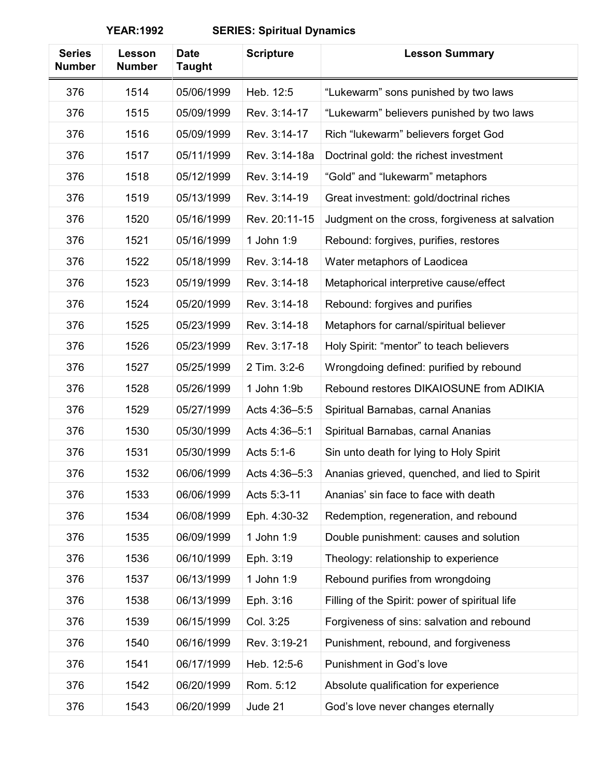| <b>Series</b><br><b>Number</b> | Lesson<br><b>Number</b> | <b>Date</b><br><b>Taught</b> | <b>Scripture</b> | <b>Lesson Summary</b>                           |
|--------------------------------|-------------------------|------------------------------|------------------|-------------------------------------------------|
| 376                            | 1514                    | 05/06/1999                   | Heb. 12:5        | "Lukewarm" sons punished by two laws            |
| 376                            | 1515                    | 05/09/1999                   | Rev. 3:14-17     | "Lukewarm" believers punished by two laws       |
| 376                            | 1516                    | 05/09/1999                   | Rev. 3:14-17     | Rich "lukewarm" believers forget God            |
| 376                            | 1517                    | 05/11/1999                   | Rev. 3:14-18a    | Doctrinal gold: the richest investment          |
| 376                            | 1518                    | 05/12/1999                   | Rev. 3:14-19     | "Gold" and "lukewarm" metaphors                 |
| 376                            | 1519                    | 05/13/1999                   | Rev. 3:14-19     | Great investment: gold/doctrinal riches         |
| 376                            | 1520                    | 05/16/1999                   | Rev. 20:11-15    | Judgment on the cross, forgiveness at salvation |
| 376                            | 1521                    | 05/16/1999                   | 1 John 1:9       | Rebound: forgives, purifies, restores           |
| 376                            | 1522                    | 05/18/1999                   | Rev. 3:14-18     | Water metaphors of Laodicea                     |
| 376                            | 1523                    | 05/19/1999                   | Rev. 3:14-18     | Metaphorical interpretive cause/effect          |
| 376                            | 1524                    | 05/20/1999                   | Rev. 3:14-18     | Rebound: forgives and purifies                  |
| 376                            | 1525                    | 05/23/1999                   | Rev. 3:14-18     | Metaphors for carnal/spiritual believer         |
| 376                            | 1526                    | 05/23/1999                   | Rev. 3:17-18     | Holy Spirit: "mentor" to teach believers        |
| 376                            | 1527                    | 05/25/1999                   | 2 Tim. 3:2-6     | Wrongdoing defined: purified by rebound         |
| 376                            | 1528                    | 05/26/1999                   | 1 John 1:9b      | Rebound restores DIKAIOSUNE from ADIKIA         |
| 376                            | 1529                    | 05/27/1999                   | Acts 4:36-5:5    | Spiritual Barnabas, carnal Ananias              |
| 376                            | 1530                    | 05/30/1999                   | Acts 4:36-5:1    | Spiritual Barnabas, carnal Ananias              |
| 376                            | 1531                    | 05/30/1999                   | Acts 5:1-6       | Sin unto death for lying to Holy Spirit         |
| 376                            | 1532                    | 06/06/1999                   | Acts 4:36-5:3    | Ananias grieved, quenched, and lied to Spirit   |
| 376                            | 1533                    | 06/06/1999                   | Acts 5:3-11      | Ananias' sin face to face with death            |
| 376                            | 1534                    | 06/08/1999                   | Eph. 4:30-32     | Redemption, regeneration, and rebound           |
| 376                            | 1535                    | 06/09/1999                   | 1 John 1:9       | Double punishment: causes and solution          |
| 376                            | 1536                    | 06/10/1999                   | Eph. 3:19        | Theology: relationship to experience            |
| 376                            | 1537                    | 06/13/1999                   | 1 John 1:9       | Rebound purifies from wrongdoing                |
| 376                            | 1538                    | 06/13/1999                   | Eph. 3:16        | Filling of the Spirit: power of spiritual life  |
| 376                            | 1539                    | 06/15/1999                   | Col. 3:25        | Forgiveness of sins: salvation and rebound      |
| 376                            | 1540                    | 06/16/1999                   | Rev. 3:19-21     | Punishment, rebound, and forgiveness            |
| 376                            | 1541                    | 06/17/1999                   | Heb. 12:5-6      | Punishment in God's love                        |
| 376                            | 1542                    | 06/20/1999                   | Rom. 5:12        | Absolute qualification for experience           |
| 376                            | 1543                    | 06/20/1999                   | Jude 21          | God's love never changes eternally              |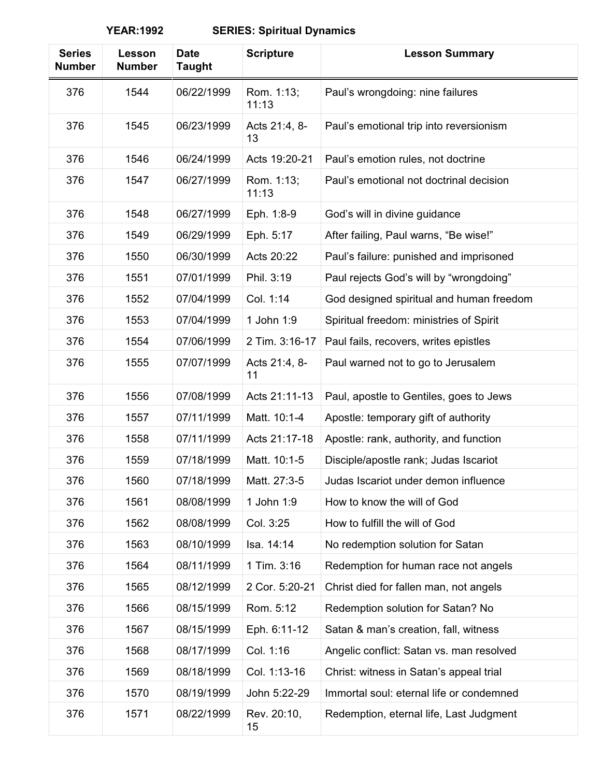| <b>Series</b><br><b>Number</b> | Lesson<br><b>Number</b> | <b>Date</b><br><b>Taught</b> | <b>Scripture</b>    | <b>Lesson Summary</b>                    |
|--------------------------------|-------------------------|------------------------------|---------------------|------------------------------------------|
| 376                            | 1544                    | 06/22/1999                   | Rom. 1:13;<br>11:13 | Paul's wrongdoing: nine failures         |
| 376                            | 1545                    | 06/23/1999                   | Acts 21:4, 8-<br>13 | Paul's emotional trip into reversionism  |
| 376                            | 1546                    | 06/24/1999                   | Acts 19:20-21       | Paul's emotion rules, not doctrine       |
| 376                            | 1547                    | 06/27/1999                   | Rom. 1:13;<br>11:13 | Paul's emotional not doctrinal decision  |
| 376                            | 1548                    | 06/27/1999                   | Eph. 1:8-9          | God's will in divine guidance            |
| 376                            | 1549                    | 06/29/1999                   | Eph. 5:17           | After failing, Paul warns, "Be wise!"    |
| 376                            | 1550                    | 06/30/1999                   | Acts 20:22          | Paul's failure: punished and imprisoned  |
| 376                            | 1551                    | 07/01/1999                   | Phil. 3:19          | Paul rejects God's will by "wrongdoing"  |
| 376                            | 1552                    | 07/04/1999                   | Col. 1:14           | God designed spiritual and human freedom |
| 376                            | 1553                    | 07/04/1999                   | 1 John 1:9          | Spiritual freedom: ministries of Spirit  |
| 376                            | 1554                    | 07/06/1999                   | 2 Tim. 3:16-17      | Paul fails, recovers, writes epistles    |
| 376                            | 1555                    | 07/07/1999                   | Acts 21:4, 8-<br>11 | Paul warned not to go to Jerusalem       |
| 376                            | 1556                    | 07/08/1999                   | Acts 21:11-13       | Paul, apostle to Gentiles, goes to Jews  |
| 376                            | 1557                    | 07/11/1999                   | Matt. 10:1-4        | Apostle: temporary gift of authority     |
| 376                            | 1558                    | 07/11/1999                   | Acts 21:17-18       | Apostle: rank, authority, and function   |
| 376                            | 1559                    | 07/18/1999                   | Matt. 10:1-5        | Disciple/apostle rank; Judas Iscariot    |
| 376                            | 1560                    | 07/18/1999                   | Matt. 27:3-5        | Judas Iscariot under demon influence     |
| 376                            | 1561                    | 08/08/1999                   | 1 John 1:9          | How to know the will of God              |
| 376                            | 1562                    | 08/08/1999                   | Col. 3:25           | How to fulfill the will of God           |
| 376                            | 1563                    | 08/10/1999                   | Isa. 14:14          | No redemption solution for Satan         |
| 376                            | 1564                    | 08/11/1999                   | 1 Tim. 3:16         | Redemption for human race not angels     |
| 376                            | 1565                    | 08/12/1999                   | 2 Cor. 5:20-21      | Christ died for fallen man, not angels   |
| 376                            | 1566                    | 08/15/1999                   | Rom. 5:12           | Redemption solution for Satan? No        |
| 376                            | 1567                    | 08/15/1999                   | Eph. 6:11-12        | Satan & man's creation, fall, witness    |
| 376                            | 1568                    | 08/17/1999                   | Col. 1:16           | Angelic conflict: Satan vs. man resolved |
| 376                            | 1569                    | 08/18/1999                   | Col. 1:13-16        | Christ: witness in Satan's appeal trial  |
| 376                            | 1570                    | 08/19/1999                   | John 5:22-29        | Immortal soul: eternal life or condemned |
| 376                            | 1571                    | 08/22/1999                   | Rev. 20:10,<br>15   | Redemption, eternal life, Last Judgment  |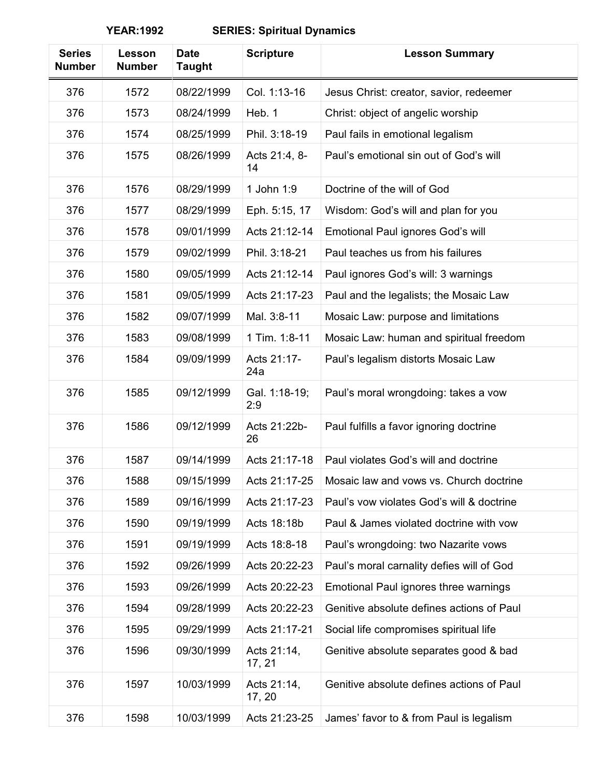| <b>Series</b><br><b>Number</b> | Lesson<br><b>Number</b> | <b>Date</b><br><b>Taught</b> | <b>Scripture</b>      | <b>Lesson Summary</b>                     |
|--------------------------------|-------------------------|------------------------------|-----------------------|-------------------------------------------|
| 376                            | 1572                    | 08/22/1999                   | Col. 1:13-16          | Jesus Christ: creator, savior, redeemer   |
| 376                            | 1573                    | 08/24/1999                   | Heb. 1                | Christ: object of angelic worship         |
| 376                            | 1574                    | 08/25/1999                   | Phil. 3:18-19         | Paul fails in emotional legalism          |
| 376                            | 1575                    | 08/26/1999                   | Acts 21:4, 8-<br>14   | Paul's emotional sin out of God's will    |
| 376                            | 1576                    | 08/29/1999                   | 1 John 1:9            | Doctrine of the will of God               |
| 376                            | 1577                    | 08/29/1999                   | Eph. 5:15, 17         | Wisdom: God's will and plan for you       |
| 376                            | 1578                    | 09/01/1999                   | Acts 21:12-14         | Emotional Paul ignores God's will         |
| 376                            | 1579                    | 09/02/1999                   | Phil. 3:18-21         | Paul teaches us from his failures         |
| 376                            | 1580                    | 09/05/1999                   | Acts 21:12-14         | Paul ignores God's will: 3 warnings       |
| 376                            | 1581                    | 09/05/1999                   | Acts 21:17-23         | Paul and the legalists; the Mosaic Law    |
| 376                            | 1582                    | 09/07/1999                   | Mal. 3:8-11           | Mosaic Law: purpose and limitations       |
| 376                            | 1583                    | 09/08/1999                   | 1 Tim. 1:8-11         | Mosaic Law: human and spiritual freedom   |
| 376                            | 1584                    | 09/09/1999                   | Acts 21:17-<br>24a    | Paul's legalism distorts Mosaic Law       |
| 376                            | 1585                    | 09/12/1999                   | Gal. 1:18-19;<br>2:9  | Paul's moral wrongdoing: takes a vow      |
| 376                            | 1586                    | 09/12/1999                   | Acts 21:22b-<br>26    | Paul fulfills a favor ignoring doctrine   |
| 376                            | 1587                    | 09/14/1999                   | Acts 21:17-18         | Paul violates God's will and doctrine     |
| 376                            | 1588                    | 09/15/1999                   | Acts 21:17-25         | Mosaic law and vows vs. Church doctrine   |
| 376                            | 1589                    | 09/16/1999                   | Acts 21:17-23         | Paul's vow violates God's will & doctrine |
| 376                            | 1590                    | 09/19/1999                   | Acts 18:18b           | Paul & James violated doctrine with vow   |
| 376                            | 1591                    | 09/19/1999                   | Acts 18:8-18          | Paul's wrongdoing: two Nazarite vows      |
| 376                            | 1592                    | 09/26/1999                   | Acts 20:22-23         | Paul's moral carnality defies will of God |
| 376                            | 1593                    | 09/26/1999                   | Acts 20:22-23         | Emotional Paul ignores three warnings     |
| 376                            | 1594                    | 09/28/1999                   | Acts 20:22-23         | Genitive absolute defines actions of Paul |
| 376                            | 1595                    | 09/29/1999                   | Acts 21:17-21         | Social life compromises spiritual life    |
| 376                            | 1596                    | 09/30/1999                   | Acts 21:14,<br>17, 21 | Genitive absolute separates good & bad    |
| 376                            | 1597                    | 10/03/1999                   | Acts 21:14,<br>17, 20 | Genitive absolute defines actions of Paul |
| 376                            | 1598                    | 10/03/1999                   | Acts 21:23-25         | James' favor to & from Paul is legalism   |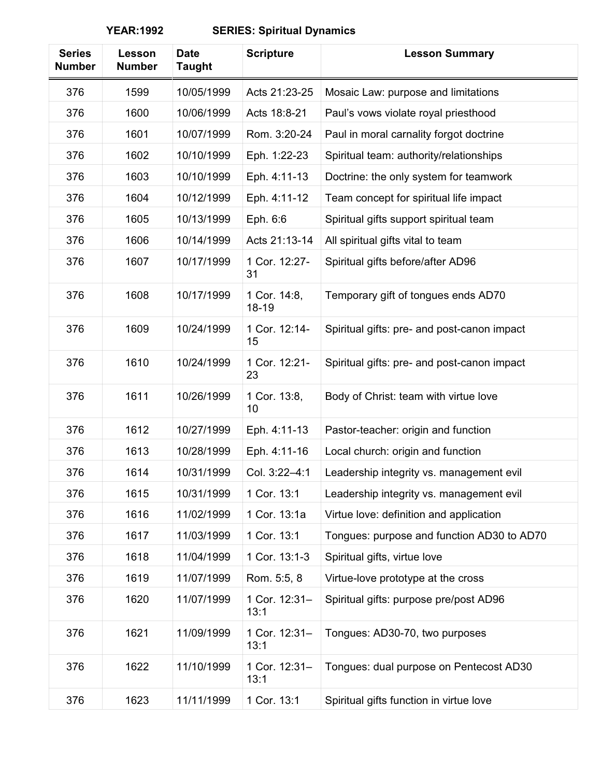| <b>Series</b><br><b>Number</b> | Lesson<br><b>Number</b> | <b>Date</b><br><b>Taught</b> | <b>Scripture</b>          | <b>Lesson Summary</b>                       |
|--------------------------------|-------------------------|------------------------------|---------------------------|---------------------------------------------|
| 376                            | 1599                    | 10/05/1999                   | Acts 21:23-25             | Mosaic Law: purpose and limitations         |
| 376                            | 1600                    | 10/06/1999                   | Acts 18:8-21              | Paul's vows violate royal priesthood        |
| 376                            | 1601                    | 10/07/1999                   | Rom. 3:20-24              | Paul in moral carnality forgot doctrine     |
| 376                            | 1602                    | 10/10/1999                   | Eph. 1:22-23              | Spiritual team: authority/relationships     |
| 376                            | 1603                    | 10/10/1999                   | Eph. 4:11-13              | Doctrine: the only system for teamwork      |
| 376                            | 1604                    | 10/12/1999                   | Eph. 4:11-12              | Team concept for spiritual life impact      |
| 376                            | 1605                    | 10/13/1999                   | Eph. 6:6                  | Spiritual gifts support spiritual team      |
| 376                            | 1606                    | 10/14/1999                   | Acts 21:13-14             | All spiritual gifts vital to team           |
| 376                            | 1607                    | 10/17/1999                   | 1 Cor. 12:27-<br>31       | Spiritual gifts before/after AD96           |
| 376                            | 1608                    | 10/17/1999                   | 1 Cor. 14:8,<br>$18 - 19$ | Temporary gift of tongues ends AD70         |
| 376                            | 1609                    | 10/24/1999                   | 1 Cor. 12:14-<br>15       | Spiritual gifts: pre- and post-canon impact |
| 376                            | 1610                    | 10/24/1999                   | 1 Cor. 12:21-<br>23       | Spiritual gifts: pre- and post-canon impact |
| 376                            | 1611                    | 10/26/1999                   | 1 Cor. 13:8,<br>10        | Body of Christ: team with virtue love       |
| 376                            | 1612                    | 10/27/1999                   | Eph. 4:11-13              | Pastor-teacher: origin and function         |
| 376                            | 1613                    | 10/28/1999                   | Eph. 4:11-16              | Local church: origin and function           |
| 376                            | 1614                    | 10/31/1999                   | Col. 3:22-4:1             | Leadership integrity vs. management evil    |
| 376                            | 1615                    | 10/31/1999                   | 1 Cor. 13:1               | Leadership integrity vs. management evil    |
| 376                            | 1616                    | 11/02/1999                   | 1 Cor. 13:1a              | Virtue love: definition and application     |
| 376                            | 1617                    | 11/03/1999                   | 1 Cor. 13:1               | Tongues: purpose and function AD30 to AD70  |
| 376                            | 1618                    | 11/04/1999                   | 1 Cor. 13:1-3             | Spiritual gifts, virtue love                |
| 376                            | 1619                    | 11/07/1999                   | Rom. 5:5, 8               | Virtue-love prototype at the cross          |
| 376                            | 1620                    | 11/07/1999                   | 1 Cor. 12:31-<br>13:1     | Spiritual gifts: purpose pre/post AD96      |
| 376                            | 1621                    | 11/09/1999                   | 1 Cor. 12:31-<br>13:1     | Tongues: AD30-70, two purposes              |
| 376                            | 1622                    | 11/10/1999                   | 1 Cor. 12:31-<br>13:1     | Tongues: dual purpose on Pentecost AD30     |
| 376                            | 1623                    | 11/11/1999                   | 1 Cor. 13:1               | Spiritual gifts function in virtue love     |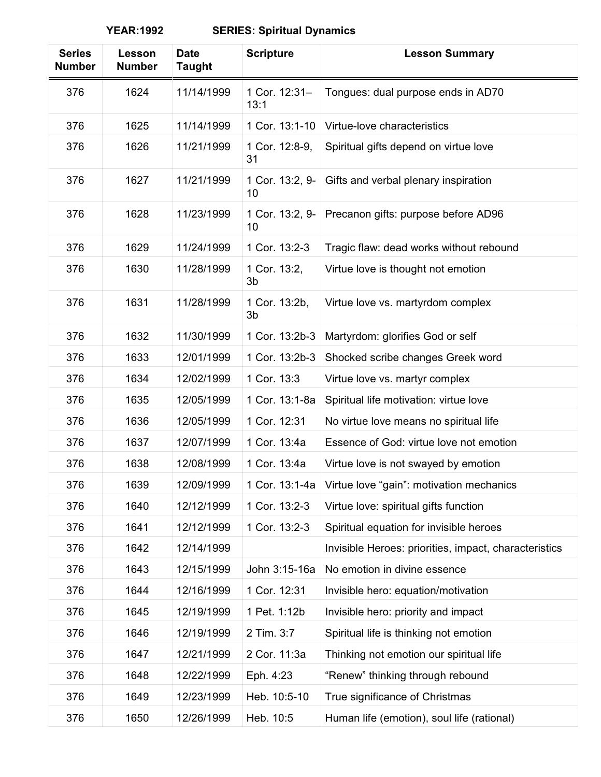| <b>Series</b><br><b>Number</b> | Lesson<br><b>Number</b> | <b>Date</b><br><b>Taught</b> | <b>Scripture</b>      | <b>Lesson Summary</b>                                 |
|--------------------------------|-------------------------|------------------------------|-----------------------|-------------------------------------------------------|
| 376                            | 1624                    | 11/14/1999                   | 1 Cor. 12:31-<br>13:1 | Tongues: dual purpose ends in AD70                    |
| 376                            | 1625                    | 11/14/1999                   | 1 Cor. 13:1-10        | Virtue-love characteristics                           |
| 376                            | 1626                    | 11/21/1999                   | 1 Cor. 12:8-9,<br>31  | Spiritual gifts depend on virtue love                 |
| 376                            | 1627                    | 11/21/1999                   | 1 Cor. 13:2, 9-<br>10 | Gifts and verbal plenary inspiration                  |
| 376                            | 1628                    | 11/23/1999                   | 1 Cor. 13:2, 9-<br>10 | Precanon gifts: purpose before AD96                   |
| 376                            | 1629                    | 11/24/1999                   | 1 Cor. 13:2-3         | Tragic flaw: dead works without rebound               |
| 376                            | 1630                    | 11/28/1999                   | 1 Cor. 13:2,<br>3b    | Virtue love is thought not emotion                    |
| 376                            | 1631                    | 11/28/1999                   | 1 Cor. 13:2b,<br>3b   | Virtue love vs. martyrdom complex                     |
| 376                            | 1632                    | 11/30/1999                   | 1 Cor. 13:2b-3        | Martyrdom: glorifies God or self                      |
| 376                            | 1633                    | 12/01/1999                   | 1 Cor. 13:2b-3        | Shocked scribe changes Greek word                     |
| 376                            | 1634                    | 12/02/1999                   | 1 Cor. 13:3           | Virtue love vs. martyr complex                        |
| 376                            | 1635                    | 12/05/1999                   | 1 Cor. 13:1-8a        | Spiritual life motivation: virtue love                |
| 376                            | 1636                    | 12/05/1999                   | 1 Cor. 12:31          | No virtue love means no spiritual life                |
| 376                            | 1637                    | 12/07/1999                   | 1 Cor. 13:4a          | Essence of God: virtue love not emotion               |
| 376                            | 1638                    | 12/08/1999                   | 1 Cor. 13:4a          | Virtue love is not swayed by emotion                  |
| 376                            | 1639                    | 12/09/1999                   | 1 Cor. 13:1-4a        | Virtue love "gain": motivation mechanics              |
| 376                            | 1640                    | 12/12/1999                   | 1 Cor. 13:2-3         | Virtue love: spiritual gifts function                 |
| 376                            | 1641                    | 12/12/1999                   | 1 Cor. 13:2-3         | Spiritual equation for invisible heroes               |
| 376                            | 1642                    | 12/14/1999                   |                       | Invisible Heroes: priorities, impact, characteristics |
| 376                            | 1643                    | 12/15/1999                   | John 3:15-16a         | No emotion in divine essence                          |
| 376                            | 1644                    | 12/16/1999                   | 1 Cor. 12:31          | Invisible hero: equation/motivation                   |
| 376                            | 1645                    | 12/19/1999                   | 1 Pet. 1:12b          | Invisible hero: priority and impact                   |
| 376                            | 1646                    | 12/19/1999                   | 2 Tim. 3:7            | Spiritual life is thinking not emotion                |
| 376                            | 1647                    | 12/21/1999                   | 2 Cor. 11:3a          | Thinking not emotion our spiritual life               |
| 376                            | 1648                    | 12/22/1999                   | Eph. 4:23             | "Renew" thinking through rebound                      |
| 376                            | 1649                    | 12/23/1999                   | Heb. 10:5-10          | True significance of Christmas                        |
| 376                            | 1650                    | 12/26/1999                   | Heb. 10:5             | Human life (emotion), soul life (rational)            |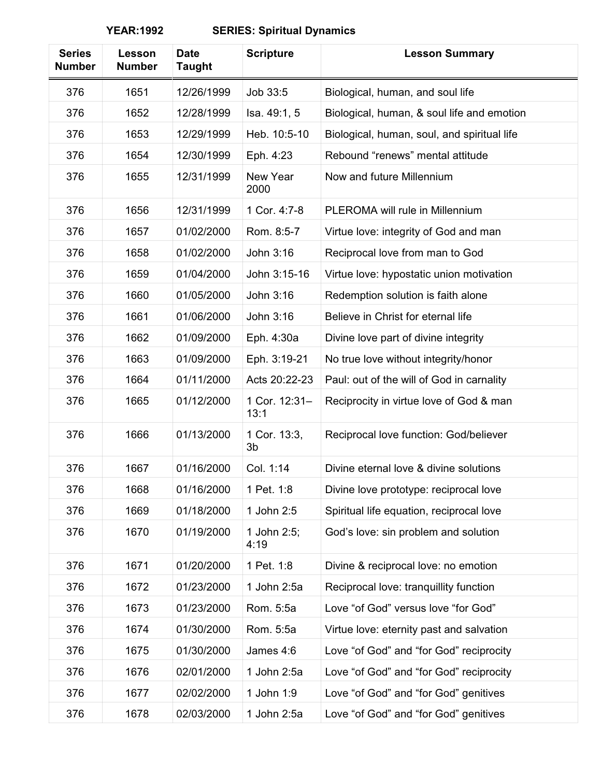| <b>Series</b><br><b>Number</b> | Lesson<br><b>Number</b> | <b>Date</b><br><b>Taught</b> | <b>Scripture</b>      | <b>Lesson Summary</b>                       |
|--------------------------------|-------------------------|------------------------------|-----------------------|---------------------------------------------|
| 376                            | 1651                    | 12/26/1999                   | Job 33:5              | Biological, human, and soul life            |
| 376                            | 1652                    | 12/28/1999                   | Isa. 49:1, 5          | Biological, human, & soul life and emotion  |
| 376                            | 1653                    | 12/29/1999                   | Heb. 10:5-10          | Biological, human, soul, and spiritual life |
| 376                            | 1654                    | 12/30/1999                   | Eph. 4:23             | Rebound "renews" mental attitude            |
| 376                            | 1655                    | 12/31/1999                   | New Year<br>2000      | Now and future Millennium                   |
| 376                            | 1656                    | 12/31/1999                   | 1 Cor. 4:7-8          | PLEROMA will rule in Millennium             |
| 376                            | 1657                    | 01/02/2000                   | Rom. 8:5-7            | Virtue love: integrity of God and man       |
| 376                            | 1658                    | 01/02/2000                   | John 3:16             | Reciprocal love from man to God             |
| 376                            | 1659                    | 01/04/2000                   | John 3:15-16          | Virtue love: hypostatic union motivation    |
| 376                            | 1660                    | 01/05/2000                   | John 3:16             | Redemption solution is faith alone          |
| 376                            | 1661                    | 01/06/2000                   | John 3:16             | Believe in Christ for eternal life          |
| 376                            | 1662                    | 01/09/2000                   | Eph. 4:30a            | Divine love part of divine integrity        |
| 376                            | 1663                    | 01/09/2000                   | Eph. 3:19-21          | No true love without integrity/honor        |
| 376                            | 1664                    | 01/11/2000                   | Acts 20:22-23         | Paul: out of the will of God in carnality   |
| 376                            | 1665                    | 01/12/2000                   | 1 Cor. 12:31-<br>13:1 | Reciprocity in virtue love of God & man     |
| 376                            | 1666                    | 01/13/2000                   | 1 Cor. 13:3,<br>3b    | Reciprocal love function: God/believer      |
| 376                            | 1667                    | 01/16/2000                   | Col. 1:14             | Divine eternal love & divine solutions      |
| 376                            | 1668                    | 01/16/2000                   | 1 Pet. 1:8            | Divine love prototype: reciprocal love      |
| 376                            | 1669                    | 01/18/2000                   | 1 John 2:5            | Spiritual life equation, reciprocal love    |
| 376                            | 1670                    | 01/19/2000                   | 1 John 2:5;<br>4:19   | God's love: sin problem and solution        |
| 376                            | 1671                    | 01/20/2000                   | 1 Pet. 1:8            | Divine & reciprocal love: no emotion        |
| 376                            | 1672                    | 01/23/2000                   | 1 John 2:5a           | Reciprocal love: tranquillity function      |
| 376                            | 1673                    | 01/23/2000                   | Rom. 5:5a             | Love "of God" versus love "for God"         |
| 376                            | 1674                    | 01/30/2000                   | Rom. 5:5a             | Virtue love: eternity past and salvation    |
| 376                            | 1675                    | 01/30/2000                   | James 4:6             | Love "of God" and "for God" reciprocity     |
| 376                            | 1676                    | 02/01/2000                   | 1 John 2:5a           | Love "of God" and "for God" reciprocity     |
| 376                            | 1677                    | 02/02/2000                   | 1 John 1:9            | Love "of God" and "for God" genitives       |
| 376                            | 1678                    | 02/03/2000                   | 1 John 2:5a           | Love "of God" and "for God" genitives       |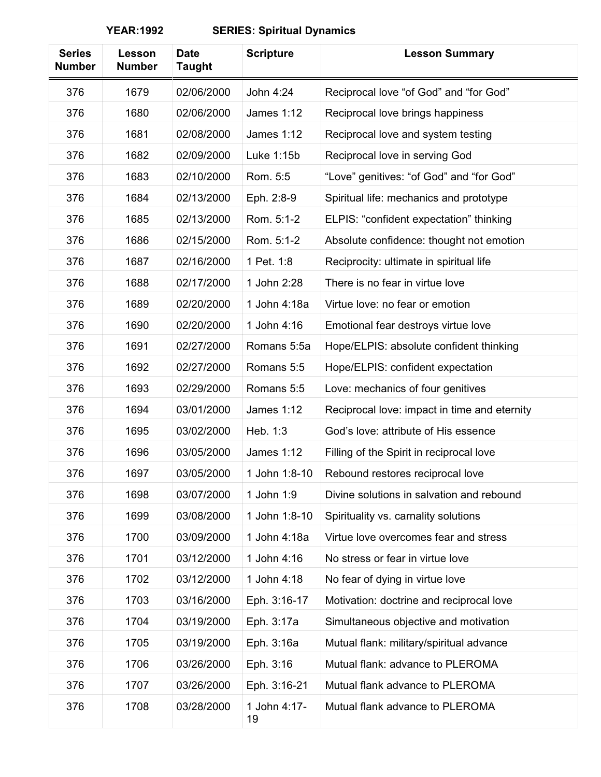| <b>Series</b><br><b>Number</b> | Lesson<br><b>Number</b> | <b>Date</b><br><b>Taught</b> | <b>Scripture</b>   | <b>Lesson Summary</b>                        |
|--------------------------------|-------------------------|------------------------------|--------------------|----------------------------------------------|
| 376                            | 1679                    | 02/06/2000                   | John 4:24          | Reciprocal love "of God" and "for God"       |
| 376                            | 1680                    | 02/06/2000                   | <b>James 1:12</b>  | Reciprocal love brings happiness             |
| 376                            | 1681                    | 02/08/2000                   | <b>James 1:12</b>  | Reciprocal love and system testing           |
| 376                            | 1682                    | 02/09/2000                   | Luke 1:15b         | Reciprocal love in serving God               |
| 376                            | 1683                    | 02/10/2000                   | Rom. 5:5           | "Love" genitives: "of God" and "for God"     |
| 376                            | 1684                    | 02/13/2000                   | Eph. 2:8-9         | Spiritual life: mechanics and prototype      |
| 376                            | 1685                    | 02/13/2000                   | Rom. 5:1-2         | ELPIS: "confident expectation" thinking      |
| 376                            | 1686                    | 02/15/2000                   | Rom. 5:1-2         | Absolute confidence: thought not emotion     |
| 376                            | 1687                    | 02/16/2000                   | 1 Pet. 1:8         | Reciprocity: ultimate in spiritual life      |
| 376                            | 1688                    | 02/17/2000                   | 1 John 2:28        | There is no fear in virtue love              |
| 376                            | 1689                    | 02/20/2000                   | 1 John 4:18a       | Virtue love: no fear or emotion              |
| 376                            | 1690                    | 02/20/2000                   | 1 John 4:16        | Emotional fear destroys virtue love          |
| 376                            | 1691                    | 02/27/2000                   | Romans 5:5a        | Hope/ELPIS: absolute confident thinking      |
| 376                            | 1692                    | 02/27/2000                   | Romans 5:5         | Hope/ELPIS: confident expectation            |
| 376                            | 1693                    | 02/29/2000                   | Romans 5:5         | Love: mechanics of four genitives            |
| 376                            | 1694                    | 03/01/2000                   | <b>James 1:12</b>  | Reciprocal love: impact in time and eternity |
| 376                            | 1695                    | 03/02/2000                   | Heb. 1:3           | God's love: attribute of His essence         |
| 376                            | 1696                    | 03/05/2000                   | <b>James 1:12</b>  | Filling of the Spirit in reciprocal love     |
| 376                            | 1697                    | 03/05/2000                   | 1 John 1:8-10      | Rebound restores reciprocal love             |
| 376                            | 1698                    | 03/07/2000                   | 1 John 1:9         | Divine solutions in salvation and rebound    |
| 376                            | 1699                    | 03/08/2000                   | 1 John 1:8-10      | Spirituality vs. carnality solutions         |
| 376                            | 1700                    | 03/09/2000                   | 1 John 4:18a       | Virtue love overcomes fear and stress        |
| 376                            | 1701                    | 03/12/2000                   | 1 John 4:16        | No stress or fear in virtue love             |
| 376                            | 1702                    | 03/12/2000                   | 1 John 4:18        | No fear of dying in virtue love              |
| 376                            | 1703                    | 03/16/2000                   | Eph. 3:16-17       | Motivation: doctrine and reciprocal love     |
| 376                            | 1704                    | 03/19/2000                   | Eph. 3:17a         | Simultaneous objective and motivation        |
| 376                            | 1705                    | 03/19/2000                   | Eph. 3:16a         | Mutual flank: military/spiritual advance     |
| 376                            | 1706                    | 03/26/2000                   | Eph. 3:16          | Mutual flank: advance to PLEROMA             |
| 376                            | 1707                    | 03/26/2000                   | Eph. 3:16-21       | Mutual flank advance to PLEROMA              |
| 376                            | 1708                    | 03/28/2000                   | 1 John 4:17-<br>19 | Mutual flank advance to PLEROMA              |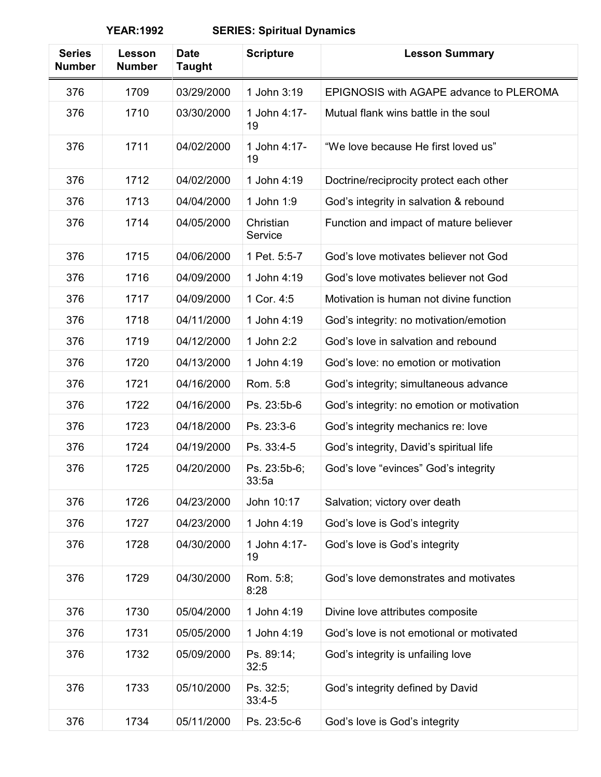| <b>Series</b><br><b>Number</b> | Lesson<br><b>Number</b> | <b>Date</b><br><b>Taught</b> | <b>Scripture</b>      | <b>Lesson Summary</b>                     |
|--------------------------------|-------------------------|------------------------------|-----------------------|-------------------------------------------|
| 376                            | 1709                    | 03/29/2000                   | 1 John 3:19           | EPIGNOSIS with AGAPE advance to PLEROMA   |
| 376                            | 1710                    | 03/30/2000                   | 1 John 4:17-<br>19    | Mutual flank wins battle in the soul      |
| 376                            | 1711                    | 04/02/2000                   | 1 John 4:17-<br>19    | "We love because He first loved us"       |
| 376                            | 1712                    | 04/02/2000                   | 1 John 4:19           | Doctrine/reciprocity protect each other   |
| 376                            | 1713                    | 04/04/2000                   | 1 John 1:9            | God's integrity in salvation & rebound    |
| 376                            | 1714                    | 04/05/2000                   | Christian<br>Service  | Function and impact of mature believer    |
| 376                            | 1715                    | 04/06/2000                   | 1 Pet. 5:5-7          | God's love motivates believer not God     |
| 376                            | 1716                    | 04/09/2000                   | 1 John 4:19           | God's love motivates believer not God     |
| 376                            | 1717                    | 04/09/2000                   | 1 Cor. 4:5            | Motivation is human not divine function   |
| 376                            | 1718                    | 04/11/2000                   | 1 John 4:19           | God's integrity: no motivation/emotion    |
| 376                            | 1719                    | 04/12/2000                   | 1 John 2:2            | God's love in salvation and rebound       |
| 376                            | 1720                    | 04/13/2000                   | 1 John 4:19           | God's love: no emotion or motivation      |
| 376                            | 1721                    | 04/16/2000                   | Rom. 5:8              | God's integrity; simultaneous advance     |
| 376                            | 1722                    | 04/16/2000                   | Ps. 23:5b-6           | God's integrity: no emotion or motivation |
| 376                            | 1723                    | 04/18/2000                   | Ps. 23:3-6            | God's integrity mechanics re: love        |
| 376                            | 1724                    | 04/19/2000                   | Ps. 33:4-5            | God's integrity, David's spiritual life   |
| 376                            | 1725                    | 04/20/2000                   | Ps. 23:5b-6;<br>33:5a | God's love "evinces" God's integrity      |
| 376                            | 1726                    | 04/23/2000                   | John 10:17            | Salvation; victory over death             |
| 376                            | 1727                    | 04/23/2000                   | 1 John 4:19           | God's love is God's integrity             |
| 376                            | 1728                    | 04/30/2000                   | 1 John 4:17-<br>19    | God's love is God's integrity             |
| 376                            | 1729                    | 04/30/2000                   | Rom. 5:8;<br>8:28     | God's love demonstrates and motivates     |
| 376                            | 1730                    | 05/04/2000                   | 1 John 4:19           | Divine love attributes composite          |
| 376                            | 1731                    | 05/05/2000                   | 1 John 4:19           | God's love is not emotional or motivated  |
| 376                            | 1732                    | 05/09/2000                   | Ps. 89:14;<br>32:5    | God's integrity is unfailing love         |
| 376                            | 1733                    | 05/10/2000                   | Ps. 32:5;<br>$33:4-5$ | God's integrity defined by David          |
| 376                            | 1734                    | 05/11/2000                   | Ps. 23:5c-6           | God's love is God's integrity             |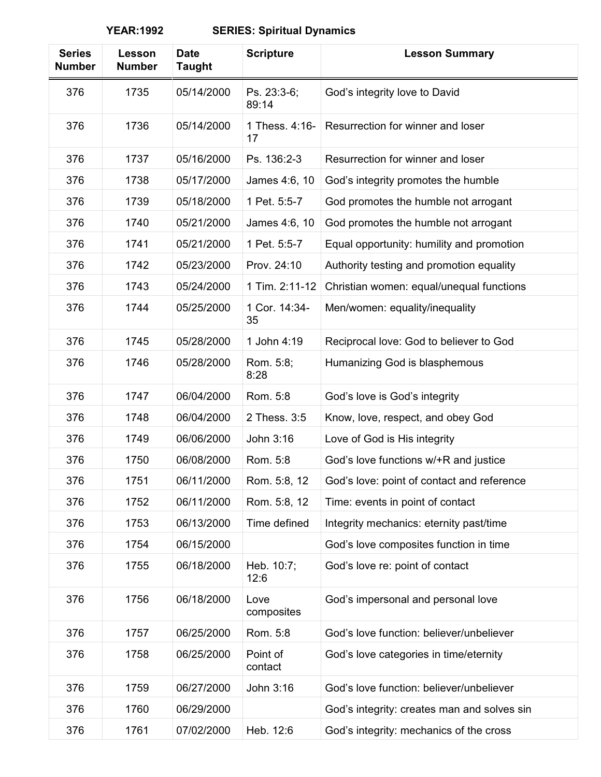| <b>Series</b><br><b>Number</b> | Lesson<br><b>Number</b> | <b>Date</b><br><b>Taught</b> | <b>Scripture</b>     | <b>Lesson Summary</b>                       |
|--------------------------------|-------------------------|------------------------------|----------------------|---------------------------------------------|
| 376                            | 1735                    | 05/14/2000                   | Ps. 23:3-6;<br>89:14 | God's integrity love to David               |
| 376                            | 1736                    | 05/14/2000                   | 1 Thess, 4:16-<br>17 | Resurrection for winner and loser           |
| 376                            | 1737                    | 05/16/2000                   | Ps. 136:2-3          | Resurrection for winner and loser           |
| 376                            | 1738                    | 05/17/2000                   | James 4:6, 10        | God's integrity promotes the humble         |
| 376                            | 1739                    | 05/18/2000                   | 1 Pet. 5:5-7         | God promotes the humble not arrogant        |
| 376                            | 1740                    | 05/21/2000                   | James 4:6, 10        | God promotes the humble not arrogant        |
| 376                            | 1741                    | 05/21/2000                   | 1 Pet. 5:5-7         | Equal opportunity: humility and promotion   |
| 376                            | 1742                    | 05/23/2000                   | Prov. 24:10          | Authority testing and promotion equality    |
| 376                            | 1743                    | 05/24/2000                   | 1 Tim. 2:11-12       | Christian women: equal/unequal functions    |
| 376                            | 1744                    | 05/25/2000                   | 1 Cor. 14:34-<br>35  | Men/women: equality/inequality              |
| 376                            | 1745                    | 05/28/2000                   | 1 John 4:19          | Reciprocal love: God to believer to God     |
| 376                            | 1746                    | 05/28/2000                   | Rom. 5:8;<br>8:28    | Humanizing God is blasphemous               |
| 376                            | 1747                    | 06/04/2000                   | Rom. 5:8             | God's love is God's integrity               |
| 376                            | 1748                    | 06/04/2000                   | 2 Thess. 3:5         | Know, love, respect, and obey God           |
| 376                            | 1749                    | 06/06/2000                   | John 3:16            | Love of God is His integrity                |
| 376                            | 1750                    | 06/08/2000                   | Rom. 5:8             | God's love functions w/+R and justice       |
| 376                            | 1751                    | 06/11/2000                   | Rom. 5:8, 12         | God's love: point of contact and reference  |
| 376                            | 1752                    | 06/11/2000                   | Rom. 5:8, 12         | Time: events in point of contact            |
| 376                            | 1753                    | 06/13/2000                   | Time defined         | Integrity mechanics: eternity past/time     |
| 376                            | 1754                    | 06/15/2000                   |                      | God's love composites function in time      |
| 376                            | 1755                    | 06/18/2000                   | Heb. 10:7;<br>12:6   | God's love re: point of contact             |
| 376                            | 1756                    | 06/18/2000                   | Love<br>composites   | God's impersonal and personal love          |
| 376                            | 1757                    | 06/25/2000                   | Rom. 5:8             | God's love function: believer/unbeliever    |
| 376                            | 1758                    | 06/25/2000                   | Point of<br>contact  | God's love categories in time/eternity      |
| 376                            | 1759                    | 06/27/2000                   | John 3:16            | God's love function: believer/unbeliever    |
| 376                            | 1760                    | 06/29/2000                   |                      | God's integrity: creates man and solves sin |
| 376                            | 1761                    | 07/02/2000                   | Heb. 12:6            | God's integrity: mechanics of the cross     |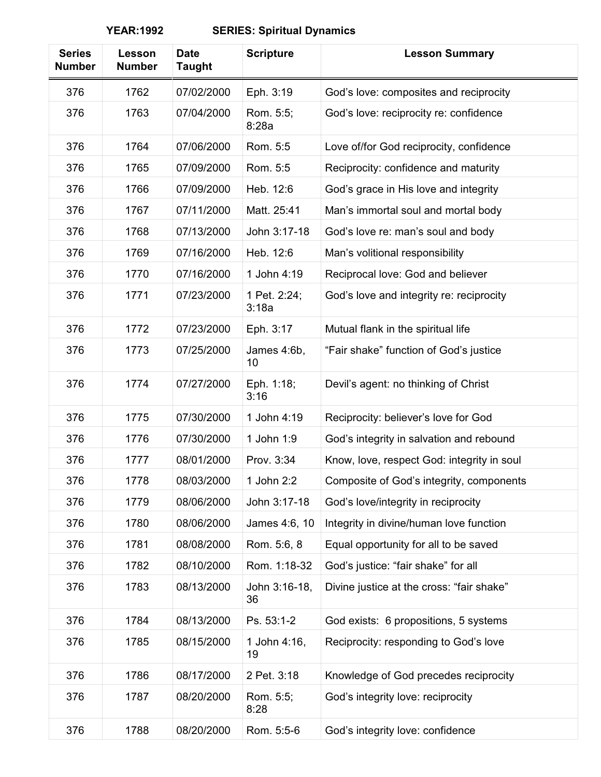| <b>Series</b><br><b>Number</b> | Lesson<br><b>Number</b> | <b>Date</b><br><b>Taught</b> | <b>Scripture</b>      | <b>Lesson Summary</b>                      |
|--------------------------------|-------------------------|------------------------------|-----------------------|--------------------------------------------|
| 376                            | 1762                    | 07/02/2000                   | Eph. 3:19             | God's love: composites and reciprocity     |
| 376                            | 1763                    | 07/04/2000                   | Rom. 5:5;<br>8:28a    | God's love: reciprocity re: confidence     |
| 376                            | 1764                    | 07/06/2000                   | Rom. 5:5              | Love of/for God reciprocity, confidence    |
| 376                            | 1765                    | 07/09/2000                   | Rom. 5:5              | Reciprocity: confidence and maturity       |
| 376                            | 1766                    | 07/09/2000                   | Heb. 12:6             | God's grace in His love and integrity      |
| 376                            | 1767                    | 07/11/2000                   | Matt. 25:41           | Man's immortal soul and mortal body        |
| 376                            | 1768                    | 07/13/2000                   | John 3:17-18          | God's love re: man's soul and body         |
| 376                            | 1769                    | 07/16/2000                   | Heb. 12:6             | Man's volitional responsibility            |
| 376                            | 1770                    | 07/16/2000                   | 1 John 4:19           | Reciprocal love: God and believer          |
| 376                            | 1771                    | 07/23/2000                   | 1 Pet. 2:24;<br>3:18a | God's love and integrity re: reciprocity   |
| 376                            | 1772                    | 07/23/2000                   | Eph. 3:17             | Mutual flank in the spiritual life         |
| 376                            | 1773                    | 07/25/2000                   | James 4:6b,<br>10     | "Fair shake" function of God's justice     |
| 376                            | 1774                    | 07/27/2000                   | Eph. 1:18;<br>3:16    | Devil's agent: no thinking of Christ       |
| 376                            | 1775                    | 07/30/2000                   | 1 John 4:19           | Reciprocity: believer's love for God       |
| 376                            | 1776                    | 07/30/2000                   | 1 John 1:9            | God's integrity in salvation and rebound   |
| 376                            | 1777                    | 08/01/2000                   | Prov. 3:34            | Know, love, respect God: integrity in soul |
| 376                            | 1778                    | 08/03/2000                   | 1 John 2:2            | Composite of God's integrity, components   |
| 376                            | 1779                    | 08/06/2000                   | John 3:17-18          | God's love/integrity in reciprocity        |
| 376                            | 1780                    | 08/06/2000                   | James 4:6, 10         | Integrity in divine/human love function    |
| 376                            | 1781                    | 08/08/2000                   | Rom. 5:6, 8           | Equal opportunity for all to be saved      |
| 376                            | 1782                    | 08/10/2000                   | Rom. 1:18-32          | God's justice: "fair shake" for all        |
| 376                            | 1783                    | 08/13/2000                   | John 3:16-18,<br>36   | Divine justice at the cross: "fair shake"  |
| 376                            | 1784                    | 08/13/2000                   | Ps. 53:1-2            | God exists: 6 propositions, 5 systems      |
| 376                            | 1785                    | 08/15/2000                   | 1 John 4:16,<br>19    | Reciprocity: responding to God's love      |
| 376                            | 1786                    | 08/17/2000                   | 2 Pet. 3:18           | Knowledge of God precedes reciprocity      |
| 376                            | 1787                    | 08/20/2000                   | Rom. 5:5;<br>8:28     | God's integrity love: reciprocity          |
| 376                            | 1788                    | 08/20/2000                   | Rom. 5:5-6            | God's integrity love: confidence           |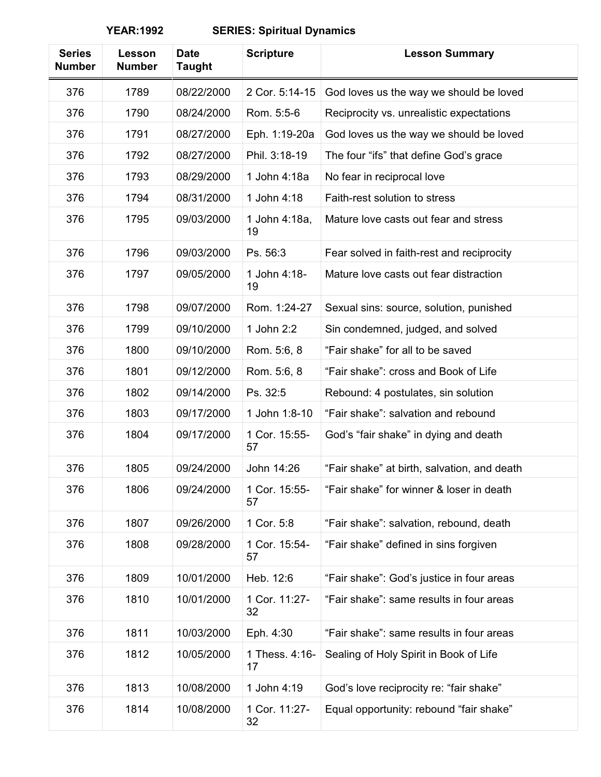| <b>Series</b><br><b>Number</b> | Lesson<br><b>Number</b> | <b>Date</b><br><b>Taught</b> | <b>Scripture</b>     | <b>Lesson Summary</b>                       |
|--------------------------------|-------------------------|------------------------------|----------------------|---------------------------------------------|
| 376                            | 1789                    | 08/22/2000                   | 2 Cor. 5:14-15       | God loves us the way we should be loved     |
| 376                            | 1790                    | 08/24/2000                   | Rom. 5:5-6           | Reciprocity vs. unrealistic expectations    |
| 376                            | 1791                    | 08/27/2000                   | Eph. 1:19-20a        | God loves us the way we should be loved     |
| 376                            | 1792                    | 08/27/2000                   | Phil. 3:18-19        | The four "ifs" that define God's grace      |
| 376                            | 1793                    | 08/29/2000                   | 1 John 4:18a         | No fear in reciprocal love                  |
| 376                            | 1794                    | 08/31/2000                   | 1 John 4:18          | Faith-rest solution to stress               |
| 376                            | 1795                    | 09/03/2000                   | 1 John 4:18a,<br>19  | Mature love casts out fear and stress       |
| 376                            | 1796                    | 09/03/2000                   | Ps. 56:3             | Fear solved in faith-rest and reciprocity   |
| 376                            | 1797                    | 09/05/2000                   | 1 John 4:18-<br>19   | Mature love casts out fear distraction      |
| 376                            | 1798                    | 09/07/2000                   | Rom. 1:24-27         | Sexual sins: source, solution, punished     |
| 376                            | 1799                    | 09/10/2000                   | 1 John 2:2           | Sin condemned, judged, and solved           |
| 376                            | 1800                    | 09/10/2000                   | Rom. 5:6, 8          | "Fair shake" for all to be saved            |
| 376                            | 1801                    | 09/12/2000                   | Rom. 5:6, 8          | "Fair shake": cross and Book of Life        |
| 376                            | 1802                    | 09/14/2000                   | Ps. 32:5             | Rebound: 4 postulates, sin solution         |
| 376                            | 1803                    | 09/17/2000                   | 1 John 1:8-10        | "Fair shake": salvation and rebound         |
| 376                            | 1804                    | 09/17/2000                   | 1 Cor. 15:55-<br>57  | God's "fair shake" in dying and death       |
| 376                            | 1805                    | 09/24/2000                   | John 14:26           | "Fair shake" at birth, salvation, and death |
| 376                            | 1806                    | 09/24/2000                   | 1 Cor. 15:55-<br>57  | "Fair shake" for winner & loser in death    |
| 376                            | 1807                    | 09/26/2000                   | 1 Cor. 5:8           | "Fair shake": salvation, rebound, death     |
| 376                            | 1808                    | 09/28/2000                   | 1 Cor. 15:54-<br>57  | "Fair shake" defined in sins forgiven       |
| 376                            | 1809                    | 10/01/2000                   | Heb. 12:6            | "Fair shake": God's justice in four areas   |
| 376                            | 1810                    | 10/01/2000                   | 1 Cor. 11:27-<br>32  | "Fair shake": same results in four areas    |
| 376                            | 1811                    | 10/03/2000                   | Eph. 4:30            | "Fair shake": same results in four areas    |
| 376                            | 1812                    | 10/05/2000                   | 1 Thess. 4:16-<br>17 | Sealing of Holy Spirit in Book of Life      |
| 376                            | 1813                    | 10/08/2000                   | 1 John 4:19          | God's love reciprocity re: "fair shake"     |
| 376                            | 1814                    | 10/08/2000                   | 1 Cor. 11:27-<br>32  | Equal opportunity: rebound "fair shake"     |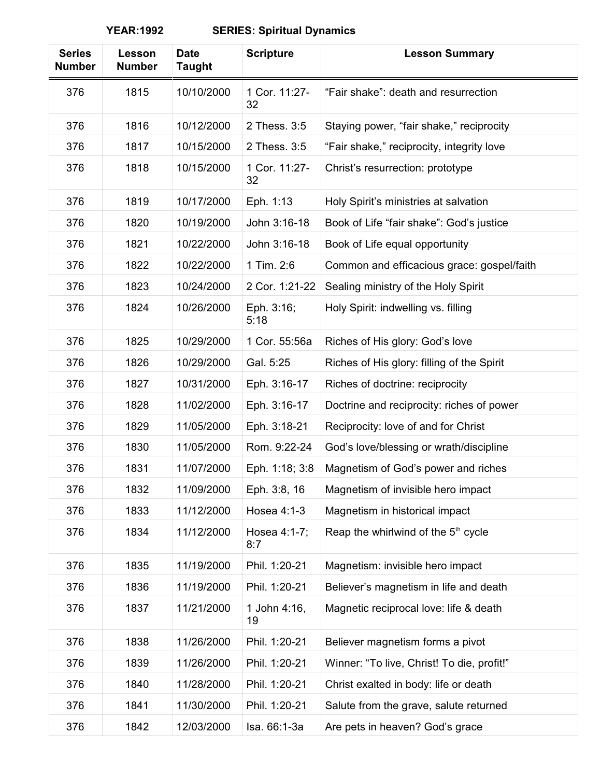| <b>Series</b><br><b>Number</b> | Lesson<br><b>Number</b> | <b>Date</b><br><b>Taught</b> | <b>Scripture</b>    | <b>Lesson Summary</b>                           |
|--------------------------------|-------------------------|------------------------------|---------------------|-------------------------------------------------|
| 376                            | 1815                    | 10/10/2000                   | 1 Cor. 11:27-<br>32 | "Fair shake": death and resurrection            |
| 376                            | 1816                    | 10/12/2000                   | 2 Thess, 3:5        | Staying power, "fair shake," reciprocity        |
| 376                            | 1817                    | 10/15/2000                   | 2 Thess. 3:5        | "Fair shake," reciprocity, integrity love       |
| 376                            | 1818                    | 10/15/2000                   | 1 Cor. 11:27-<br>32 | Christ's resurrection: prototype                |
| 376                            | 1819                    | 10/17/2000                   | Eph. 1:13           | Holy Spirit's ministries at salvation           |
| 376                            | 1820                    | 10/19/2000                   | John 3:16-18        | Book of Life "fair shake": God's justice        |
| 376                            | 1821                    | 10/22/2000                   | John 3:16-18        | Book of Life equal opportunity                  |
| 376                            | 1822                    | 10/22/2000                   | 1 Tim. 2:6          | Common and efficacious grace: gospel/faith      |
| 376                            | 1823                    | 10/24/2000                   | 2 Cor. 1:21-22      | Sealing ministry of the Holy Spirit             |
| 376                            | 1824                    | 10/26/2000                   | Eph. 3:16;<br>5:18  | Holy Spirit: indwelling vs. filling             |
| 376                            | 1825                    | 10/29/2000                   | 1 Cor. 55:56a       | Riches of His glory: God's love                 |
| 376                            | 1826                    | 10/29/2000                   | Gal. 5:25           | Riches of His glory: filling of the Spirit      |
| 376                            | 1827                    | 10/31/2000                   | Eph. 3:16-17        | Riches of doctrine: reciprocity                 |
| 376                            | 1828                    | 11/02/2000                   | Eph. 3:16-17        | Doctrine and reciprocity: riches of power       |
| 376                            | 1829                    | 11/05/2000                   | Eph. 3:18-21        | Reciprocity: love of and for Christ             |
| 376                            | 1830                    | 11/05/2000                   | Rom. 9:22-24        | God's love/blessing or wrath/discipline         |
| 376                            | 1831                    | 11/07/2000                   | Eph. 1:18; 3:8      | Magnetism of God's power and riches             |
| 376                            | 1832                    | 11/09/2000                   | Eph. 3:8, 16        | Magnetism of invisible hero impact              |
| 376                            | 1833                    | 11/12/2000                   | Hosea 4:1-3         | Magnetism in historical impact                  |
| 376                            | 1834                    | 11/12/2000                   | Hosea 4:1-7;<br>8:7 | Reap the whirlwind of the 5 <sup>th</sup> cycle |
| 376                            | 1835                    | 11/19/2000                   | Phil. 1:20-21       | Magnetism: invisible hero impact                |
| 376                            | 1836                    | 11/19/2000                   | Phil. 1:20-21       | Believer's magnetism in life and death          |
| 376                            | 1837                    | 11/21/2000                   | 1 John 4:16,<br>19  | Magnetic reciprocal love: life & death          |
| 376                            | 1838                    | 11/26/2000                   | Phil. 1:20-21       | Believer magnetism forms a pivot                |
| 376                            | 1839                    | 11/26/2000                   | Phil. 1:20-21       | Winner: "To live, Christ! To die, profit!"      |
| 376                            | 1840                    | 11/28/2000                   | Phil. 1:20-21       | Christ exalted in body: life or death           |
| 376                            | 1841                    | 11/30/2000                   | Phil. 1:20-21       | Salute from the grave, salute returned          |
| 376                            | 1842                    | 12/03/2000                   | Isa. 66:1-3a        | Are pets in heaven? God's grace                 |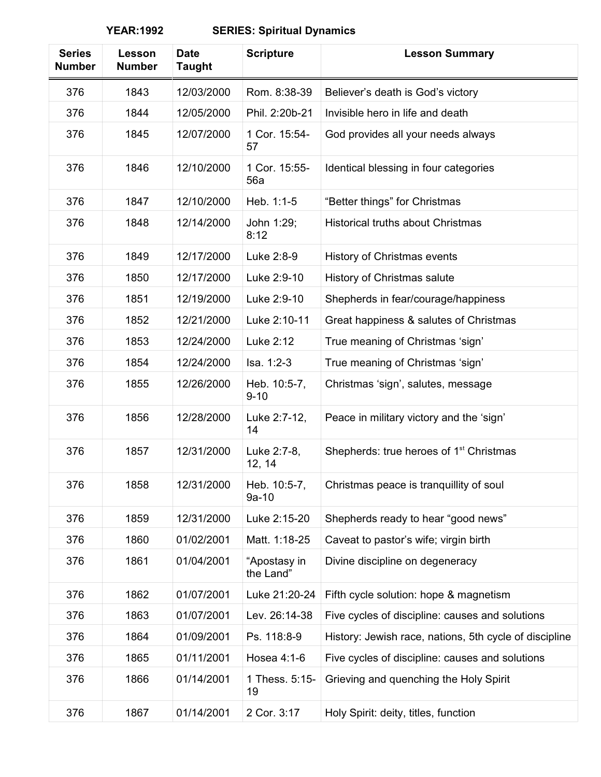| <b>Series</b><br><b>Number</b> | Lesson<br><b>Number</b> | <b>Date</b><br><b>Taught</b> | <b>Scripture</b>          | <b>Lesson Summary</b>                                  |
|--------------------------------|-------------------------|------------------------------|---------------------------|--------------------------------------------------------|
| 376                            | 1843                    | 12/03/2000                   | Rom. 8:38-39              | Believer's death is God's victory                      |
| 376                            | 1844                    | 12/05/2000                   | Phil. 2:20b-21            | Invisible hero in life and death                       |
| 376                            | 1845                    | 12/07/2000                   | 1 Cor. 15:54-<br>57       | God provides all your needs always                     |
| 376                            | 1846                    | 12/10/2000                   | 1 Cor. 15:55-<br>56a      | Identical blessing in four categories                  |
| 376                            | 1847                    | 12/10/2000                   | Heb. 1:1-5                | "Better things" for Christmas                          |
| 376                            | 1848                    | 12/14/2000                   | John 1:29;<br>8:12        | <b>Historical truths about Christmas</b>               |
| 376                            | 1849                    | 12/17/2000                   | Luke 2:8-9                | History of Christmas events                            |
| 376                            | 1850                    | 12/17/2000                   | Luke 2:9-10               | History of Christmas salute                            |
| 376                            | 1851                    | 12/19/2000                   | Luke 2:9-10               | Shepherds in fear/courage/happiness                    |
| 376                            | 1852                    | 12/21/2000                   | Luke 2:10-11              | Great happiness & salutes of Christmas                 |
| 376                            | 1853                    | 12/24/2000                   | Luke 2:12                 | True meaning of Christmas 'sign'                       |
| 376                            | 1854                    | 12/24/2000                   | Isa. 1:2-3                | True meaning of Christmas 'sign'                       |
| 376                            | 1855                    | 12/26/2000                   | Heb. 10:5-7,<br>$9 - 10$  | Christmas 'sign', salutes, message                     |
| 376                            | 1856                    | 12/28/2000                   | Luke 2:7-12,<br>14        | Peace in military victory and the 'sign'               |
| 376                            | 1857                    | 12/31/2000                   | Luke 2:7-8,<br>12, 14     | Shepherds: true heroes of 1 <sup>st</sup> Christmas    |
| 376                            | 1858                    | 12/31/2000                   | Heb. 10:5-7,<br>$9a-10$   | Christmas peace is tranquillity of soul                |
| 376                            | 1859                    | 12/31/2000                   | Luke 2:15-20              | Shepherds ready to hear "good news"                    |
| 376                            | 1860                    | 01/02/2001                   | Matt. 1:18-25             | Caveat to pastor's wife; virgin birth                  |
| 376                            | 1861                    | 01/04/2001                   | "Apostasy in<br>the Land" | Divine discipline on degeneracy                        |
| 376                            | 1862                    | 01/07/2001                   | Luke 21:20-24             | Fifth cycle solution: hope & magnetism                 |
| 376                            | 1863                    | 01/07/2001                   | Lev. 26:14-38             | Five cycles of discipline: causes and solutions        |
| 376                            | 1864                    | 01/09/2001                   | Ps. 118:8-9               | History: Jewish race, nations, 5th cycle of discipline |
| 376                            | 1865                    | 01/11/2001                   | Hosea 4:1-6               | Five cycles of discipline: causes and solutions        |
| 376                            | 1866                    | 01/14/2001                   | 1 Thess. 5:15-<br>19      | Grieving and quenching the Holy Spirit                 |
| 376                            | 1867                    | 01/14/2001                   | 2 Cor. 3:17               | Holy Spirit: deity, titles, function                   |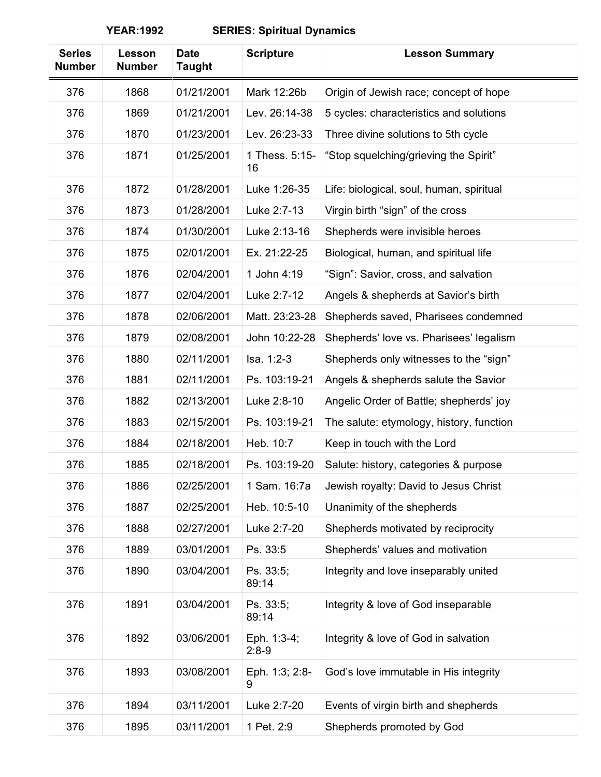| <b>Series</b><br><b>Number</b> | Lesson<br><b>Number</b> | <b>Date</b><br>Taught | <b>Scripture</b>       | <b>Lesson Summary</b>                    |
|--------------------------------|-------------------------|-----------------------|------------------------|------------------------------------------|
| 376                            | 1868                    | 01/21/2001            | Mark 12:26b            | Origin of Jewish race; concept of hope   |
| 376                            | 1869                    | 01/21/2001            | Lev. 26:14-38          | 5 cycles: characteristics and solutions  |
| 376                            | 1870                    | 01/23/2001            | Lev. 26:23-33          | Three divine solutions to 5th cycle      |
| 376                            | 1871                    | 01/25/2001            | 1 Thess. 5:15-<br>16   | "Stop squelching/grieving the Spirit"    |
| 376                            | 1872                    | 01/28/2001            | Luke 1:26-35           | Life: biological, soul, human, spiritual |
| 376                            | 1873                    | 01/28/2001            | Luke 2:7-13            | Virgin birth "sign" of the cross         |
| 376                            | 1874                    | 01/30/2001            | Luke 2:13-16           | Shepherds were invisible heroes          |
| 376                            | 1875                    | 02/01/2001            | Ex. 21:22-25           | Biological, human, and spiritual life    |
| 376                            | 1876                    | 02/04/2001            | 1 John 4:19            | "Sign": Savior, cross, and salvation     |
| 376                            | 1877                    | 02/04/2001            | Luke 2:7-12            | Angels & shepherds at Savior's birth     |
| 376                            | 1878                    | 02/06/2001            | Matt. 23:23-28         | Shepherds saved, Pharisees condemned     |
| 376                            | 1879                    | 02/08/2001            | John 10:22-28          | Shepherds' love vs. Pharisees' legalism  |
| 376                            | 1880                    | 02/11/2001            | Isa. 1:2-3             | Shepherds only witnesses to the "sign"   |
| 376                            | 1881                    | 02/11/2001            | Ps. 103:19-21          | Angels & shepherds salute the Savior     |
| 376                            | 1882                    | 02/13/2001            | Luke 2:8-10            | Angelic Order of Battle; shepherds' joy  |
| 376                            | 1883                    | 02/15/2001            | Ps. 103:19-21          | The salute: etymology, history, function |
| 376                            | 1884                    | 02/18/2001            | Heb. 10:7              | Keep in touch with the Lord              |
| 376                            | 1885                    | 02/18/2001            | Ps. 103:19-20          | Salute: history, categories & purpose    |
| 376                            | 1886                    | 02/25/2001            | 1 Sam. 16:7a           | Jewish royalty: David to Jesus Christ    |
| 376                            | 1887                    | 02/25/2001            | Heb. 10:5-10           | Unanimity of the shepherds               |
| 376                            | 1888                    | 02/27/2001            | Luke 2:7-20            | Shepherds motivated by reciprocity       |
| 376                            | 1889                    | 03/01/2001            | Ps. 33:5               | Shepherds' values and motivation         |
| 376                            | 1890                    | 03/04/2001            | Ps. 33:5;<br>89:14     | Integrity and love inseparably united    |
| 376                            | 1891                    | 03/04/2001            | Ps. 33:5;<br>89:14     | Integrity & love of God inseparable      |
| 376                            | 1892                    | 03/06/2001            | Eph. 1:3-4;<br>$2:8-9$ | Integrity & love of God in salvation     |
| 376                            | 1893                    | 03/08/2001            | Eph. 1:3; 2:8-<br>9    | God's love immutable in His integrity    |
| 376                            | 1894                    | 03/11/2001            | Luke 2:7-20            | Events of virgin birth and shepherds     |
| 376                            | 1895                    | 03/11/2001            | 1 Pet. 2:9             | Shepherds promoted by God                |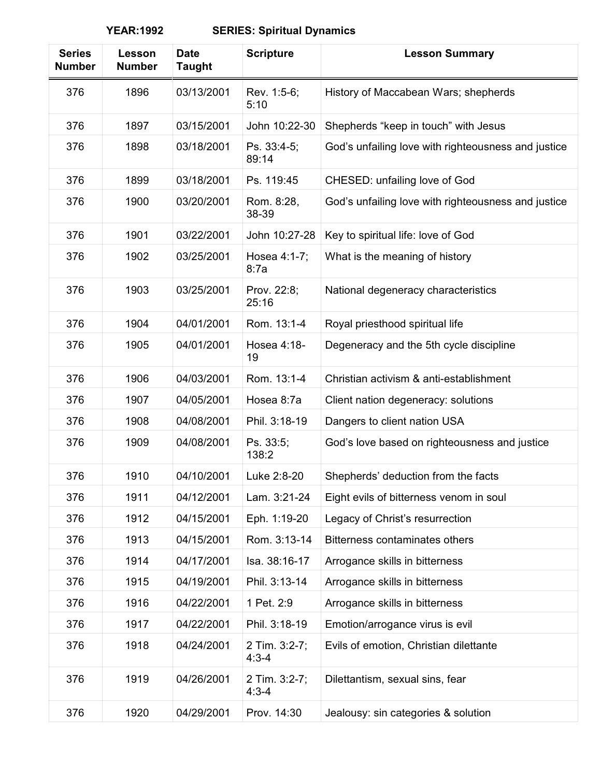| <b>Series</b><br><b>Number</b> | Lesson<br><b>Number</b> | <b>Date</b><br><b>Taught</b> | <b>Scripture</b>           | <b>Lesson Summary</b>                               |
|--------------------------------|-------------------------|------------------------------|----------------------------|-----------------------------------------------------|
| 376                            | 1896                    | 03/13/2001                   | Rev. 1:5-6;<br>5:10        | History of Maccabean Wars; shepherds                |
| 376                            | 1897                    | 03/15/2001                   | John 10:22-30              | Shepherds "keep in touch" with Jesus                |
| 376                            | 1898                    | 03/18/2001                   | Ps. 33:4-5:<br>89:14       | God's unfailing love with righteousness and justice |
| 376                            | 1899                    | 03/18/2001                   | Ps. 119:45                 | CHESED: unfailing love of God                       |
| 376                            | 1900                    | 03/20/2001                   | Rom. 8:28,<br>38-39        | God's unfailing love with righteousness and justice |
| 376                            | 1901                    | 03/22/2001                   | John 10:27-28              | Key to spiritual life: love of God                  |
| 376                            | 1902                    | 03/25/2001                   | Hosea 4:1-7;<br>8:7a       | What is the meaning of history                      |
| 376                            | 1903                    | 03/25/2001                   | Prov. 22:8;<br>25:16       | National degeneracy characteristics                 |
| 376                            | 1904                    | 04/01/2001                   | Rom. 13:1-4                | Royal priesthood spiritual life                     |
| 376                            | 1905                    | 04/01/2001                   | Hosea 4:18-<br>19          | Degeneracy and the 5th cycle discipline             |
| 376                            | 1906                    | 04/03/2001                   | Rom. 13:1-4                | Christian activism & anti-establishment             |
| 376                            | 1907                    | 04/05/2001                   | Hosea 8:7a                 | Client nation degeneracy: solutions                 |
| 376                            | 1908                    | 04/08/2001                   | Phil. 3:18-19              | Dangers to client nation USA                        |
| 376                            | 1909                    | 04/08/2001                   | Ps. 33:5;<br>138:2         | God's love based on righteousness and justice       |
| 376                            | 1910                    | 04/10/2001                   | Luke 2:8-20                | Shepherds' deduction from the facts                 |
| 376                            | 1911                    | 04/12/2001                   | Lam. 3:21-24               | Eight evils of bitterness venom in soul             |
| 376                            | 1912                    | 04/15/2001                   | Eph. 1:19-20               | Legacy of Christ's resurrection                     |
| 376                            | 1913                    | 04/15/2001                   | Rom. 3:13-14               | Bitterness contaminates others                      |
| 376                            | 1914                    | 04/17/2001                   | Isa. 38:16-17              | Arrogance skills in bitterness                      |
| 376                            | 1915                    | 04/19/2001                   | Phil. 3:13-14              | Arrogance skills in bitterness                      |
| 376                            | 1916                    | 04/22/2001                   | 1 Pet. 2:9                 | Arrogance skills in bitterness                      |
| 376                            | 1917                    | 04/22/2001                   | Phil. 3:18-19              | Emotion/arrogance virus is evil                     |
| 376                            | 1918                    | 04/24/2001                   | 2 Tim. 3:2-7;<br>$4:3 - 4$ | Evils of emotion, Christian dilettante              |
| 376                            | 1919                    | 04/26/2001                   | 2 Tim. 3:2-7;<br>$4:3 - 4$ | Dilettantism, sexual sins, fear                     |
| 376                            | 1920                    | 04/29/2001                   | Prov. 14:30                | Jealousy: sin categories & solution                 |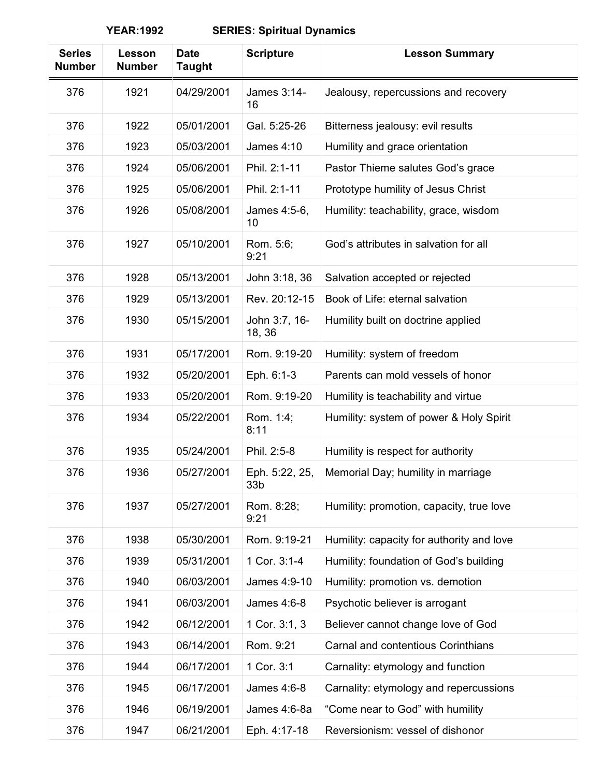| <b>Series</b><br><b>Number</b> | Lesson<br><b>Number</b> | <b>Date</b><br><b>Taught</b> | <b>Scripture</b>                  | <b>Lesson Summary</b>                     |
|--------------------------------|-------------------------|------------------------------|-----------------------------------|-------------------------------------------|
| 376                            | 1921                    | 04/29/2001                   | James 3:14-<br>16                 | Jealousy, repercussions and recovery      |
| 376                            | 1922                    | 05/01/2001                   | Gal. 5:25-26                      | Bitterness jealousy: evil results         |
| 376                            | 1923                    | 05/03/2001                   | James 4:10                        | Humility and grace orientation            |
| 376                            | 1924                    | 05/06/2001                   | Phil. 2:1-11                      | Pastor Thieme salutes God's grace         |
| 376                            | 1925                    | 05/06/2001                   | Phil. 2:1-11                      | Prototype humility of Jesus Christ        |
| 376                            | 1926                    | 05/08/2001                   | James 4:5-6,<br>10                | Humility: teachability, grace, wisdom     |
| 376                            | 1927                    | 05/10/2001                   | Rom. 5:6;<br>9:21                 | God's attributes in salvation for all     |
| 376                            | 1928                    | 05/13/2001                   | John 3:18, 36                     | Salvation accepted or rejected            |
| 376                            | 1929                    | 05/13/2001                   | Rev. 20:12-15                     | Book of Life: eternal salvation           |
| 376                            | 1930                    | 05/15/2001                   | John 3:7, 16-<br>18, 36           | Humility built on doctrine applied        |
| 376                            | 1931                    | 05/17/2001                   | Rom. 9:19-20                      | Humility: system of freedom               |
| 376                            | 1932                    | 05/20/2001                   | Eph. 6:1-3                        | Parents can mold vessels of honor         |
| 376                            | 1933                    | 05/20/2001                   | Rom. 9:19-20                      | Humility is teachability and virtue       |
| 376                            | 1934                    | 05/22/2001                   | Rom. 1:4;<br>8:11                 | Humility: system of power & Holy Spirit   |
| 376                            | 1935                    | 05/24/2001                   | Phil. 2:5-8                       | Humility is respect for authority         |
| 376                            | 1936                    | 05/27/2001                   | Eph. 5:22, 25,<br>33 <sub>b</sub> | Memorial Day; humility in marriage        |
| 376                            | 1937                    | 05/27/2001                   | Rom. 8:28;<br>9:21                | Humility: promotion, capacity, true love  |
| 376                            | 1938                    | 05/30/2001                   | Rom. 9:19-21                      | Humility: capacity for authority and love |
| 376                            | 1939                    | 05/31/2001                   | 1 Cor. 3:1-4                      | Humility: foundation of God's building    |
| 376                            | 1940                    | 06/03/2001                   | James 4:9-10                      | Humility: promotion vs. demotion          |
| 376                            | 1941                    | 06/03/2001                   | James 4:6-8                       | Psychotic believer is arrogant            |
| 376                            | 1942                    | 06/12/2001                   | 1 Cor. 3:1, 3                     | Believer cannot change love of God        |
| 376                            | 1943                    | 06/14/2001                   | Rom. 9:21                         | Carnal and contentious Corinthians        |
| 376                            | 1944                    | 06/17/2001                   | 1 Cor. 3:1                        | Carnality: etymology and function         |
| 376                            | 1945                    | 06/17/2001                   | James 4:6-8                       | Carnality: etymology and repercussions    |
| 376                            | 1946                    | 06/19/2001                   | James 4:6-8a                      | "Come near to God" with humility          |
| 376                            | 1947                    | 06/21/2001                   | Eph. 4:17-18                      | Reversionism: vessel of dishonor          |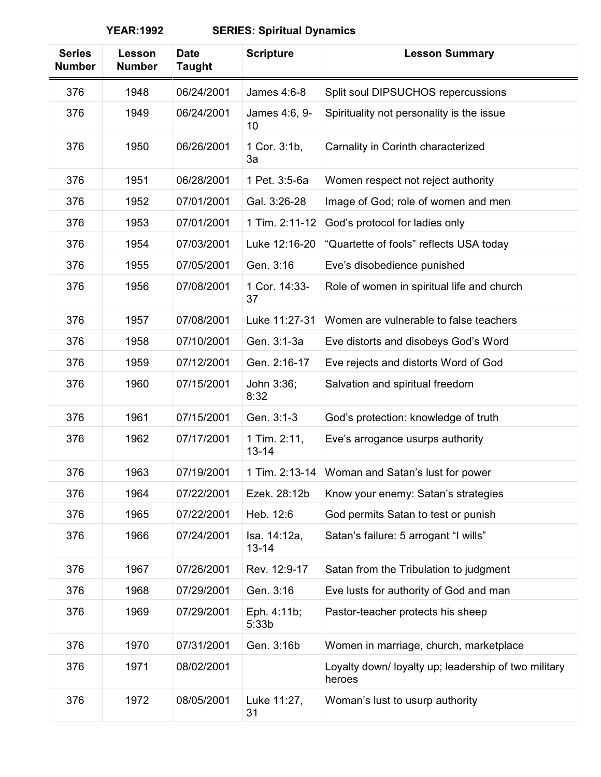| <b>Series</b><br><b>Number</b> | Lesson<br><b>Number</b> | <b>Date</b><br><b>Taught</b> | <b>Scripture</b>          | <b>Lesson Summary</b>                                          |
|--------------------------------|-------------------------|------------------------------|---------------------------|----------------------------------------------------------------|
| 376                            | 1948                    | 06/24/2001                   | James 4:6-8               | Split soul DIPSUCHOS repercussions                             |
| 376                            | 1949                    | 06/24/2001                   | James 4:6, 9-<br>10       | Spirituality not personality is the issue                      |
| 376                            | 1950                    | 06/26/2001                   | 1 Cor. 3:1b,<br>3a        | Carnality in Corinth characterized                             |
| 376                            | 1951                    | 06/28/2001                   | 1 Pet. 3:5-6a             | Women respect not reject authority                             |
| 376                            | 1952                    | 07/01/2001                   | Gal. 3:26-28              | Image of God; role of women and men                            |
| 376                            | 1953                    | 07/01/2001                   | 1 Tim. 2:11-12            | God's protocol for ladies only                                 |
| 376                            | 1954                    | 07/03/2001                   | Luke 12:16-20             | "Quartette of fools" reflects USA today                        |
| 376                            | 1955                    | 07/05/2001                   | Gen. 3:16                 | Eve's disobedience punished                                    |
| 376                            | 1956                    | 07/08/2001                   | 1 Cor. 14:33-<br>37       | Role of women in spiritual life and church                     |
| 376                            | 1957                    | 07/08/2001                   | Luke 11:27-31             | Women are vulnerable to false teachers                         |
| 376                            | 1958                    | 07/10/2001                   | Gen. 3:1-3a               | Eve distorts and disobeys God's Word                           |
| 376                            | 1959                    | 07/12/2001                   | Gen. 2:16-17              | Eve rejects and distorts Word of God                           |
| 376                            | 1960                    | 07/15/2001                   | John 3:36;<br>8:32        | Salvation and spiritual freedom                                |
| 376                            | 1961                    | 07/15/2001                   | Gen. 3:1-3                | God's protection: knowledge of truth                           |
| 376                            | 1962                    | 07/17/2001                   | 1 Tim. 2:11,<br>$13 - 14$ | Eve's arrogance usurps authority                               |
| 376                            | 1963                    | 07/19/2001                   | 1 Tim. 2:13-14            | Woman and Satan's lust for power                               |
| 376                            | 1964                    | 07/22/2001                   | Ezek. 28:12b              | Know your enemy: Satan's strategies                            |
| 376                            | 1965                    | 07/22/2001                   | Heb. 12:6                 | God permits Satan to test or punish                            |
| 376                            | 1966                    | 07/24/2001                   | Isa. 14:12a,<br>$13 - 14$ | Satan's failure: 5 arrogant "I wills"                          |
| 376                            | 1967                    | 07/26/2001                   | Rev. 12:9-17              | Satan from the Tribulation to judgment                         |
| 376                            | 1968                    | 07/29/2001                   | Gen. 3:16                 | Eve lusts for authority of God and man                         |
| 376                            | 1969                    | 07/29/2001                   | Eph. 4:11b;<br>5:33b      | Pastor-teacher protects his sheep                              |
| 376                            | 1970                    | 07/31/2001                   | Gen. 3:16b                | Women in marriage, church, marketplace                         |
| 376                            | 1971                    | 08/02/2001                   |                           | Loyalty down/ loyalty up; leadership of two military<br>heroes |
| 376                            | 1972                    | 08/05/2001                   | Luke 11:27,<br>31         | Woman's lust to usurp authority                                |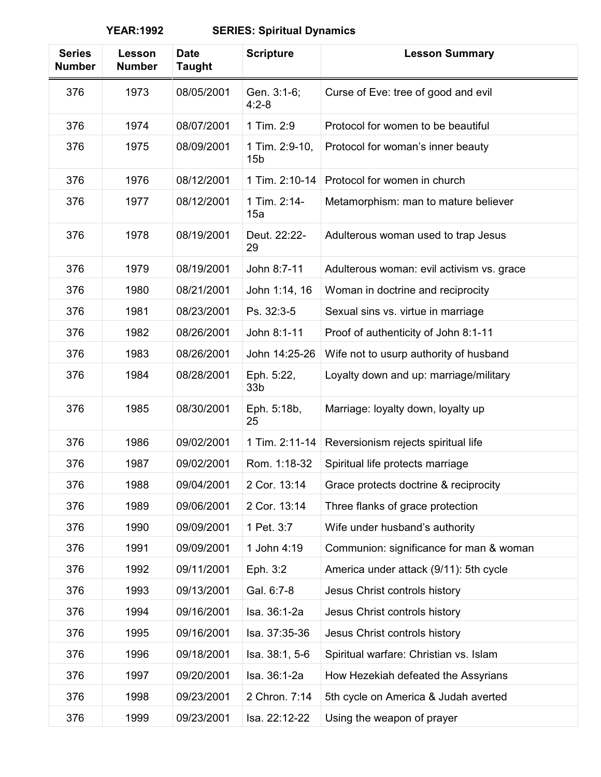| <b>Series</b><br><b>Number</b> | Lesson<br><b>Number</b> | <b>Date</b><br><b>Taught</b> | <b>Scripture</b>                  | <b>Lesson Summary</b>                     |
|--------------------------------|-------------------------|------------------------------|-----------------------------------|-------------------------------------------|
| 376                            | 1973                    | 08/05/2001                   | Gen. 3:1-6;<br>$4:2 - 8$          | Curse of Eve: tree of good and evil       |
| 376                            | 1974                    | 08/07/2001                   | 1 Tim. 2:9                        | Protocol for women to be beautiful        |
| 376                            | 1975                    | 08/09/2001                   | 1 Tim. 2:9-10,<br>15 <sub>b</sub> | Protocol for woman's inner beauty         |
| 376                            | 1976                    | 08/12/2001                   | 1 Tim. 2:10-14                    | Protocol for women in church              |
| 376                            | 1977                    | 08/12/2001                   | 1 Tim. 2:14-<br>15a               | Metamorphism: man to mature believer      |
| 376                            | 1978                    | 08/19/2001                   | Deut. 22:22-<br>29                | Adulterous woman used to trap Jesus       |
| 376                            | 1979                    | 08/19/2001                   | John 8:7-11                       | Adulterous woman: evil activism vs. grace |
| 376                            | 1980                    | 08/21/2001                   | John 1:14, 16                     | Woman in doctrine and reciprocity         |
| 376                            | 1981                    | 08/23/2001                   | Ps. 32:3-5                        | Sexual sins vs. virtue in marriage        |
| 376                            | 1982                    | 08/26/2001                   | John 8:1-11                       | Proof of authenticity of John 8:1-11      |
| 376                            | 1983                    | 08/26/2001                   | John 14:25-26                     | Wife not to usurp authority of husband    |
| 376                            | 1984                    | 08/28/2001                   | Eph. 5:22,<br>33 <sub>b</sub>     | Loyalty down and up: marriage/military    |
| 376                            | 1985                    | 08/30/2001                   | Eph. 5:18b,<br>25                 | Marriage: loyalty down, loyalty up        |
| 376                            | 1986                    | 09/02/2001                   | 1 Tim. 2:11-14                    | Reversionism rejects spiritual life       |
| 376                            | 1987                    | 09/02/2001                   | Rom. 1:18-32                      | Spiritual life protects marriage          |
| 376                            | 1988                    | 09/04/2001                   | 2 Cor. 13:14                      | Grace protects doctrine & reciprocity     |
| 376                            | 1989                    | 09/06/2001                   | 2 Cor. 13:14                      | Three flanks of grace protection          |
| 376                            | 1990                    | 09/09/2001                   | 1 Pet. 3:7                        | Wife under husband's authority            |
| 376                            | 1991                    | 09/09/2001                   | 1 John 4:19                       | Communion: significance for man & woman   |
| 376                            | 1992                    | 09/11/2001                   | Eph. 3:2                          | America under attack (9/11): 5th cycle    |
| 376                            | 1993                    | 09/13/2001                   | Gal. 6:7-8                        | Jesus Christ controls history             |
| 376                            | 1994                    | 09/16/2001                   | Isa. 36:1-2a                      | Jesus Christ controls history             |
| 376                            | 1995                    | 09/16/2001                   | Isa. 37:35-36                     | Jesus Christ controls history             |
| 376                            | 1996                    | 09/18/2001                   | Isa. 38:1, 5-6                    | Spiritual warfare: Christian vs. Islam    |
| 376                            | 1997                    | 09/20/2001                   | Isa. 36:1-2a                      | How Hezekiah defeated the Assyrians       |
| 376                            | 1998                    | 09/23/2001                   | 2 Chron. 7:14                     | 5th cycle on America & Judah averted      |
| 376                            | 1999                    | 09/23/2001                   | Isa. 22:12-22                     | Using the weapon of prayer                |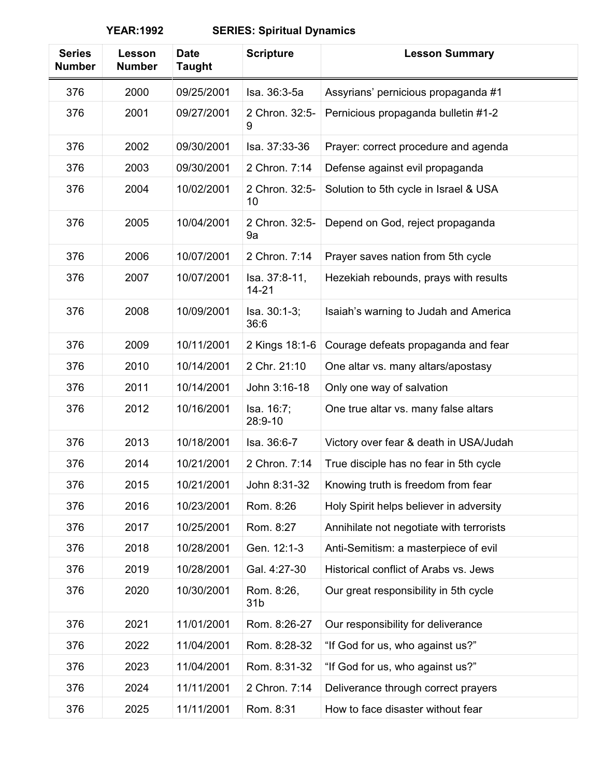| <b>Series</b><br><b>Number</b> | Lesson<br><b>Number</b> | <b>Date</b><br>Taught | <b>Scripture</b>              | <b>Lesson Summary</b>                    |
|--------------------------------|-------------------------|-----------------------|-------------------------------|------------------------------------------|
| 376                            | 2000                    | 09/25/2001            | Isa. 36:3-5a                  | Assyrians' pernicious propaganda #1      |
| 376                            | 2001                    | 09/27/2001            | 2 Chron. 32:5-<br>9           | Pernicious propaganda bulletin #1-2      |
| 376                            | 2002                    | 09/30/2001            | Isa. 37:33-36                 | Prayer: correct procedure and agenda     |
| 376                            | 2003                    | 09/30/2001            | 2 Chron. 7:14                 | Defense against evil propaganda          |
| 376                            | 2004                    | 10/02/2001            | 2 Chron. 32:5-<br>10          | Solution to 5th cycle in Israel & USA    |
| 376                            | 2005                    | 10/04/2001            | 2 Chron. 32:5-<br>9a          | Depend on God, reject propaganda         |
| 376                            | 2006                    | 10/07/2001            | 2 Chron. 7:14                 | Prayer saves nation from 5th cycle       |
| 376                            | 2007                    | 10/07/2001            | Isa. 37:8-11,<br>$14 - 21$    | Hezekiah rebounds, prays with results    |
| 376                            | 2008                    | 10/09/2001            | Isa. 30:1-3;<br>36:6          | Isaiah's warning to Judah and America    |
| 376                            | 2009                    | 10/11/2001            | 2 Kings 18:1-6                | Courage defeats propaganda and fear      |
| 376                            | 2010                    | 10/14/2001            | 2 Chr. 21:10                  | One altar vs. many altars/apostasy       |
| 376                            | 2011                    | 10/14/2001            | John 3:16-18                  | Only one way of salvation                |
| 376                            | 2012                    | 10/16/2001            | Isa. 16:7;<br>28:9-10         | One true altar vs. many false altars     |
| 376                            | 2013                    | 10/18/2001            | Isa. 36:6-7                   | Victory over fear & death in USA/Judah   |
| 376                            | 2014                    | 10/21/2001            | 2 Chron. 7:14                 | True disciple has no fear in 5th cycle   |
| 376                            | 2015                    | 10/21/2001            | John 8:31-32                  | Knowing truth is freedom from fear       |
| 376                            | 2016                    | 10/23/2001            | Rom. 8:26                     | Holy Spirit helps believer in adversity  |
| 376                            | 2017                    | 10/25/2001            | Rom. 8:27                     | Annihilate not negotiate with terrorists |
| 376                            | 2018                    | 10/28/2001            | Gen. 12:1-3                   | Anti-Semitism: a masterpiece of evil     |
| 376                            | 2019                    | 10/28/2001            | Gal. 4:27-30                  | Historical conflict of Arabs vs. Jews    |
| 376                            | 2020                    | 10/30/2001            | Rom. 8:26,<br>31 <sub>b</sub> | Our great responsibility in 5th cycle    |
| 376                            | 2021                    | 11/01/2001            | Rom. 8:26-27                  | Our responsibility for deliverance       |
| 376                            | 2022                    | 11/04/2001            | Rom. 8:28-32                  | "If God for us, who against us?"         |
| 376                            | 2023                    | 11/04/2001            | Rom. 8:31-32                  | "If God for us, who against us?"         |
| 376                            | 2024                    | 11/11/2001            | 2 Chron. 7:14                 | Deliverance through correct prayers      |
| 376                            | 2025                    | 11/11/2001            | Rom. 8:31                     | How to face disaster without fear        |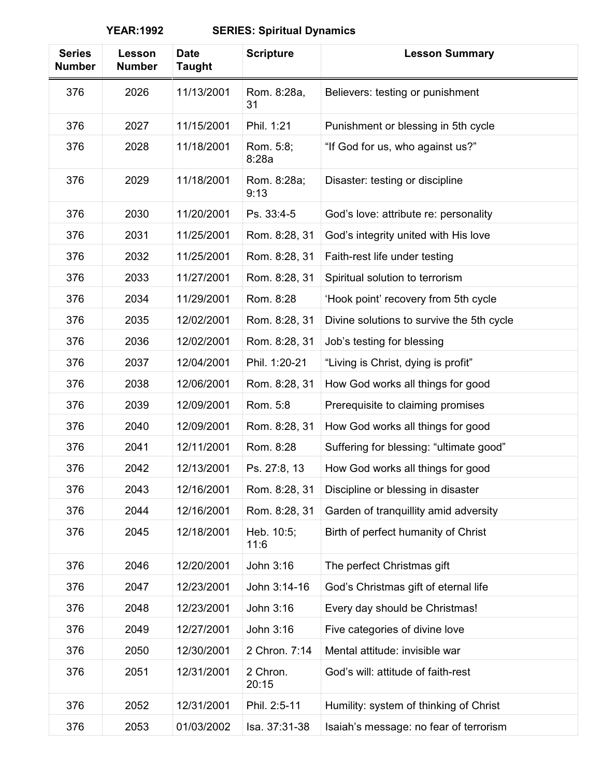| <b>Series</b><br><b>Number</b> | Lesson<br><b>Number</b> | <b>Date</b><br><b>Taught</b> | <b>Scripture</b>    | <b>Lesson Summary</b>                     |
|--------------------------------|-------------------------|------------------------------|---------------------|-------------------------------------------|
| 376                            | 2026                    | 11/13/2001                   | Rom. 8:28a,<br>31   | Believers: testing or punishment          |
| 376                            | 2027                    | 11/15/2001                   | Phil. 1:21          | Punishment or blessing in 5th cycle       |
| 376                            | 2028                    | 11/18/2001                   | Rom. 5:8;<br>8:28a  | "If God for us, who against us?"          |
| 376                            | 2029                    | 11/18/2001                   | Rom. 8:28a;<br>9:13 | Disaster: testing or discipline           |
| 376                            | 2030                    | 11/20/2001                   | Ps. 33:4-5          | God's love: attribute re: personality     |
| 376                            | 2031                    | 11/25/2001                   | Rom. 8:28, 31       | God's integrity united with His love      |
| 376                            | 2032                    | 11/25/2001                   | Rom. 8:28, 31       | Faith-rest life under testing             |
| 376                            | 2033                    | 11/27/2001                   | Rom. 8:28, 31       | Spiritual solution to terrorism           |
| 376                            | 2034                    | 11/29/2001                   | Rom. 8:28           | 'Hook point' recovery from 5th cycle      |
| 376                            | 2035                    | 12/02/2001                   | Rom. 8:28, 31       | Divine solutions to survive the 5th cycle |
| 376                            | 2036                    | 12/02/2001                   | Rom. 8:28, 31       | Job's testing for blessing                |
| 376                            | 2037                    | 12/04/2001                   | Phil. 1:20-21       | "Living is Christ, dying is profit"       |
| 376                            | 2038                    | 12/06/2001                   | Rom. 8:28, 31       | How God works all things for good         |
| 376                            | 2039                    | 12/09/2001                   | Rom. 5:8            | Prerequisite to claiming promises         |
| 376                            | 2040                    | 12/09/2001                   | Rom. 8:28, 31       | How God works all things for good         |
| 376                            | 2041                    | 12/11/2001                   | Rom. 8:28           | Suffering for blessing: "ultimate good"   |
| 376                            | 2042                    | 12/13/2001                   | Ps. 27:8, 13        | How God works all things for good         |
| 376                            | 2043                    | 12/16/2001                   | Rom. 8:28, 31       | Discipline or blessing in disaster        |
| 376                            | 2044                    | 12/16/2001                   | Rom. 8:28, 31       | Garden of tranquillity amid adversity     |
| 376                            | 2045                    | 12/18/2001                   | Heb. 10:5;<br>11:6  | Birth of perfect humanity of Christ       |
| 376                            | 2046                    | 12/20/2001                   | John 3:16           | The perfect Christmas gift                |
| 376                            | 2047                    | 12/23/2001                   | John 3:14-16        | God's Christmas gift of eternal life      |
| 376                            | 2048                    | 12/23/2001                   | John 3:16           | Every day should be Christmas!            |
| 376                            | 2049                    | 12/27/2001                   | John 3:16           | Five categories of divine love            |
| 376                            | 2050                    | 12/30/2001                   | 2 Chron. 7:14       | Mental attitude: invisible war            |
| 376                            | 2051                    | 12/31/2001                   | 2 Chron.<br>20:15   | God's will: attitude of faith-rest        |
| 376                            | 2052                    | 12/31/2001                   | Phil. 2:5-11        | Humility: system of thinking of Christ    |
| 376                            | 2053                    | 01/03/2002                   | Isa. 37:31-38       | Isaiah's message: no fear of terrorism    |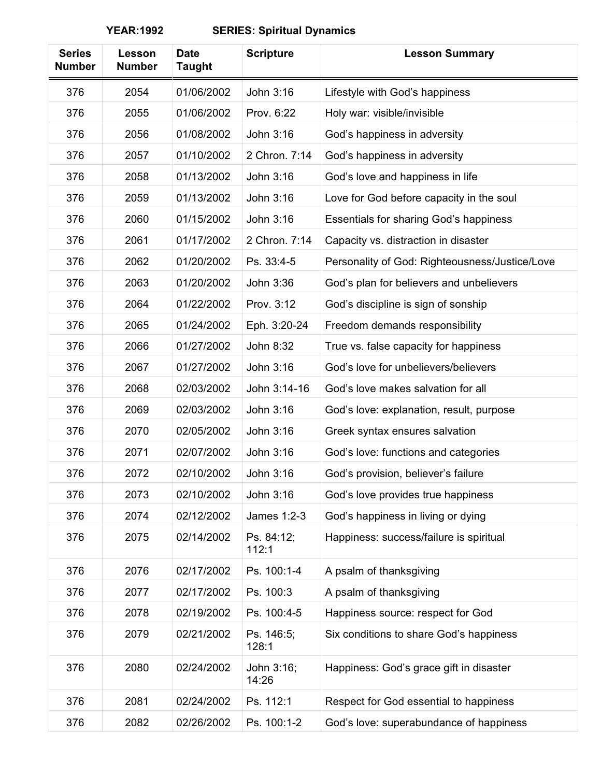**YEAR:1992 SERIES: Spiritual Dynamics**

| <b>Series</b><br><b>Number</b> | Lesson<br><b>Number</b> | <b>Date</b><br><b>Taught</b> | <b>Scripture</b>    | <b>Lesson Summary</b>                          |
|--------------------------------|-------------------------|------------------------------|---------------------|------------------------------------------------|
| 376                            | 2054                    | 01/06/2002                   | John 3:16           | Lifestyle with God's happiness                 |
| 376                            | 2055                    | 01/06/2002                   | Prov. 6:22          | Holy war: visible/invisible                    |
| 376                            | 2056                    | 01/08/2002                   | John 3:16           | God's happiness in adversity                   |
| 376                            | 2057                    | 01/10/2002                   | 2 Chron. 7:14       | God's happiness in adversity                   |
| 376                            | 2058                    | 01/13/2002                   | John 3:16           | God's love and happiness in life               |
| 376                            | 2059                    | 01/13/2002                   | John 3:16           | Love for God before capacity in the soul       |
| 376                            | 2060                    | 01/15/2002                   | John 3:16           | <b>Essentials for sharing God's happiness</b>  |
| 376                            | 2061                    | 01/17/2002                   | 2 Chron. 7:14       | Capacity vs. distraction in disaster           |
| 376                            | 2062                    | 01/20/2002                   | Ps. 33:4-5          | Personality of God: Righteousness/Justice/Love |
| 376                            | 2063                    | 01/20/2002                   | John 3:36           | God's plan for believers and unbelievers       |
| 376                            | 2064                    | 01/22/2002                   | Prov. 3:12          | God's discipline is sign of sonship            |
| 376                            | 2065                    | 01/24/2002                   | Eph. 3:20-24        | Freedom demands responsibility                 |
| 376                            | 2066                    | 01/27/2002                   | John 8:32           | True vs. false capacity for happiness          |
| 376                            | 2067                    | 01/27/2002                   | John 3:16           | God's love for unbelievers/believers           |
| 376                            | 2068                    | 02/03/2002                   | John 3:14-16        | God's love makes salvation for all             |
| 376                            | 2069                    | 02/03/2002                   | John 3:16           | God's love: explanation, result, purpose       |
| 376                            | 2070                    | 02/05/2002                   | John 3:16           | Greek syntax ensures salvation                 |
| 376                            | 2071                    | 02/07/2002                   | John 3:16           | God's love: functions and categories           |
| 376                            | 2072                    | 02/10/2002                   | John 3:16           | God's provision, believer's failure            |
| 376                            | 2073                    | 02/10/2002                   | John 3:16           | God's love provides true happiness             |
| 376                            | 2074                    | 02/12/2002                   | James 1:2-3         | God's happiness in living or dying             |
| 376                            | 2075                    | 02/14/2002                   | Ps. 84:12;<br>112:1 | Happiness: success/failure is spiritual        |
| 376                            | 2076                    | 02/17/2002                   | Ps. 100:1-4         | A psalm of thanksgiving                        |
| 376                            | 2077                    | 02/17/2002                   | Ps. 100:3           | A psalm of thanksgiving                        |
| 376                            | 2078                    | 02/19/2002                   | Ps. 100:4-5         | Happiness source: respect for God              |
| 376                            | 2079                    | 02/21/2002                   | Ps. 146:5;<br>128:1 | Six conditions to share God's happiness        |
| 376                            | 2080                    | 02/24/2002                   | John 3:16;<br>14:26 | Happiness: God's grace gift in disaster        |
| 376                            | 2081                    | 02/24/2002                   | Ps. 112:1           | Respect for God essential to happiness         |
| 376                            | 2082                    | 02/26/2002                   | Ps. 100:1-2         | God's love: superabundance of happiness        |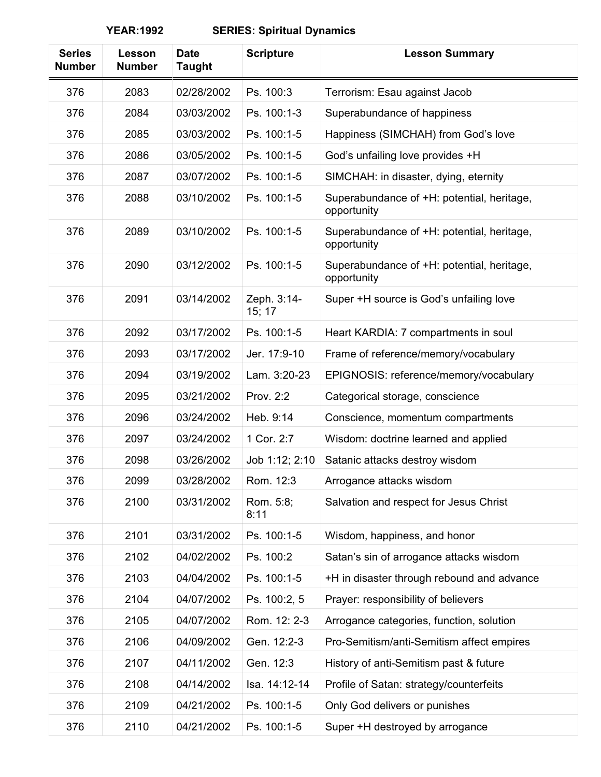| <b>Series</b><br><b>Number</b> | Lesson<br><b>Number</b> | <b>Date</b><br><b>Taught</b> | <b>Scripture</b>      | <b>Lesson Summary</b>                                     |
|--------------------------------|-------------------------|------------------------------|-----------------------|-----------------------------------------------------------|
| 376                            | 2083                    | 02/28/2002                   | Ps. 100:3             | Terrorism: Esau against Jacob                             |
| 376                            | 2084                    | 03/03/2002                   | Ps. 100:1-3           | Superabundance of happiness                               |
| 376                            | 2085                    | 03/03/2002                   | Ps. 100:1-5           | Happiness (SIMCHAH) from God's love                       |
| 376                            | 2086                    | 03/05/2002                   | Ps. 100:1-5           | God's unfailing love provides +H                          |
| 376                            | 2087                    | 03/07/2002                   | Ps. 100:1-5           | SIMCHAH: in disaster, dying, eternity                     |
| 376                            | 2088                    | 03/10/2002                   | Ps. 100:1-5           | Superabundance of +H: potential, heritage,<br>opportunity |
| 376                            | 2089                    | 03/10/2002                   | Ps. 100:1-5           | Superabundance of +H: potential, heritage,<br>opportunity |
| 376                            | 2090                    | 03/12/2002                   | Ps. 100:1-5           | Superabundance of +H: potential, heritage,<br>opportunity |
| 376                            | 2091                    | 03/14/2002                   | Zeph. 3:14-<br>15; 17 | Super +H source is God's unfailing love                   |
| 376                            | 2092                    | 03/17/2002                   | Ps. 100:1-5           | Heart KARDIA: 7 compartments in soul                      |
| 376                            | 2093                    | 03/17/2002                   | Jer. 17:9-10          | Frame of reference/memory/vocabulary                      |
| 376                            | 2094                    | 03/19/2002                   | Lam. 3:20-23          | EPIGNOSIS: reference/memory/vocabulary                    |
| 376                            | 2095                    | 03/21/2002                   | Prov. 2:2             | Categorical storage, conscience                           |
| 376                            | 2096                    | 03/24/2002                   | Heb. 9:14             | Conscience, momentum compartments                         |
| 376                            | 2097                    | 03/24/2002                   | 1 Cor. 2:7            | Wisdom: doctrine learned and applied                      |
| 376                            | 2098                    | 03/26/2002                   | Job 1:12; 2:10        | Satanic attacks destroy wisdom                            |
| 376                            | 2099                    | 03/28/2002                   | Rom. 12:3             | Arrogance attacks wisdom                                  |
| 376                            | 2100                    | 03/31/2002                   | Rom. 5:8;<br>8:11     | Salvation and respect for Jesus Christ                    |
| 376                            | 2101                    | 03/31/2002                   | Ps. 100:1-5           | Wisdom, happiness, and honor                              |
| 376                            | 2102                    | 04/02/2002                   | Ps. 100:2             | Satan's sin of arrogance attacks wisdom                   |
| 376                            | 2103                    | 04/04/2002                   | Ps. 100:1-5           | +H in disaster through rebound and advance                |
| 376                            | 2104                    | 04/07/2002                   | Ps. 100:2, 5          | Prayer: responsibility of believers                       |
| 376                            | 2105                    | 04/07/2002                   | Rom. 12: 2-3          | Arrogance categories, function, solution                  |
| 376                            | 2106                    | 04/09/2002                   | Gen. 12:2-3           | Pro-Semitism/anti-Semitism affect empires                 |
| 376                            | 2107                    | 04/11/2002                   | Gen. 12:3             | History of anti-Semitism past & future                    |
| 376                            | 2108                    | 04/14/2002                   | Isa. 14:12-14         | Profile of Satan: strategy/counterfeits                   |
| 376                            | 2109                    | 04/21/2002                   | Ps. 100:1-5           | Only God delivers or punishes                             |
| 376                            | 2110                    | 04/21/2002                   | Ps. 100:1-5           | Super +H destroyed by arrogance                           |